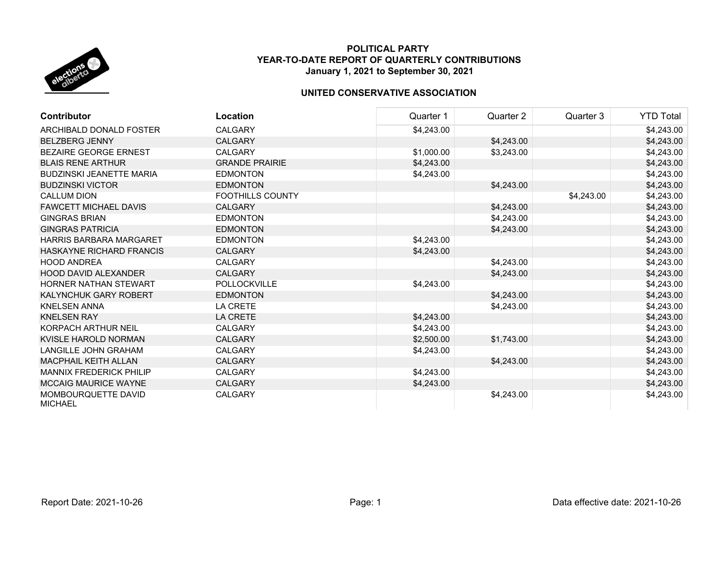

| <b>Contributor</b>                    | Location              | Quarter 1  | Quarter 2  | Quarter 3  | <b>YTD Total</b> |
|---------------------------------------|-----------------------|------------|------------|------------|------------------|
| ARCHIBALD DONALD FOSTER               | <b>CALGARY</b>        | \$4,243.00 |            |            | \$4,243.00       |
| <b>BELZBERG JENNY</b>                 | CALGARY               |            | \$4,243.00 |            | \$4,243.00       |
| BEZAIRE GEORGE ERNEST                 | <b>CALGARY</b>        | \$1,000.00 | \$3,243.00 |            | \$4,243.00       |
| <b>BLAIS RENE ARTHUR</b>              | <b>GRANDE PRAIRIE</b> | \$4,243.00 |            |            | \$4,243.00       |
| <b>BUDZINSKI JEANETTE MARIA</b>       | <b>EDMONTON</b>       | \$4,243.00 |            |            | \$4,243.00       |
| <b>BUDZINSKI VICTOR</b>               | <b>EDMONTON</b>       |            | \$4,243.00 |            | \$4,243.00       |
| <b>CALLUM DION</b>                    | FOOTHILLS COUNTY      |            |            | \$4,243.00 | \$4,243.00       |
| <b>FAWCETT MICHAEL DAVIS</b>          | <b>CALGARY</b>        |            | \$4,243.00 |            | \$4,243.00       |
| <b>GINGRAS BRIAN</b>                  | <b>EDMONTON</b>       |            | \$4,243.00 |            | \$4,243.00       |
| <b>GINGRAS PATRICIA</b>               | <b>EDMONTON</b>       |            | \$4,243.00 |            | \$4,243.00       |
| <b>HARRIS BARBARA MARGARET</b>        | <b>EDMONTON</b>       | \$4,243.00 |            |            | \$4,243.00       |
| <b>HASKAYNE RICHARD FRANCIS</b>       | <b>CALGARY</b>        | \$4,243.00 |            |            | \$4,243.00       |
| <b>HOOD ANDREA</b>                    | <b>CALGARY</b>        |            | \$4,243.00 |            | \$4,243.00       |
| <b>HOOD DAVID ALEXANDER</b>           | <b>CALGARY</b>        |            | \$4,243.00 |            | \$4,243.00       |
| HORNER NATHAN STEWART                 | <b>POLLOCKVILLE</b>   | \$4,243.00 |            |            | \$4,243.00       |
| KALYNCHUK GARY ROBERT                 | <b>EDMONTON</b>       |            | \$4,243.00 |            | \$4,243.00       |
| <b>KNELSEN ANNA</b>                   | <b>LA CRETE</b>       |            | \$4,243.00 |            | \$4,243.00       |
| <b>KNELSEN RAY</b>                    | <b>LA CRETE</b>       | \$4,243.00 |            |            | \$4,243.00       |
| KORPACH ARTHUR NEIL                   | <b>CALGARY</b>        | \$4,243.00 |            |            | \$4,243.00       |
| KVISLE HAROLD NORMAN                  | <b>CALGARY</b>        | \$2,500.00 | \$1,743.00 |            | \$4,243.00       |
| <b>LANGILLE JOHN GRAHAM</b>           | <b>CALGARY</b>        | \$4,243.00 |            |            | \$4,243.00       |
| <b>MACPHAIL KEITH ALLAN</b>           | <b>CALGARY</b>        |            | \$4,243.00 |            | \$4,243.00       |
| <b>MANNIX FREDERICK PHILIP</b>        | <b>CALGARY</b>        | \$4,243.00 |            |            | \$4,243.00       |
| <b>MCCAIG MAURICE WAYNE</b>           | <b>CALGARY</b>        | \$4,243.00 |            |            | \$4,243.00       |
| MOMBOURQUETTE DAVID<br><b>MICHAEL</b> | <b>CALGARY</b>        |            | \$4,243.00 |            | \$4,243.00       |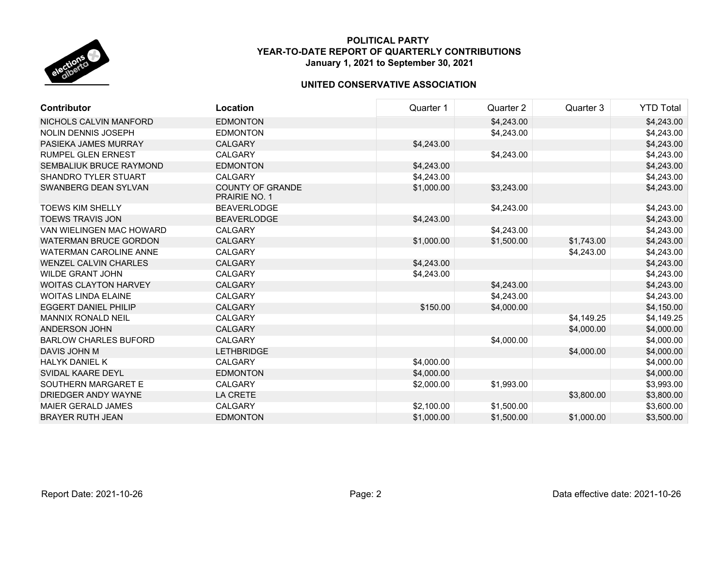

| <b>Contributor</b>            | Location                                        | Quarter 1  | Quarter 2  | Quarter 3  | <b>YTD Total</b> |
|-------------------------------|-------------------------------------------------|------------|------------|------------|------------------|
| NICHOLS CALVIN MANFORD        | <b>EDMONTON</b>                                 |            | \$4,243.00 |            | \$4,243.00       |
| <b>NOLIN DENNIS JOSEPH</b>    | <b>EDMONTON</b>                                 |            | \$4,243.00 |            | \$4,243.00       |
| PASIEKA JAMES MURRAY          | <b>CALGARY</b>                                  | \$4,243.00 |            |            | \$4,243.00       |
| RUMPEL GLEN ERNEST            | <b>CALGARY</b>                                  |            | \$4,243.00 |            | \$4,243.00       |
| SEMBALIUK BRUCE RAYMOND       | <b>EDMONTON</b>                                 | \$4,243.00 |            |            | \$4,243.00       |
| <b>SHANDRO TYLER STUART</b>   | <b>CALGARY</b>                                  | \$4,243.00 |            |            | \$4,243.00       |
| SWANBERG DEAN SYLVAN          | <b>COUNTY OF GRANDE</b><br><b>PRAIRIE NO. 1</b> | \$1,000.00 | \$3,243.00 |            | \$4,243.00       |
| <b>TOEWS KIM SHELLY</b>       | <b>BEAVERLODGE</b>                              |            | \$4,243.00 |            | \$4,243.00       |
| <b>TOEWS TRAVIS JON</b>       | <b>BEAVERLODGE</b>                              | \$4,243.00 |            |            | \$4,243.00       |
| VAN WIELINGEN MAC HOWARD      | <b>CALGARY</b>                                  |            | \$4,243.00 |            | \$4,243.00       |
| <b>WATERMAN BRUCE GORDON</b>  | <b>CALGARY</b>                                  | \$1,000.00 | \$1,500.00 | \$1,743.00 | \$4,243.00       |
| <b>WATERMAN CAROLINE ANNE</b> | <b>CALGARY</b>                                  |            |            | \$4,243.00 | \$4,243.00       |
| <b>WENZEL CALVIN CHARLES</b>  | <b>CALGARY</b>                                  | \$4,243.00 |            |            | \$4,243.00       |
| <b>WILDE GRANT JOHN</b>       | <b>CALGARY</b>                                  | \$4,243.00 |            |            | \$4,243.00       |
| <b>WOITAS CLAYTON HARVEY</b>  | <b>CALGARY</b>                                  |            | \$4,243.00 |            | \$4,243.00       |
| <b>WOITAS LINDA ELAINE</b>    | <b>CALGARY</b>                                  |            | \$4,243.00 |            | \$4,243.00       |
| <b>EGGERT DANIEL PHILIP</b>   | <b>CALGARY</b>                                  | \$150.00   | \$4,000.00 |            | \$4,150.00       |
| <b>MANNIX RONALD NEIL</b>     | CALGARY                                         |            |            | \$4,149.25 | \$4,149.25       |
| ANDERSON JOHN                 | <b>CALGARY</b>                                  |            |            | \$4,000.00 | \$4,000.00       |
| <b>BARLOW CHARLES BUFORD</b>  | <b>CALGARY</b>                                  |            | \$4,000.00 |            | \$4,000.00       |
| DAVIS JOHN M                  | <b>LETHBRIDGE</b>                               |            |            | \$4,000.00 | \$4,000.00       |
| <b>HALYK DANIEL K</b>         | <b>CALGARY</b>                                  | \$4,000.00 |            |            | \$4,000.00       |
| SVIDAL KAARE DEYL             | <b>EDMONTON</b>                                 | \$4,000.00 |            |            | \$4,000.00       |
| SOUTHERN MARGARET E           | <b>CALGARY</b>                                  | \$2,000.00 | \$1,993.00 |            | \$3,993.00       |
| DRIEDGER ANDY WAYNE           | <b>LA CRETE</b>                                 |            |            | \$3,800.00 | \$3,800.00       |
| <b>MAIER GERALD JAMES</b>     | <b>CALGARY</b>                                  | \$2,100.00 | \$1,500.00 |            | \$3,600.00       |
| <b>BRAYER RUTH JEAN</b>       | <b>EDMONTON</b>                                 | \$1,000.00 | \$1,500.00 | \$1,000.00 | \$3,500.00       |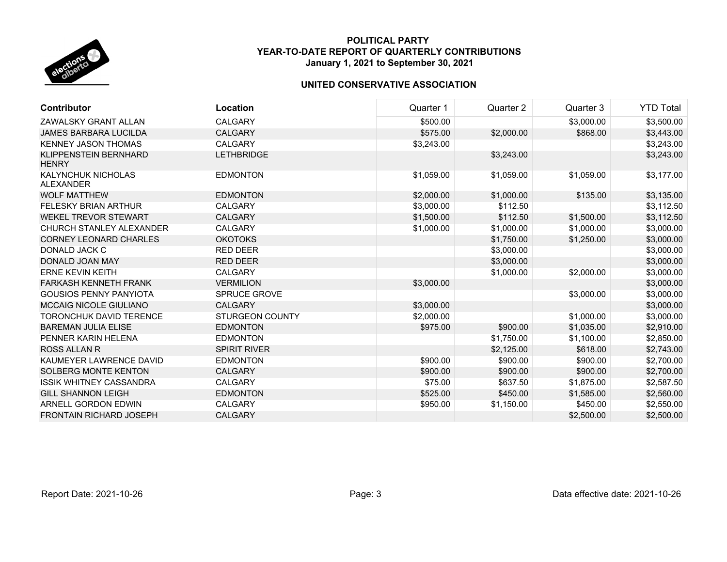

| Contributor                                   | Location               | Quarter 1  | Quarter 2  | Quarter 3  | <b>YTD Total</b> |
|-----------------------------------------------|------------------------|------------|------------|------------|------------------|
| ZAWALSKY GRANT ALLAN                          | <b>CALGARY</b>         | \$500.00   |            | \$3,000.00 | \$3,500.00       |
| JAMES BARBARA LUCILDA                         | <b>CALGARY</b>         | \$575.00   | \$2,000.00 | \$868.00   | \$3,443.00       |
| <b>KENNEY JASON THOMAS</b>                    | <b>CALGARY</b>         | \$3,243.00 |            |            | \$3,243.00       |
| KLIPPENSTEIN BERNHARD<br><b>HENRY</b>         | <b>LETHBRIDGE</b>      |            | \$3,243.00 |            | \$3,243.00       |
| <b>KALYNCHUK NICHOLAS</b><br><b>ALEXANDER</b> | <b>EDMONTON</b>        | \$1,059.00 | \$1,059.00 | \$1,059.00 | \$3,177.00       |
| <b>WOLF MATTHEW</b>                           | <b>EDMONTON</b>        | \$2,000.00 | \$1,000.00 | \$135.00   | \$3,135.00       |
| <b>FELESKY BRIAN ARTHUR</b>                   | <b>CALGARY</b>         | \$3,000.00 | \$112.50   |            | \$3,112.50       |
| <b>WEKEL TREVOR STEWART</b>                   | <b>CALGARY</b>         | \$1,500.00 | \$112.50   | \$1,500.00 | \$3,112.50       |
| CHURCH STANLEY ALEXANDER                      | <b>CALGARY</b>         | \$1,000.00 | \$1,000.00 | \$1,000.00 | \$3,000.00       |
| <b>CORNEY LEONARD CHARLES</b>                 | <b>OKOTOKS</b>         |            | \$1,750.00 | \$1,250.00 | \$3,000.00       |
| DONALD JACK C                                 | <b>RED DEER</b>        |            | \$3,000.00 |            | \$3,000.00       |
| DONALD JOAN MAY                               | <b>RED DEER</b>        |            | \$3,000.00 |            | \$3,000.00       |
| <b>ERNE KEVIN KEITH</b>                       | <b>CALGARY</b>         |            | \$1,000.00 | \$2,000.00 | \$3,000.00       |
| FARKASH KENNETH FRANK                         | <b>VERMILION</b>       | \$3,000.00 |            |            | \$3,000.00       |
| <b>GOUSIOS PENNY PANYIOTA</b>                 | SPRUCE GROVE           |            |            | \$3,000.00 | \$3,000.00       |
| <b>MCCAIG NICOLE GIULIANO</b>                 | <b>CALGARY</b>         | \$3,000.00 |            |            | \$3,000.00       |
| <b>TORONCHUK DAVID TERENCE</b>                | <b>STURGEON COUNTY</b> | \$2,000.00 |            | \$1,000.00 | \$3,000.00       |
| <b>BAREMAN JULIA ELISE</b>                    | <b>EDMONTON</b>        | \$975.00   | \$900.00   | \$1,035.00 | \$2,910.00       |
| PENNER KARIN HELENA                           | <b>EDMONTON</b>        |            | \$1,750.00 | \$1,100.00 | \$2,850.00       |
| <b>ROSS ALLAN R</b>                           | <b>SPIRIT RIVER</b>    |            | \$2,125.00 | \$618.00   | \$2,743.00       |
| KAUMEYER LAWRENCE DAVID                       | <b>EDMONTON</b>        | \$900.00   | \$900.00   | \$900.00   | \$2,700.00       |
| <b>SOLBERG MONTE KENTON</b>                   | <b>CALGARY</b>         | \$900.00   | \$900.00   | \$900.00   | \$2,700.00       |
| <b>ISSIK WHITNEY CASSANDRA</b>                | <b>CALGARY</b>         | \$75.00    | \$637.50   | \$1,875.00 | \$2,587.50       |
| <b>GILL SHANNON LEIGH</b>                     | <b>EDMONTON</b>        | \$525.00   | \$450.00   | \$1,585.00 | \$2,560.00       |
| ARNELL GORDON EDWIN                           | <b>CALGARY</b>         | \$950.00   | \$1,150.00 | \$450.00   | \$2,550.00       |
| <b>FRONTAIN RICHARD JOSEPH</b>                | <b>CALGARY</b>         |            |            | \$2,500.00 | \$2,500.00       |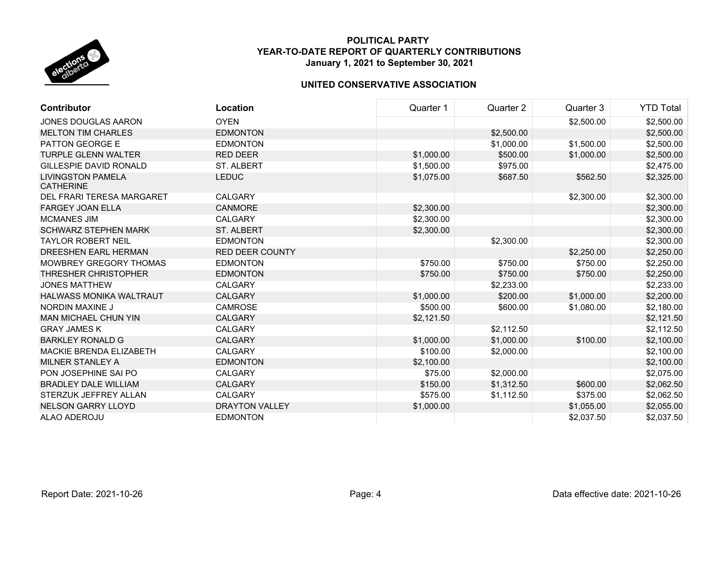

| <b>Contributor</b>                           | Location               | Quarter 1  | Quarter 2  | Quarter 3  | <b>YTD Total</b> |
|----------------------------------------------|------------------------|------------|------------|------------|------------------|
| <b>JONES DOUGLAS AARON</b>                   | <b>OYEN</b>            |            |            | \$2,500.00 | \$2,500.00       |
| <b>MELTON TIM CHARLES</b>                    | <b>EDMONTON</b>        |            | \$2,500.00 |            | \$2,500.00       |
| <b>PATTON GEORGE E</b>                       | <b>EDMONTON</b>        |            | \$1,000.00 | \$1,500.00 | \$2,500.00       |
| <b>TURPLE GLENN WALTER</b>                   | <b>RED DEER</b>        | \$1,000.00 | \$500.00   | \$1,000.00 | \$2,500.00       |
| <b>GILLESPIE DAVID RONALD</b>                | ST. ALBERT             | \$1,500.00 | \$975.00   |            | \$2,475.00       |
| <b>LIVINGSTON PAMELA</b><br><b>CATHERINE</b> | <b>LEDUC</b>           | \$1,075.00 | \$687.50   | \$562.50   | \$2,325.00       |
| DEL FRARI TERESA MARGARET                    | <b>CALGARY</b>         |            |            | \$2,300.00 | \$2,300.00       |
| <b>FARGEY JOAN ELLA</b>                      | <b>CANMORE</b>         | \$2,300.00 |            |            | \$2,300.00       |
| <b>MCMANES JIM</b>                           | <b>CALGARY</b>         | \$2,300.00 |            |            | \$2,300.00       |
| <b>SCHWARZ STEPHEN MARK</b>                  | <b>ST. ALBERT</b>      | \$2,300.00 |            |            | \$2,300.00       |
| <b>TAYLOR ROBERT NEIL</b>                    | <b>EDMONTON</b>        |            | \$2,300.00 |            | \$2,300.00       |
| DREESHEN EARL HERMAN                         | <b>RED DEER COUNTY</b> |            |            | \$2,250.00 | \$2,250.00       |
| MOWBREY GREGORY THOMAS                       | <b>EDMONTON</b>        | \$750.00   | \$750.00   | \$750.00   | \$2,250.00       |
| <b>THRESHER CHRISTOPHER</b>                  | <b>EDMONTON</b>        | \$750.00   | \$750.00   | \$750.00   | \$2,250.00       |
| <b>JONES MATTHEW</b>                         | <b>CALGARY</b>         |            | \$2,233.00 |            | \$2,233.00       |
| <b>HALWASS MONIKA WALTRAUT</b>               | <b>CALGARY</b>         | \$1,000.00 | \$200.00   | \$1,000.00 | \$2,200.00       |
| NORDIN MAXINE J                              | <b>CAMROSE</b>         | \$500.00   | \$600.00   | \$1,080.00 | \$2,180.00       |
| <b>MAN MICHAEL CHUN YIN</b>                  | <b>CALGARY</b>         | \$2,121.50 |            |            | \$2,121.50       |
| <b>GRAY JAMES K</b>                          | <b>CALGARY</b>         |            | \$2,112.50 |            | \$2,112.50       |
| <b>BARKLEY RONALD G</b>                      | <b>CALGARY</b>         | \$1,000.00 | \$1,000.00 | \$100.00   | \$2,100.00       |
| <b>MACKIE BRENDA ELIZABETH</b>               | <b>CALGARY</b>         | \$100.00   | \$2,000.00 |            | \$2,100.00       |
| MILNER STANLEY A                             | <b>EDMONTON</b>        | \$2,100.00 |            |            | \$2,100.00       |
| PON JOSEPHINE SAI PO                         | <b>CALGARY</b>         | \$75.00    | \$2,000.00 |            | \$2,075.00       |
| <b>BRADLEY DALE WILLIAM</b>                  | <b>CALGARY</b>         | \$150.00   | \$1,312.50 | \$600.00   | \$2,062.50       |
| STERZUK JEFFREY ALLAN                        | <b>CALGARY</b>         | \$575.00   | \$1,112.50 | \$375.00   | \$2,062.50       |
| <b>NELSON GARRY LLOYD</b>                    | <b>DRAYTON VALLEY</b>  | \$1,000.00 |            | \$1,055.00 | \$2,055.00       |
| ALAO ADEROJU                                 | <b>EDMONTON</b>        |            |            | \$2,037.50 | \$2,037.50       |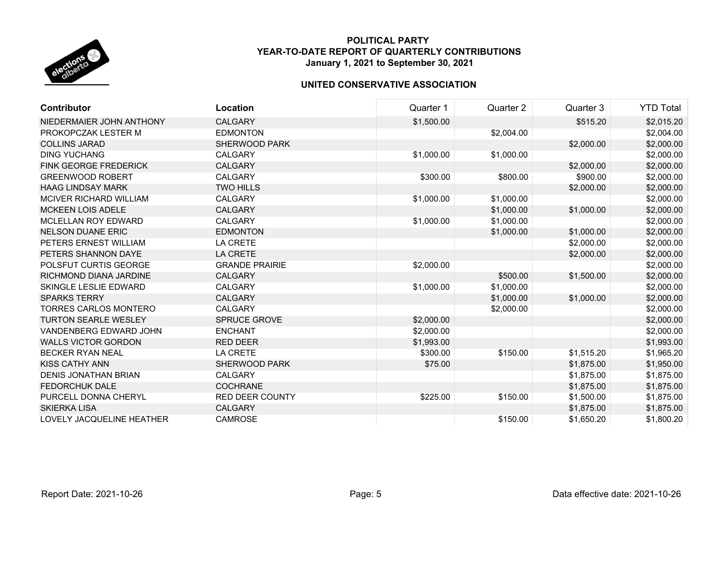

| Contributor                  | Location               | Quarter 1  | Quarter 2  | Quarter 3  | <b>YTD Total</b> |
|------------------------------|------------------------|------------|------------|------------|------------------|
| NIEDERMAIER JOHN ANTHONY     | <b>CALGARY</b>         | \$1,500.00 |            | \$515.20   | \$2,015.20       |
| PROKOPCZAK LESTER M          | <b>EDMONTON</b>        |            | \$2,004.00 |            | \$2,004.00       |
| <b>COLLINS JARAD</b>         | <b>SHERWOOD PARK</b>   |            |            | \$2,000.00 | \$2,000.00       |
| <b>DING YUCHANG</b>          | <b>CALGARY</b>         | \$1,000.00 | \$1,000.00 |            | \$2,000.00       |
| <b>FINK GEORGE FREDERICK</b> | <b>CALGARY</b>         |            |            | \$2,000.00 | \$2,000.00       |
| <b>GREENWOOD ROBERT</b>      | <b>CALGARY</b>         | \$300.00   | \$800.00   | \$900.00   | \$2,000.00       |
| <b>HAAG LINDSAY MARK</b>     | <b>TWO HILLS</b>       |            |            | \$2,000.00 | \$2,000.00       |
| MCIVER RICHARD WILLIAM       | CALGARY                | \$1,000.00 | \$1,000.00 |            | \$2,000.00       |
| <b>MCKEEN LOIS ADELE</b>     | <b>CALGARY</b>         |            | \$1,000.00 | \$1,000.00 | \$2,000.00       |
| <b>MCLELLAN ROY EDWARD</b>   | CALGARY                | \$1,000.00 | \$1,000.00 |            | \$2,000.00       |
| <b>NELSON DUANE ERIC</b>     | <b>EDMONTON</b>        |            | \$1,000.00 | \$1,000.00 | \$2,000.00       |
| PETERS ERNEST WILLIAM        | <b>LA CRETE</b>        |            |            | \$2,000.00 | \$2,000.00       |
| PETERS SHANNON DAYE          | LA CRETE               |            |            | \$2,000.00 | \$2,000.00       |
| POLSFUT CURTIS GEORGE        | <b>GRANDE PRAIRIE</b>  | \$2,000.00 |            |            | \$2,000.00       |
| RICHMOND DIANA JARDINE       | <b>CALGARY</b>         |            | \$500.00   | \$1,500.00 | \$2,000.00       |
| <b>SKINGLE LESLIE EDWARD</b> | <b>CALGARY</b>         | \$1,000.00 | \$1,000.00 |            | \$2,000.00       |
| <b>SPARKS TERRY</b>          | <b>CALGARY</b>         |            | \$1,000.00 | \$1,000.00 | \$2,000.00       |
| <b>TORRES CARLOS MONTERO</b> | <b>CALGARY</b>         |            | \$2,000.00 |            | \$2,000.00       |
| <b>TURTON SEARLE WESLEY</b>  | <b>SPRUCE GROVE</b>    | \$2,000.00 |            |            | \$2,000.00       |
| VANDENBERG EDWARD JOHN       | <b>ENCHANT</b>         | \$2,000.00 |            |            | \$2,000.00       |
| <b>WALLS VICTOR GORDON</b>   | <b>RED DEER</b>        | \$1,993.00 |            |            | \$1,993.00       |
| <b>BECKER RYAN NEAL</b>      | LA CRETE               | \$300.00   | \$150.00   | \$1,515.20 | \$1,965.20       |
| <b>KISS CATHY ANN</b>        | <b>SHERWOOD PARK</b>   | \$75.00    |            | \$1,875.00 | \$1,950.00       |
| <b>DENIS JONATHAN BRIAN</b>  | <b>CALGARY</b>         |            |            | \$1,875.00 | \$1,875.00       |
| <b>FEDORCHUK DALE</b>        | <b>COCHRANE</b>        |            |            | \$1,875.00 | \$1,875.00       |
| PURCELL DONNA CHERYL         | <b>RED DEER COUNTY</b> | \$225.00   | \$150.00   | \$1,500.00 | \$1,875.00       |
| <b>SKIERKA LISA</b>          | <b>CALGARY</b>         |            |            | \$1,875.00 | \$1,875.00       |
| LOVELY JACQUELINE HEATHER    | <b>CAMROSE</b>         |            | \$150.00   | \$1,650.20 | \$1,800.20       |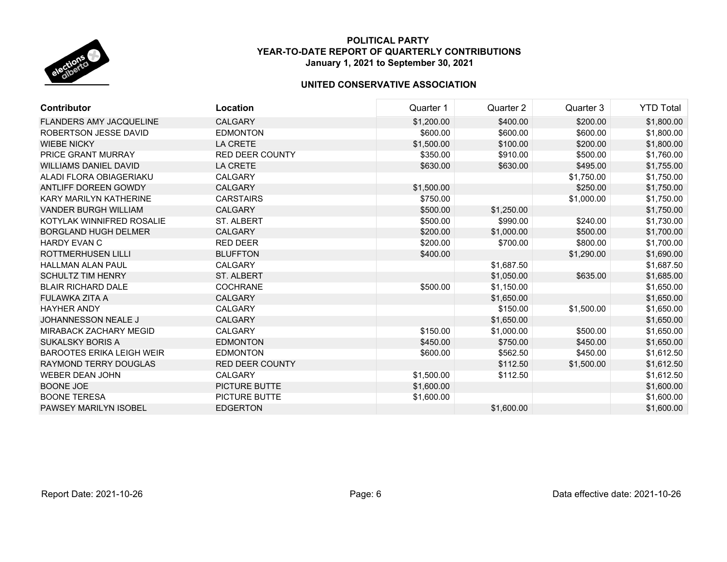

| Contributor                      | Location               | Quarter 1  | Quarter 2  | Quarter 3  | <b>YTD Total</b> |
|----------------------------------|------------------------|------------|------------|------------|------------------|
| <b>FLANDERS AMY JACQUELINE</b>   | <b>CALGARY</b>         | \$1,200.00 | \$400.00   | \$200.00   | \$1,800.00       |
| ROBERTSON JESSE DAVID            | <b>EDMONTON</b>        | \$600.00   | \$600.00   | \$600.00   | \$1,800.00       |
| <b>WIEBE NICKY</b>               | <b>LA CRETE</b>        | \$1,500.00 | \$100.00   | \$200.00   | \$1,800.00       |
| PRICE GRANT MURRAY               | <b>RED DEER COUNTY</b> | \$350.00   | \$910.00   | \$500.00   | \$1,760.00       |
| <b>WILLIAMS DANIEL DAVID</b>     | <b>LA CRETE</b>        | \$630.00   | \$630.00   | \$495.00   | \$1,755.00       |
| ALADI FLORA OBIAGERIAKU          | <b>CALGARY</b>         |            |            | \$1,750.00 | \$1,750.00       |
| ANTLIFF DOREEN GOWDY             | <b>CALGARY</b>         | \$1,500.00 |            | \$250.00   | \$1,750.00       |
| KARY MARILYN KATHERINE           | <b>CARSTAIRS</b>       | \$750.00   |            | \$1,000.00 | \$1,750.00       |
| <b>VANDER BURGH WILLIAM</b>      | <b>CALGARY</b>         | \$500.00   | \$1,250.00 |            | \$1,750.00       |
| KOTYLAK WINNIFRED ROSALIE        | <b>ST. ALBERT</b>      | \$500.00   | \$990.00   | \$240.00   | \$1,730.00       |
| <b>BORGLAND HUGH DELMER</b>      | <b>CALGARY</b>         | \$200.00   | \$1,000.00 | \$500.00   | \$1,700.00       |
| <b>HARDY EVAN C</b>              | <b>RED DEER</b>        | \$200.00   | \$700.00   | \$800.00   | \$1,700.00       |
| <b>ROTTMERHUSEN LILLI</b>        | <b>BLUFFTON</b>        | \$400.00   |            | \$1,290.00 | \$1,690.00       |
| <b>HALLMAN ALAN PAUL</b>         | <b>CALGARY</b>         |            | \$1,687.50 |            | \$1,687.50       |
| <b>SCHULTZ TIM HENRY</b>         | <b>ST. ALBERT</b>      |            | \$1,050.00 | \$635.00   | \$1,685.00       |
| <b>BLAIR RICHARD DALE</b>        | <b>COCHRANE</b>        | \$500.00   | \$1,150.00 |            | \$1,650.00       |
| FULAWKA ZITA A                   | <b>CALGARY</b>         |            | \$1,650.00 |            | \$1,650.00       |
| <b>HAYHER ANDY</b>               | <b>CALGARY</b>         |            | \$150.00   | \$1,500.00 | \$1,650.00       |
| <b>JOHANNESSON NEALE J</b>       | <b>CALGARY</b>         |            | \$1,650.00 |            | \$1,650.00       |
| <b>MIRABACK ZACHARY MEGID</b>    | <b>CALGARY</b>         | \$150.00   | \$1,000.00 | \$500.00   | \$1,650.00       |
| <b>SUKALSKY BORIS A</b>          | <b>EDMONTON</b>        | \$450.00   | \$750.00   | \$450.00   | \$1,650.00       |
| <b>BAROOTES ERIKA LEIGH WEIR</b> | <b>EDMONTON</b>        | \$600.00   | \$562.50   | \$450.00   | \$1,612.50       |
| RAYMOND TERRY DOUGLAS            | <b>RED DEER COUNTY</b> |            | \$112.50   | \$1,500.00 | \$1,612.50       |
| <b>WEBER DEAN JOHN</b>           | <b>CALGARY</b>         | \$1,500.00 | \$112.50   |            | \$1,612.50       |
| <b>BOONE JOE</b>                 | PICTURE BUTTE          | \$1,600.00 |            |            | \$1,600.00       |
| <b>BOONE TERESA</b>              | <b>PICTURE BUTTE</b>   | \$1,600.00 |            |            | \$1,600.00       |
| <b>PAWSEY MARILYN ISOBEL</b>     | <b>EDGERTON</b>        |            | \$1,600.00 |            | \$1,600.00       |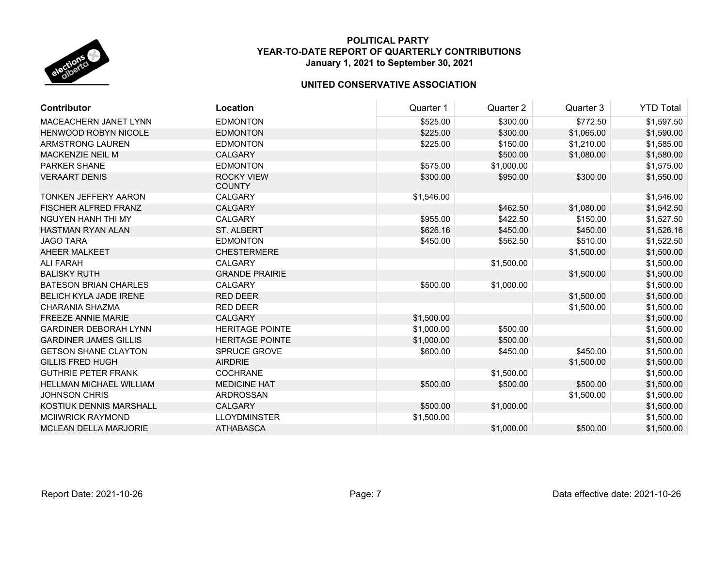

| <b>Contributor</b>             | Location                           | Quarter 1  | Quarter 2  | Quarter 3  | <b>YTD Total</b> |
|--------------------------------|------------------------------------|------------|------------|------------|------------------|
| <b>MACEACHERN JANET LYNN</b>   | <b>EDMONTON</b>                    | \$525.00   | \$300.00   | \$772.50   | \$1,597.50       |
| <b>HENWOOD ROBYN NICOLE</b>    | <b>EDMONTON</b>                    | \$225.00   | \$300.00   | \$1,065.00 | \$1,590.00       |
| ARMSTRONG LAUREN               | <b>EDMONTON</b>                    | \$225.00   | \$150.00   | \$1,210.00 | \$1,585.00       |
| MACKENZIE NEIL M               | <b>CALGARY</b>                     |            | \$500.00   | \$1,080.00 | \$1,580.00       |
| PARKER SHANE                   | <b>EDMONTON</b>                    | \$575.00   | \$1,000.00 |            | \$1,575.00       |
| <b>VERAART DENIS</b>           | <b>ROCKY VIEW</b><br><b>COUNTY</b> | \$300.00   | \$950.00   | \$300.00   | \$1,550.00       |
| <b>TONKEN JEFFERY AARON</b>    | <b>CALGARY</b>                     | \$1,546.00 |            |            | \$1,546.00       |
| <b>FISCHER ALFRED FRANZ</b>    | <b>CALGARY</b>                     |            | \$462.50   | \$1,080.00 | \$1,542.50       |
| <b>NGUYEN HANH THI MY</b>      | <b>CALGARY</b>                     | \$955.00   | \$422.50   | \$150.00   | \$1,527.50       |
| <b>HASTMAN RYAN ALAN</b>       | <b>ST. ALBERT</b>                  | \$626.16   | \$450.00   | \$450.00   | \$1,526.16       |
| <b>JAGO TARA</b>               | <b>EDMONTON</b>                    | \$450.00   | \$562.50   | \$510.00   | \$1,522.50       |
| AHEER MALKEET                  | <b>CHESTERMERE</b>                 |            |            | \$1,500.00 | \$1,500.00       |
| <b>ALI FARAH</b>               | <b>CALGARY</b>                     |            | \$1,500.00 |            | \$1,500.00       |
| <b>BALISKY RUTH</b>            | <b>GRANDE PRAIRIE</b>              |            |            | \$1,500.00 | \$1,500.00       |
| <b>BATESON BRIAN CHARLES</b>   | <b>CALGARY</b>                     | \$500.00   | \$1,000.00 |            | \$1,500.00       |
| <b>BELICH KYLA JADE IRENE</b>  | <b>RED DEER</b>                    |            |            | \$1,500.00 | \$1,500.00       |
| CHARANIA SHAZMA                | <b>RED DEER</b>                    |            |            | \$1,500.00 | \$1,500.00       |
| <b>FREEZE ANNIE MARIE</b>      | <b>CALGARY</b>                     | \$1,500.00 |            |            | \$1,500.00       |
| <b>GARDINER DEBORAH LYNN</b>   | <b>HERITAGE POINTE</b>             | \$1,000.00 | \$500.00   |            | \$1,500.00       |
| <b>GARDINER JAMES GILLIS</b>   | <b>HERITAGE POINTE</b>             | \$1,000.00 | \$500.00   |            | \$1,500.00       |
| <b>GETSON SHANE CLAYTON</b>    | <b>SPRUCE GROVE</b>                | \$600.00   | \$450.00   | \$450.00   | \$1,500.00       |
| <b>GILLIS FRED HUGH</b>        | <b>AIRDRIE</b>                     |            |            | \$1,500.00 | \$1,500.00       |
| <b>GUTHRIE PETER FRANK</b>     | <b>COCHRANE</b>                    |            | \$1,500.00 |            | \$1,500.00       |
| <b>HELLMAN MICHAEL WILLIAM</b> | <b>MEDICINE HAT</b>                | \$500.00   | \$500.00   | \$500.00   | \$1,500.00       |
| <b>JOHNSON CHRIS</b>           | <b>ARDROSSAN</b>                   |            |            | \$1,500.00 | \$1,500.00       |
| KOSTIUK DENNIS MARSHALL        | CALGARY                            | \$500.00   | \$1,000.00 |            | \$1,500.00       |
| <b>MCIIWRICK RAYMOND</b>       | <b>LLOYDMINSTER</b>                | \$1,500.00 |            |            | \$1,500.00       |
| <b>MCLEAN DELLA MARJORIE</b>   | <b>ATHABASCA</b>                   |            | \$1,000.00 | \$500.00   | \$1,500.00       |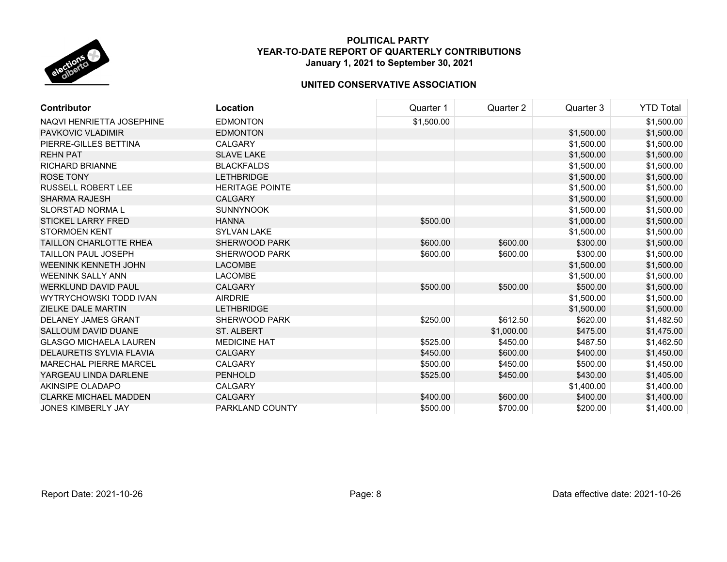

| <b>Contributor</b>            | Location               | Quarter 1  | Quarter 2  | Quarter 3  | <b>YTD Total</b> |
|-------------------------------|------------------------|------------|------------|------------|------------------|
| NAQVI HENRIETTA JOSEPHINE     | <b>EDMONTON</b>        | \$1,500.00 |            |            | \$1,500.00       |
| <b>PAVKOVIC VLADIMIR</b>      | <b>EDMONTON</b>        |            |            | \$1,500.00 | \$1,500.00       |
| PIERRE-GILLES BETTINA         | <b>CALGARY</b>         |            |            | \$1,500.00 | \$1,500.00       |
| <b>REHN PAT</b>               | <b>SLAVE LAKE</b>      |            |            | \$1,500.00 | \$1,500.00       |
| <b>RICHARD BRIANNE</b>        | <b>BLACKFALDS</b>      |            |            | \$1,500.00 | \$1,500.00       |
| <b>ROSE TONY</b>              | <b>LETHBRIDGE</b>      |            |            | \$1,500.00 | \$1,500.00       |
| <b>RUSSELL ROBERT LEE</b>     | <b>HERITAGE POINTE</b> |            |            | \$1,500.00 | \$1,500.00       |
| <b>SHARMA RAJESH</b>          | <b>CALGARY</b>         |            |            | \$1,500.00 | \$1,500.00       |
| <b>SLORSTAD NORMAL</b>        | <b>SUNNYNOOK</b>       |            |            | \$1,500.00 | \$1,500.00       |
| <b>STICKEL LARRY FRED</b>     | <b>HANNA</b>           | \$500.00   |            | \$1,000.00 | \$1,500.00       |
| <b>STORMOEN KENT</b>          | <b>SYLVAN LAKE</b>     |            |            | \$1,500.00 | \$1,500.00       |
| <b>TAILLON CHARLOTTE RHEA</b> | <b>SHERWOOD PARK</b>   | \$600.00   | \$600.00   | \$300.00   | \$1,500.00       |
| <b>TAILLON PAUL JOSEPH</b>    | <b>SHERWOOD PARK</b>   | \$600.00   | \$600.00   | \$300.00   | \$1,500.00       |
| WEENINK KENNETH JOHN          | <b>LACOMBE</b>         |            |            | \$1,500.00 | \$1,500.00       |
| <b>WEENINK SALLY ANN</b>      | <b>LACOMBE</b>         |            |            | \$1,500.00 | \$1,500.00       |
| <b>WERKLUND DAVID PAUL</b>    | <b>CALGARY</b>         | \$500.00   | \$500.00   | \$500.00   | \$1,500.00       |
| WYTRYCHOWSKI TODD IVAN        | <b>AIRDRIE</b>         |            |            | \$1,500.00 | \$1,500.00       |
| ZIELKE DALE MARTIN            | <b>LETHBRIDGE</b>      |            |            | \$1,500.00 | \$1,500.00       |
| <b>DELANEY JAMES GRANT</b>    | SHERWOOD PARK          | \$250.00   | \$612.50   | \$620.00   | \$1,482.50       |
| <b>SALLOUM DAVID DUANE</b>    | <b>ST. ALBERT</b>      |            | \$1,000.00 | \$475.00   | \$1,475.00       |
| <b>GLASGO MICHAELA LAUREN</b> | <b>MEDICINE HAT</b>    | \$525.00   | \$450.00   | \$487.50   | \$1,462.50       |
| DELAURETIS SYLVIA FLAVIA      | <b>CALGARY</b>         | \$450.00   | \$600.00   | \$400.00   | \$1,450.00       |
| <b>MARECHAL PIERRE MARCEL</b> | <b>CALGARY</b>         | \$500.00   | \$450.00   | \$500.00   | \$1,450.00       |
| YARGEAU LINDA DARLENE         | <b>PENHOLD</b>         | \$525.00   | \$450.00   | \$430.00   | \$1,405.00       |
| AKINSIPE OLADAPO              | <b>CALGARY</b>         |            |            | \$1,400.00 | \$1,400.00       |
| <b>CLARKE MICHAEL MADDEN</b>  | <b>CALGARY</b>         | \$400.00   | \$600.00   | \$400.00   | \$1,400.00       |
| <b>JONES KIMBERLY JAY</b>     | PARKLAND COUNTY        | \$500.00   | \$700.00   | \$200.00   | \$1,400.00       |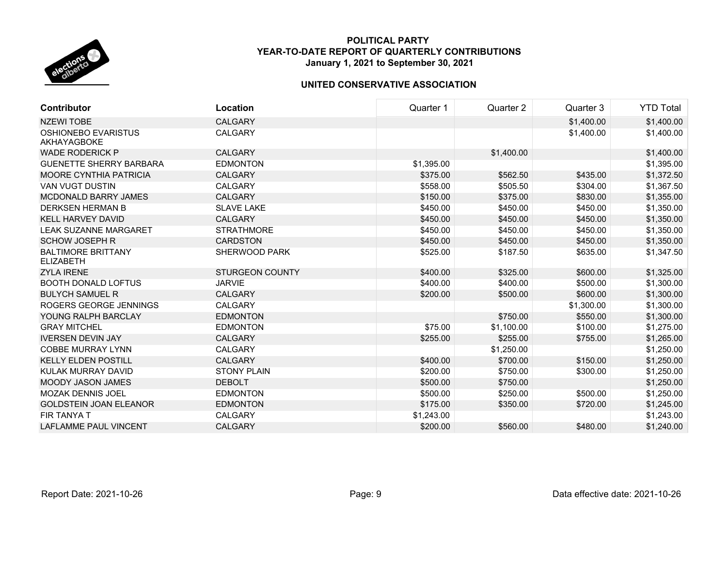

| <b>Contributor</b>                            | Location               | Quarter 1  | Quarter 2  | Quarter 3  | <b>YTD Total</b> |
|-----------------------------------------------|------------------------|------------|------------|------------|------------------|
| <b>NZEWI TOBE</b>                             | <b>CALGARY</b>         |            |            | \$1,400.00 | \$1,400.00       |
| <b>OSHIONEBO EVARISTUS</b><br>AKHAYAGBOKE     | <b>CALGARY</b>         |            |            | \$1,400.00 | \$1,400.00       |
| <b>WADE RODERICK P</b>                        | <b>CALGARY</b>         |            | \$1,400.00 |            | \$1,400.00       |
| <b>GUENETTE SHERRY BARBARA</b>                | <b>EDMONTON</b>        | \$1,395.00 |            |            | \$1,395.00       |
| <b>MOORE CYNTHIA PATRICIA</b>                 | <b>CALGARY</b>         | \$375.00   | \$562.50   | \$435.00   | \$1,372.50       |
| <b>VAN VUGT DUSTIN</b>                        | <b>CALGARY</b>         | \$558.00   | \$505.50   | \$304.00   | \$1,367.50       |
| <b>MCDONALD BARRY JAMES</b>                   | <b>CALGARY</b>         | \$150.00   | \$375.00   | \$830.00   | \$1,355.00       |
| <b>DERKSEN HERMAN B</b>                       | <b>SLAVE LAKE</b>      | \$450.00   | \$450.00   | \$450.00   | \$1,350.00       |
| <b>KELL HARVEY DAVID</b>                      | <b>CALGARY</b>         | \$450.00   | \$450.00   | \$450.00   | \$1,350.00       |
| <b>LEAK SUZANNE MARGARET</b>                  | <b>STRATHMORE</b>      | \$450.00   | \$450.00   | \$450.00   | \$1,350.00       |
| <b>SCHOW JOSEPH R</b>                         | <b>CARDSTON</b>        | \$450.00   | \$450.00   | \$450.00   | \$1,350.00       |
| <b>BALTIMORE BRITTANY</b><br><b>ELIZABETH</b> | <b>SHERWOOD PARK</b>   | \$525.00   | \$187.50   | \$635.00   | \$1,347.50       |
| <b>ZYLA IRENE</b>                             | <b>STURGEON COUNTY</b> | \$400.00   | \$325.00   | \$600.00   | \$1,325.00       |
| <b>BOOTH DONALD LOFTUS</b>                    | <b>JARVIE</b>          | \$400.00   | \$400.00   | \$500.00   | \$1,300.00       |
| <b>BULYCH SAMUEL R</b>                        | <b>CALGARY</b>         | \$200.00   | \$500.00   | \$600.00   | \$1,300.00       |
| ROGERS GEORGE JENNINGS                        | <b>CALGARY</b>         |            |            | \$1,300.00 | \$1,300.00       |
| YOUNG RALPH BARCLAY                           | <b>EDMONTON</b>        |            | \$750.00   | \$550.00   | \$1,300.00       |
| <b>GRAY MITCHEL</b>                           | <b>EDMONTON</b>        | \$75.00    | \$1,100.00 | \$100.00   | \$1,275.00       |
| <b>IVERSEN DEVIN JAY</b>                      | <b>CALGARY</b>         | \$255.00   | \$255.00   | \$755.00   | \$1,265.00       |
| <b>COBBE MURRAY LYNN</b>                      | <b>CALGARY</b>         |            | \$1,250.00 |            | \$1,250.00       |
| <b>KELLY ELDEN POSTILL</b>                    | <b>CALGARY</b>         | \$400.00   | \$700.00   | \$150.00   | \$1,250.00       |
| KULAK MURRAY DAVID                            | <b>STONY PLAIN</b>     | \$200.00   | \$750.00   | \$300.00   | \$1,250.00       |
| <b>MOODY JASON JAMES</b>                      | <b>DEBOLT</b>          | \$500.00   | \$750.00   |            | \$1,250.00       |
| <b>MOZAK DENNIS JOEL</b>                      | <b>EDMONTON</b>        | \$500.00   | \$250.00   | \$500.00   | \$1,250.00       |
| <b>GOLDSTEIN JOAN ELEANOR</b>                 | <b>EDMONTON</b>        | \$175.00   | \$350.00   | \$720.00   | \$1,245.00       |
| <b>FIR TANYA T</b>                            | <b>CALGARY</b>         | \$1,243.00 |            |            | \$1,243.00       |
| LAFLAMME PAUL VINCENT                         | <b>CALGARY</b>         | \$200.00   | \$560.00   | \$480.00   | \$1,240.00       |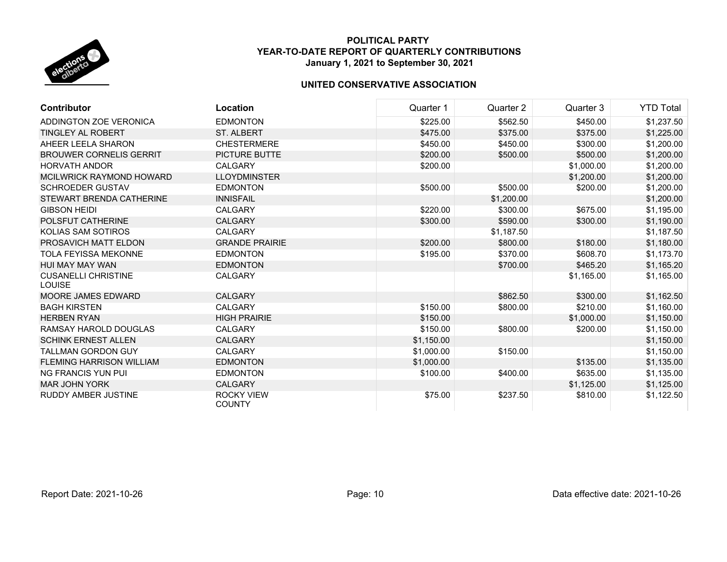

| <b>Contributor</b>                          | Location                           | Quarter 1  | Quarter 2  | Quarter 3  | <b>YTD Total</b> |
|---------------------------------------------|------------------------------------|------------|------------|------------|------------------|
| ADDINGTON ZOE VERONICA                      | <b>EDMONTON</b>                    | \$225.00   | \$562.50   | \$450.00   | \$1,237.50       |
| <b>TINGLEY AL ROBERT</b>                    | <b>ST. ALBERT</b>                  | \$475.00   | \$375.00   | \$375.00   | \$1,225.00       |
| AHEER LEELA SHARON                          | <b>CHESTERMERE</b>                 | \$450.00   | \$450.00   | \$300.00   | \$1,200.00       |
| <b>BROUWER CORNELIS GERRIT</b>              | <b>PICTURE BUTTE</b>               | \$200.00   | \$500.00   | \$500.00   | \$1,200.00       |
| <b>HORVATH ANDOR</b>                        | <b>CALGARY</b>                     | \$200.00   |            | \$1,000.00 | \$1,200.00       |
| MCILWRICK RAYMOND HOWARD                    | <b>LLOYDMINSTER</b>                |            |            | \$1,200.00 | \$1,200.00       |
| <b>SCHROEDER GUSTAV</b>                     | <b>EDMONTON</b>                    | \$500.00   | \$500.00   | \$200.00   | \$1,200.00       |
| STEWART BRENDA CATHERINE                    | <b>INNISFAIL</b>                   |            | \$1,200.00 |            | \$1,200.00       |
| <b>GIBSON HEIDI</b>                         | <b>CALGARY</b>                     | \$220.00   | \$300.00   | \$675.00   | \$1,195.00       |
| POLSFUT CATHERINE                           | <b>CALGARY</b>                     | \$300.00   | \$590.00   | \$300.00   | \$1,190.00       |
| KOLIAS SAM SOTIROS                          | <b>CALGARY</b>                     |            | \$1,187.50 |            | \$1,187.50       |
| PROSAVICH MATT ELDON                        | <b>GRANDE PRAIRIE</b>              | \$200.00   | \$800.00   | \$180.00   | \$1,180.00       |
| TOLA FEYISSA MEKONNE                        | <b>EDMONTON</b>                    | \$195.00   | \$370.00   | \$608.70   | \$1,173.70       |
| HUI MAY MAY WAN                             | <b>EDMONTON</b>                    |            | \$700.00   | \$465.20   | \$1,165.20       |
| <b>CUSANELLI CHRISTINE</b><br><b>LOUISE</b> | <b>CALGARY</b>                     |            |            | \$1,165.00 | \$1,165.00       |
| MOORE JAMES EDWARD                          | <b>CALGARY</b>                     |            | \$862.50   | \$300.00   | \$1,162.50       |
| <b>BAGH KIRSTEN</b>                         | <b>CALGARY</b>                     | \$150.00   | \$800.00   | \$210.00   | \$1,160.00       |
| <b>HERBEN RYAN</b>                          | <b>HIGH PRAIRIE</b>                | \$150.00   |            | \$1,000.00 | \$1,150.00       |
| RAMSAY HAROLD DOUGLAS                       | <b>CALGARY</b>                     | \$150.00   | \$800.00   | \$200.00   | \$1,150.00       |
| <b>SCHINK ERNEST ALLEN</b>                  | <b>CALGARY</b>                     | \$1,150.00 |            |            | \$1,150.00       |
| <b>TALLMAN GORDON GUY</b>                   | <b>CALGARY</b>                     | \$1,000.00 | \$150.00   |            | \$1,150.00       |
| <b>FLEMING HARRISON WILLIAM</b>             | <b>EDMONTON</b>                    | \$1,000.00 |            | \$135.00   | \$1,135.00       |
| <b>NG FRANCIS YUN PUI</b>                   | <b>EDMONTON</b>                    | \$100.00   | \$400.00   | \$635.00   | \$1,135.00       |
| <b>MAR JOHN YORK</b>                        | <b>CALGARY</b>                     |            |            | \$1,125.00 | \$1,125.00       |
| <b>RUDDY AMBER JUSTINE</b>                  | <b>ROCKY VIEW</b><br><b>COUNTY</b> | \$75.00    | \$237.50   | \$810.00   | \$1,122.50       |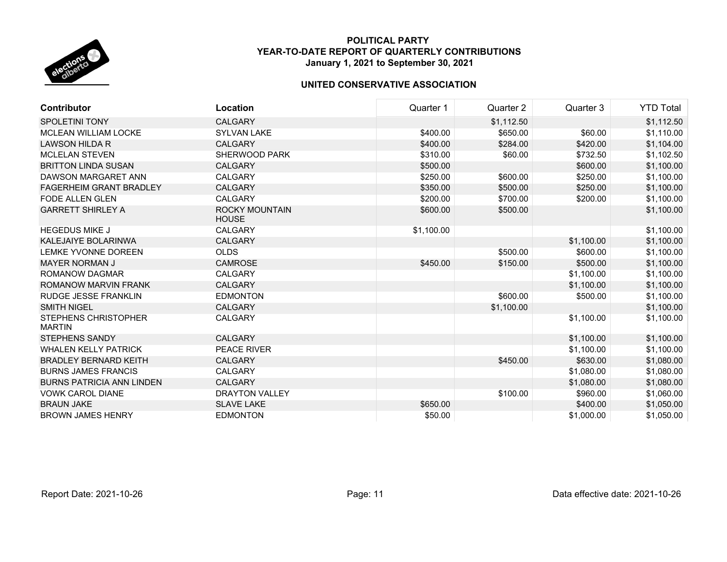

| <b>Contributor</b>                           | Location                       | Quarter 1  | Quarter 2  | Quarter 3  | <b>YTD Total</b> |
|----------------------------------------------|--------------------------------|------------|------------|------------|------------------|
| <b>SPOLETINI TONY</b>                        | <b>CALGARY</b>                 |            | \$1,112.50 |            | \$1,112.50       |
| <b>MCLEAN WILLIAM LOCKE</b>                  | <b>SYLVAN LAKE</b>             | \$400.00   | \$650.00   | \$60.00    | \$1,110.00       |
| LAWSON HILDA R                               | <b>CALGARY</b>                 | \$400.00   | \$284.00   | \$420.00   | \$1,104.00       |
| <b>MCLELAN STEVEN</b>                        | SHERWOOD PARK                  | \$310.00   | \$60.00    | \$732.50   | \$1,102.50       |
| <b>BRITTON LINDA SUSAN</b>                   | <b>CALGARY</b>                 | \$500.00   |            | \$600.00   | \$1,100.00       |
| DAWSON MARGARET ANN                          | CALGARY                        | \$250.00   | \$600.00   | \$250.00   | \$1,100.00       |
| FAGERHEIM GRANT BRADLEY                      | <b>CALGARY</b>                 | \$350.00   | \$500.00   | \$250.00   | \$1,100.00       |
| <b>FODE ALLEN GLEN</b>                       | <b>CALGARY</b>                 | \$200.00   | \$700.00   | \$200.00   | \$1,100.00       |
| <b>GARRETT SHIRLEY A</b>                     | ROCKY MOUNTAIN<br><b>HOUSE</b> | \$600.00   | \$500.00   |            | \$1,100.00       |
| <b>HEGEDUS MIKE J</b>                        | <b>CALGARY</b>                 | \$1,100.00 |            |            | \$1,100.00       |
| <b>KALEJAIYE BOLARINWA</b>                   | <b>CALGARY</b>                 |            |            | \$1,100.00 | \$1,100.00       |
| LEMKE YVONNE DOREEN                          | <b>OLDS</b>                    |            | \$500.00   | \$600.00   | \$1,100.00       |
| <b>MAYER NORMAN J</b>                        | <b>CAMROSE</b>                 | \$450.00   | \$150.00   | \$500.00   | \$1,100.00       |
| ROMANOW DAGMAR                               | <b>CALGARY</b>                 |            |            | \$1,100.00 | \$1,100.00       |
| ROMANOW MARVIN FRANK                         | <b>CALGARY</b>                 |            |            | \$1,100.00 | \$1,100.00       |
| <b>RUDGE JESSE FRANKLIN</b>                  | <b>EDMONTON</b>                |            | \$600.00   | \$500.00   | \$1,100.00       |
| <b>SMITH NIGEL</b>                           | <b>CALGARY</b>                 |            | \$1,100.00 |            | \$1,100.00       |
| <b>STEPHENS CHRISTOPHER</b><br><b>MARTIN</b> | <b>CALGARY</b>                 |            |            | \$1,100.00 | \$1,100.00       |
| <b>STEPHENS SANDY</b>                        | <b>CALGARY</b>                 |            |            | \$1,100.00 | \$1,100.00       |
| <b>WHALEN KELLY PATRICK</b>                  | PEACE RIVER                    |            |            | \$1,100.00 | \$1,100.00       |
| <b>BRADLEY BERNARD KEITH</b>                 | <b>CALGARY</b>                 |            | \$450.00   | \$630.00   | \$1,080.00       |
| <b>BURNS JAMES FRANCIS</b>                   | <b>CALGARY</b>                 |            |            | \$1,080.00 | \$1,080.00       |
| <b>BURNS PATRICIA ANN LINDEN</b>             | <b>CALGARY</b>                 |            |            | \$1,080.00 | \$1,080.00       |
| <b>VOWK CAROL DIANE</b>                      | <b>DRAYTON VALLEY</b>          |            | \$100.00   | \$960.00   | \$1,060.00       |
| <b>BRAUN JAKE</b>                            | <b>SLAVE LAKE</b>              | \$650.00   |            | \$400.00   | \$1,050.00       |
| <b>BROWN JAMES HENRY</b>                     | <b>EDMONTON</b>                | \$50.00    |            | \$1,000.00 | \$1,050.00       |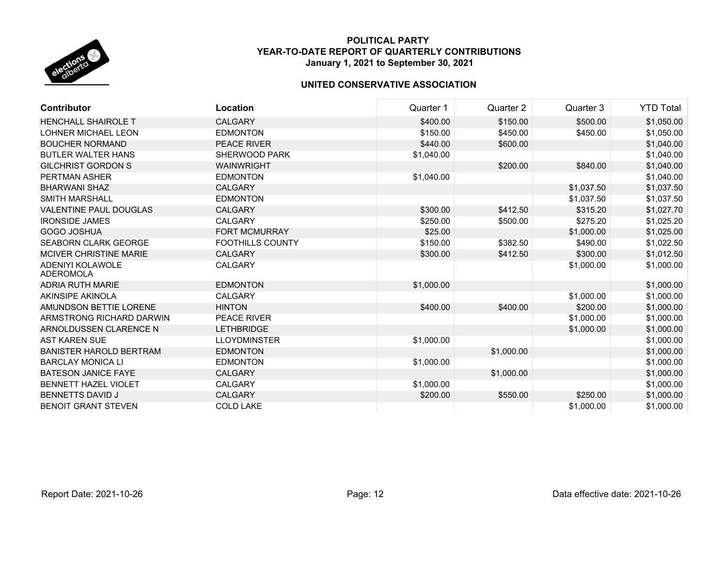

| <b>Contributor</b>             | <b>Location</b>         | Quarter 1  | Quarter 2  | Quarter 3  | <b>YTD Total</b> |
|--------------------------------|-------------------------|------------|------------|------------|------------------|
| <b>HENCHALL SHAIROLE T</b>     | <b>CALGARY</b>          | \$400.00   | \$150.00   | \$500.00   | \$1,050.00       |
| LOHNER MICHAEL LEON            | <b>EDMONTON</b>         | \$150.00   | \$450.00   | \$450.00   | \$1,050.00       |
| <b>BOUCHER NORMAND</b>         | PEACE RIVER             | \$440.00   | \$600.00   |            | \$1,040.00       |
| <b>BUTLER WALTER HANS</b>      | <b>SHERWOOD PARK</b>    | \$1,040.00 |            |            | \$1,040.00       |
| <b>GILCHRIST GORDON S</b>      | <b>WAINWRIGHT</b>       |            | \$200.00   | \$840.00   | \$1,040.00       |
| <b>PERTMAN ASHER</b>           | <b>EDMONTON</b>         | \$1,040.00 |            |            | \$1,040.00       |
| <b>BHARWANI SHAZ</b>           | <b>CALGARY</b>          |            |            | \$1,037.50 | \$1,037.50       |
| <b>SMITH MARSHALL</b>          | <b>EDMONTON</b>         |            |            | \$1,037.50 | \$1,037.50       |
| <b>VALENTINE PAUL DOUGLAS</b>  | <b>CALGARY</b>          | \$300.00   | \$412.50   | \$315.20   | \$1,027.70       |
| <b>IRONSIDE JAMES</b>          | <b>CALGARY</b>          | \$250.00   | \$500.00   | \$275.20   | \$1,025.20       |
| <b>GOGO JOSHUA</b>             | <b>FORT MCMURRAY</b>    | \$25.00    |            | \$1,000.00 | \$1,025.00       |
| <b>SEABORN CLARK GEORGE</b>    | <b>FOOTHILLS COUNTY</b> | \$150.00   | \$382.50   | \$490.00   | \$1,022.50       |
| <b>MCIVER CHRISTINE MARIE</b>  | <b>CALGARY</b>          | \$300.00   | \$412.50   | \$300.00   | \$1,012.50       |
| ADENIYI KOLAWOLE<br>ADEROMOLA  | <b>CALGARY</b>          |            |            | \$1,000.00 | \$1,000.00       |
| ADRIA RUTH MARIE               | <b>EDMONTON</b>         | \$1,000.00 |            |            | \$1,000.00       |
| AKINSIPE AKINOLA               | <b>CALGARY</b>          |            |            | \$1,000.00 | \$1,000.00       |
| AMUNDSON BETTIE LORENE         | <b>HINTON</b>           | \$400.00   | \$400.00   | \$200.00   | \$1,000.00       |
| ARMSTRONG RICHARD DARWIN       | <b>PEACE RIVER</b>      |            |            | \$1,000.00 | \$1,000.00       |
| ARNOLDUSSEN CLARENCE N         | <b>LETHBRIDGE</b>       |            |            | \$1,000.00 | \$1,000.00       |
| <b>AST KAREN SUE</b>           | <b>LLOYDMINSTER</b>     | \$1,000.00 |            |            | \$1,000.00       |
| <b>BANISTER HAROLD BERTRAM</b> | <b>EDMONTON</b>         |            | \$1,000.00 |            | \$1,000.00       |
| <b>BARCLAY MONICA LI</b>       | <b>EDMONTON</b>         | \$1,000.00 |            |            | \$1,000.00       |
| <b>BATESON JANICE FAYE</b>     | <b>CALGARY</b>          |            | \$1,000.00 |            | \$1,000.00       |
| <b>BENNETT HAZEL VIOLET</b>    | <b>CALGARY</b>          | \$1,000.00 |            |            | \$1,000.00       |
| <b>BENNETTS DAVID J</b>        | <b>CALGARY</b>          | \$200.00   | \$550.00   | \$250.00   | \$1,000.00       |
| <b>BENOIT GRANT STEVEN</b>     | <b>COLD LAKE</b>        |            |            | \$1,000.00 | \$1,000.00       |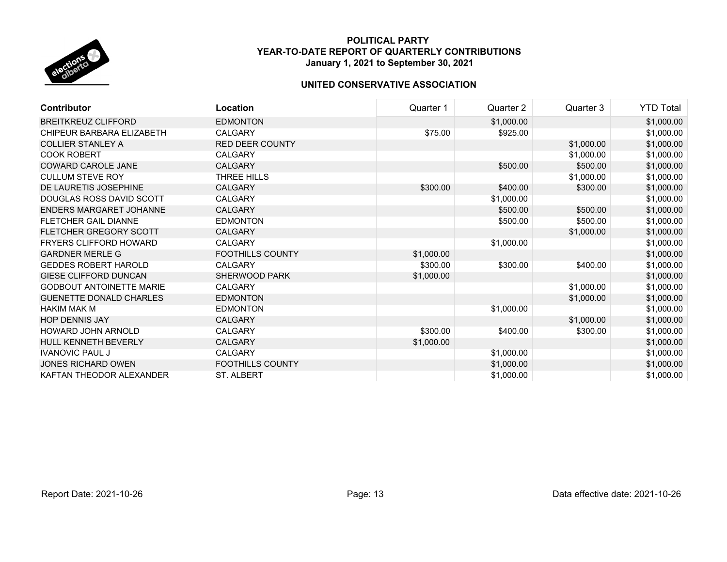

| <b>Contributor</b>              | Location                | Quarter 1  | Quarter 2  | Quarter 3  | <b>YTD Total</b> |
|---------------------------------|-------------------------|------------|------------|------------|------------------|
| <b>BREITKREUZ CLIFFORD</b>      | <b>EDMONTON</b>         |            | \$1,000.00 |            | \$1,000.00       |
| CHIPEUR BARBARA ELIZABETH       | <b>CALGARY</b>          | \$75.00    | \$925.00   |            | \$1,000.00       |
| <b>COLLIER STANLEY A</b>        | <b>RED DEER COUNTY</b>  |            |            | \$1,000.00 | \$1,000.00       |
| <b>COOK ROBERT</b>              | CALGARY                 |            |            | \$1,000.00 | \$1,000.00       |
| <b>COWARD CAROLE JANE</b>       | <b>CALGARY</b>          |            | \$500.00   | \$500.00   | \$1,000.00       |
| <b>CULLUM STEVE ROY</b>         | THREE HILLS             |            |            | \$1,000.00 | \$1,000.00       |
| DE LAURETIS JOSEPHINE           | <b>CALGARY</b>          | \$300.00   | \$400.00   | \$300.00   | \$1,000.00       |
| DOUGLAS ROSS DAVID SCOTT        | <b>CALGARY</b>          |            | \$1,000.00 |            | \$1,000.00       |
| ENDERS MARGARET JOHANNE         | <b>CALGARY</b>          |            | \$500.00   | \$500.00   | \$1,000.00       |
| <b>FLETCHER GAIL DIANNE</b>     | <b>EDMONTON</b>         |            | \$500.00   | \$500.00   | \$1,000.00       |
| <b>FLETCHER GREGORY SCOTT</b>   | <b>CALGARY</b>          |            |            | \$1,000.00 | \$1,000.00       |
| <b>FRYERS CLIFFORD HOWARD</b>   | <b>CALGARY</b>          |            | \$1,000.00 |            | \$1,000.00       |
| <b>GARDNER MERLE G</b>          | <b>FOOTHILLS COUNTY</b> | \$1,000.00 |            |            | \$1,000.00       |
| <b>GEDDES ROBERT HAROLD</b>     | <b>CALGARY</b>          | \$300.00   | \$300.00   | \$400.00   | \$1,000.00       |
| <b>GIESE CLIFFORD DUNCAN</b>    | <b>SHERWOOD PARK</b>    | \$1,000.00 |            |            | \$1,000.00       |
| <b>GODBOUT ANTOINETTE MARIE</b> | <b>CALGARY</b>          |            |            | \$1,000.00 | \$1,000.00       |
| <b>GUENETTE DONALD CHARLES</b>  | <b>EDMONTON</b>         |            |            | \$1,000.00 | \$1,000.00       |
| <b>HAKIM MAK M</b>              | <b>EDMONTON</b>         |            | \$1,000.00 |            | \$1,000.00       |
| <b>HOP DENNIS JAY</b>           | <b>CALGARY</b>          |            |            | \$1,000.00 | \$1,000.00       |
| HOWARD JOHN ARNOLD              | <b>CALGARY</b>          | \$300.00   | \$400.00   | \$300.00   | \$1,000.00       |
| <b>HULL KENNETH BEVERLY</b>     | <b>CALGARY</b>          | \$1,000.00 |            |            | \$1,000.00       |
| <b>IVANOVIC PAUL J</b>          | CALGARY                 |            | \$1,000.00 |            | \$1,000.00       |
| JONES RICHARD OWEN              | <b>FOOTHILLS COUNTY</b> |            | \$1,000.00 |            | \$1,000.00       |
| KAFTAN THEODOR ALEXANDER        | <b>ST. ALBERT</b>       |            | \$1,000.00 |            | \$1,000.00       |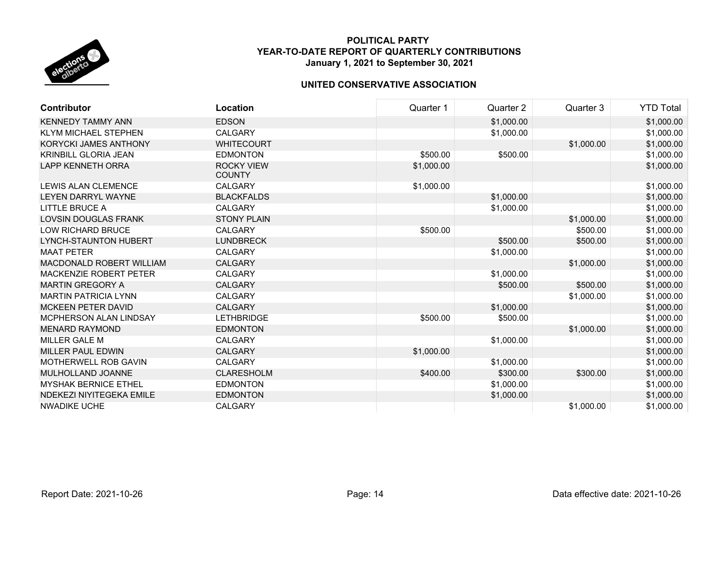

| <b>Contributor</b>              | Location                           | Quarter 1  | Quarter 2  | Quarter 3  | <b>YTD Total</b> |
|---------------------------------|------------------------------------|------------|------------|------------|------------------|
| <b>KENNEDY TAMMY ANN</b>        | <b>EDSON</b>                       |            | \$1,000.00 |            | \$1,000.00       |
| <b>KLYM MICHAEL STEPHEN</b>     | CALGARY                            |            | \$1,000.00 |            | \$1,000.00       |
| <b>KORYCKI JAMES ANTHONY</b>    | <b>WHITECOURT</b>                  |            |            | \$1,000.00 | \$1,000.00       |
| <b>KRINBILL GLORIA JEAN</b>     | <b>EDMONTON</b>                    | \$500.00   | \$500.00   |            | \$1,000.00       |
| <b>LAPP KENNETH ORRA</b>        | <b>ROCKY VIEW</b><br><b>COUNTY</b> | \$1,000.00 |            |            | \$1,000.00       |
| <b>LEWIS ALAN CLEMENCE</b>      | <b>CALGARY</b>                     | \$1,000.00 |            |            | \$1,000.00       |
| <b>LEYEN DARRYL WAYNE</b>       | <b>BLACKFALDS</b>                  |            | \$1,000.00 |            | \$1,000.00       |
| LITTLE BRUCE A                  | CALGARY                            |            | \$1,000.00 |            | \$1,000.00       |
| <b>LOVSIN DOUGLAS FRANK</b>     | <b>STONY PLAIN</b>                 |            |            | \$1,000.00 | \$1,000.00       |
| <b>LOW RICHARD BRUCE</b>        | <b>CALGARY</b>                     | \$500.00   |            | \$500.00   | \$1,000.00       |
| <b>LYNCH-STAUNTON HUBERT</b>    | <b>LUNDBRECK</b>                   |            | \$500.00   | \$500.00   | \$1,000.00       |
| <b>MAAT PETER</b>               | <b>CALGARY</b>                     |            | \$1,000.00 |            | \$1,000.00       |
| <b>MACDONALD ROBERT WILLIAM</b> | <b>CALGARY</b>                     |            |            | \$1,000.00 | \$1,000.00       |
| MACKENZIE ROBERT PETER          | <b>CALGARY</b>                     |            | \$1,000.00 |            | \$1,000.00       |
| <b>MARTIN GREGORY A</b>         | <b>CALGARY</b>                     |            | \$500.00   | \$500.00   | \$1,000.00       |
| <b>MARTIN PATRICIA LYNN</b>     | <b>CALGARY</b>                     |            |            | \$1,000.00 | \$1,000.00       |
| <b>MCKEEN PETER DAVID</b>       | <b>CALGARY</b>                     |            | \$1,000.00 |            | \$1,000.00       |
| MCPHERSON ALAN LINDSAY          | <b>LETHBRIDGE</b>                  | \$500.00   | \$500.00   |            | \$1,000.00       |
| <b>MENARD RAYMOND</b>           | <b>EDMONTON</b>                    |            |            | \$1,000.00 | \$1,000.00       |
| MILLER GALE M                   | <b>CALGARY</b>                     |            | \$1,000.00 |            | \$1,000.00       |
| <b>MILLER PAUL EDWIN</b>        | <b>CALGARY</b>                     | \$1,000.00 |            |            | \$1,000.00       |
| <b>MOTHERWELL ROB GAVIN</b>     | CALGARY                            |            | \$1,000.00 |            | \$1,000.00       |
| MULHOLLAND JOANNE               | <b>CLARESHOLM</b>                  | \$400.00   | \$300.00   | \$300.00   | \$1,000.00       |
| <b>MYSHAK BERNICE ETHEL</b>     | <b>EDMONTON</b>                    |            | \$1,000.00 |            | \$1,000.00       |
| NDEKEZI NIYITEGEKA EMILE        | <b>EDMONTON</b>                    |            | \$1,000.00 |            | \$1,000.00       |
| <b>NWADIKE UCHE</b>             | <b>CALGARY</b>                     |            |            | \$1,000.00 | \$1,000.00       |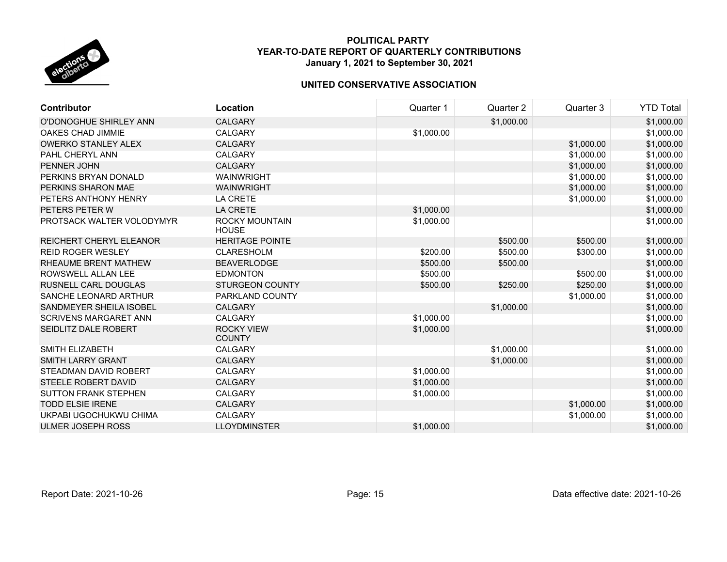

| <b>Contributor</b>             | Location                              | Quarter 1  | Quarter 2  | Quarter 3  | <b>YTD Total</b> |
|--------------------------------|---------------------------------------|------------|------------|------------|------------------|
| O'DONOGHUE SHIRLEY ANN         | <b>CALGARY</b>                        |            | \$1,000.00 |            | \$1,000.00       |
| OAKES CHAD JIMMIE              | <b>CALGARY</b>                        | \$1,000.00 |            |            | \$1,000.00       |
| <b>OWERKO STANLEY ALEX</b>     | <b>CALGARY</b>                        |            |            | \$1,000.00 | \$1,000.00       |
| PAHL CHERYL ANN                | <b>CALGARY</b>                        |            |            | \$1,000.00 | \$1,000.00       |
| PENNER JOHN                    | <b>CALGARY</b>                        |            |            | \$1,000.00 | \$1,000.00       |
| PERKINS BRYAN DONALD           | <b>WAINWRIGHT</b>                     |            |            | \$1,000.00 | \$1,000.00       |
| PERKINS SHARON MAE             | <b>WAINWRIGHT</b>                     |            |            | \$1,000.00 | \$1,000.00       |
| PETERS ANTHONY HENRY           | <b>LA CRETE</b>                       |            |            | \$1,000.00 | \$1,000.00       |
| PETERS PETER W                 | <b>LA CRETE</b>                       | \$1,000.00 |            |            | \$1,000.00       |
| PROTSACK WALTER VOLODYMYR      | <b>ROCKY MOUNTAIN</b><br><b>HOUSE</b> | \$1,000.00 |            |            | \$1,000.00       |
| <b>REICHERT CHERYL ELEANOR</b> | <b>HERITAGE POINTE</b>                |            | \$500.00   | \$500.00   | \$1,000.00       |
| <b>REID ROGER WESLEY</b>       | <b>CLARESHOLM</b>                     | \$200.00   | \$500.00   | \$300.00   | \$1,000.00       |
| <b>RHEAUME BRENT MATHEW</b>    | <b>BEAVERLODGE</b>                    | \$500.00   | \$500.00   |            | \$1,000.00       |
| ROWSWELL ALLAN LEE             | <b>EDMONTON</b>                       | \$500.00   |            | \$500.00   | \$1,000.00       |
| RUSNELL CARL DOUGLAS           | <b>STURGEON COUNTY</b>                | \$500.00   | \$250.00   | \$250.00   | \$1,000.00       |
| SANCHE LEONARD ARTHUR          | PARKLAND COUNTY                       |            |            | \$1,000.00 | \$1,000.00       |
| SANDMEYER SHEILA ISOBEL        | <b>CALGARY</b>                        |            | \$1,000.00 |            | \$1,000.00       |
| <b>SCRIVENS MARGARET ANN</b>   | <b>CALGARY</b>                        | \$1,000.00 |            |            | \$1,000.00       |
| SEIDLITZ DALE ROBERT           | <b>ROCKY VIEW</b><br><b>COUNTY</b>    | \$1,000.00 |            |            | \$1,000.00       |
| SMITH ELIZABETH                | <b>CALGARY</b>                        |            | \$1,000.00 |            | \$1,000.00       |
| <b>SMITH LARRY GRANT</b>       | <b>CALGARY</b>                        |            | \$1,000.00 |            | \$1,000.00       |
| STEADMAN DAVID ROBERT          | <b>CALGARY</b>                        | \$1,000.00 |            |            | \$1,000.00       |
| STEELE ROBERT DAVID            | <b>CALGARY</b>                        | \$1,000.00 |            |            | \$1,000.00       |
| <b>SUTTON FRANK STEPHEN</b>    | CALGARY                               | \$1,000.00 |            |            | \$1,000.00       |
| <b>TODD ELSIE IRENE</b>        | <b>CALGARY</b>                        |            |            | \$1,000.00 | \$1,000.00       |
| UKPABI UGOCHUKWU CHIMA         | CALGARY                               |            |            | \$1,000.00 | \$1,000.00       |
| <b>ULMER JOSEPH ROSS</b>       | <b>LLOYDMINSTER</b>                   | \$1,000.00 |            |            | \$1,000.00       |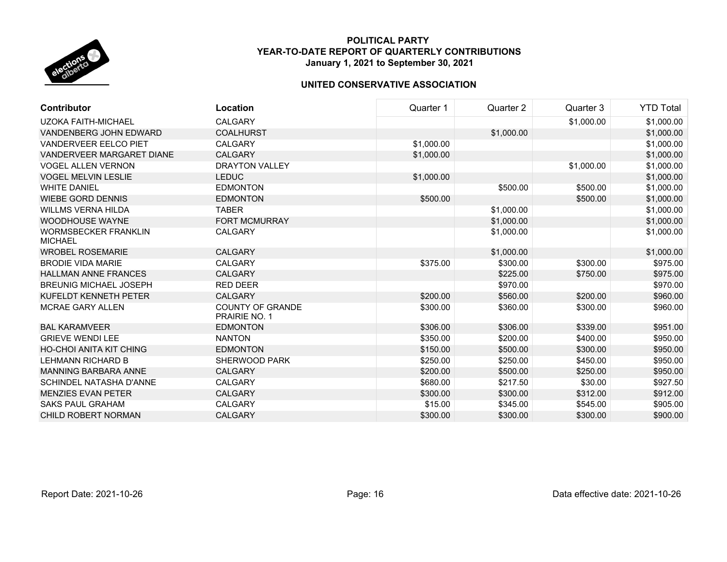

| <b>Contributor</b>                            | Location                                        | Quarter 1  | Quarter 2  | Quarter 3  | <b>YTD Total</b> |
|-----------------------------------------------|-------------------------------------------------|------------|------------|------------|------------------|
| <b>UZOKA FAITH-MICHAEL</b>                    | <b>CALGARY</b>                                  |            |            | \$1,000.00 | \$1,000.00       |
| VANDENBERG JOHN EDWARD                        | <b>COALHURST</b>                                |            | \$1,000.00 |            | \$1,000.00       |
| <b>VANDERVEER EELCO PIET</b>                  | <b>CALGARY</b>                                  | \$1,000.00 |            |            | \$1,000.00       |
| <b>VANDERVEER MARGARET DIANE</b>              | <b>CALGARY</b>                                  | \$1,000.00 |            |            | \$1,000.00       |
| <b>VOGEL ALLEN VERNON</b>                     | <b>DRAYTON VALLEY</b>                           |            |            | \$1,000.00 | \$1,000.00       |
| <b>VOGEL MELVIN LESLIE</b>                    | <b>LEDUC</b>                                    | \$1,000.00 |            |            | \$1,000.00       |
| <b>WHITE DANIEL</b>                           | <b>EDMONTON</b>                                 |            | \$500.00   | \$500.00   | \$1,000.00       |
| <b>WIEBE GORD DENNIS</b>                      | <b>EDMONTON</b>                                 | \$500.00   |            | \$500.00   | \$1,000.00       |
| <b>WILLMS VERNA HILDA</b>                     | <b>TABER</b>                                    |            | \$1,000.00 |            | \$1,000.00       |
| <b>WOODHOUSE WAYNE</b>                        | <b>FORT MCMURRAY</b>                            |            | \$1,000.00 |            | \$1,000.00       |
| <b>WORMSBECKER FRANKLIN</b><br><b>MICHAEL</b> | <b>CALGARY</b>                                  |            | \$1,000.00 |            | \$1,000.00       |
| <b>WROBEL ROSEMARIE</b>                       | <b>CALGARY</b>                                  |            | \$1,000.00 |            | \$1,000.00       |
| <b>BRODIE VIDA MARIE</b>                      | CALGARY                                         | \$375.00   | \$300.00   | \$300.00   | \$975.00         |
| <b>HALLMAN ANNE FRANCES</b>                   | <b>CALGARY</b>                                  |            | \$225.00   | \$750.00   | \$975.00         |
| <b>BREUNIG MICHAEL JOSEPH</b>                 | <b>RED DEER</b>                                 |            | \$970.00   |            | \$970.00         |
| KUFELDT KENNETH PETER                         | <b>CALGARY</b>                                  | \$200.00   | \$560.00   | \$200.00   | \$960.00         |
| <b>MCRAE GARY ALLEN</b>                       | <b>COUNTY OF GRANDE</b><br><b>PRAIRIE NO. 1</b> | \$300.00   | \$360.00   | \$300.00   | \$960.00         |
| <b>BAL KARAMVEER</b>                          | <b>EDMONTON</b>                                 | \$306.00   | \$306.00   | \$339.00   | \$951.00         |
| <b>GRIEVE WENDI LEE</b>                       | <b>NANTON</b>                                   | \$350.00   | \$200.00   | \$400.00   | \$950.00         |
| <b>HO-CHOI ANITA KIT CHING</b>                | <b>EDMONTON</b>                                 | \$150.00   | \$500.00   | \$300.00   | \$950.00         |
| <b>LEHMANN RICHARD B</b>                      | SHERWOOD PARK                                   | \$250.00   | \$250.00   | \$450.00   | \$950.00         |
| MANNING BARBARA ANNE                          | <b>CALGARY</b>                                  | \$200.00   | \$500.00   | \$250.00   | \$950.00         |
| <b>SCHINDEL NATASHA D'ANNE</b>                | <b>CALGARY</b>                                  | \$680.00   | \$217.50   | \$30.00    | \$927.50         |
| <b>MENZIES EVAN PETER</b>                     | <b>CALGARY</b>                                  | \$300.00   | \$300.00   | \$312.00   | \$912.00         |
| <b>SAKS PAUL GRAHAM</b>                       | <b>CALGARY</b>                                  | \$15.00    | \$345.00   | \$545.00   | \$905.00         |
| <b>CHILD ROBERT NORMAN</b>                    | <b>CALGARY</b>                                  | \$300.00   | \$300.00   | \$300.00   | \$900.00         |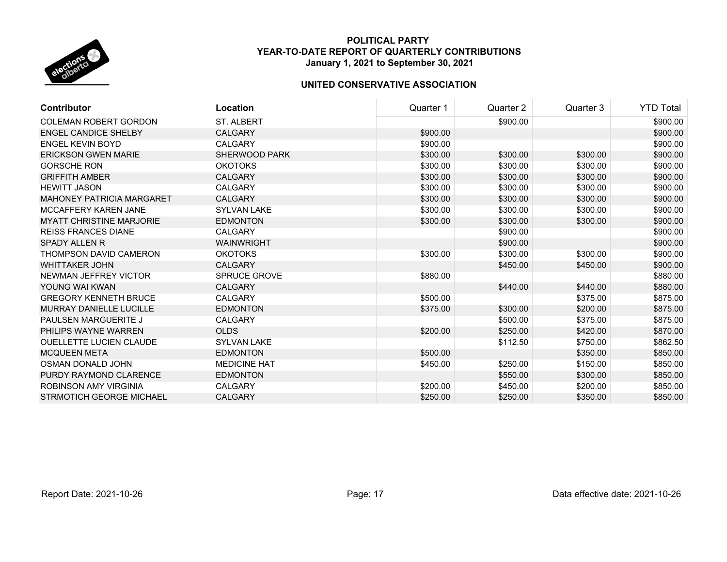

| Contributor                      | Location             | Quarter 1 | Quarter 2 | Quarter 3 | <b>YTD Total</b> |
|----------------------------------|----------------------|-----------|-----------|-----------|------------------|
| <b>COLEMAN ROBERT GORDON</b>     | <b>ST. ALBERT</b>    |           | \$900.00  |           | \$900.00         |
| <b>ENGEL CANDICE SHELBY</b>      | <b>CALGARY</b>       | \$900.00  |           |           | \$900.00         |
| <b>ENGEL KEVIN BOYD</b>          | <b>CALGARY</b>       | \$900.00  |           |           | \$900.00         |
| <b>ERICKSON GWEN MARIE</b>       | <b>SHERWOOD PARK</b> | \$300.00  | \$300.00  | \$300.00  | \$900.00         |
| <b>GORSCHE RON</b>               | <b>OKOTOKS</b>       | \$300.00  | \$300.00  | \$300.00  | \$900.00         |
| <b>GRIFFITH AMBER</b>            | <b>CALGARY</b>       | \$300.00  | \$300.00  | \$300.00  | \$900.00         |
| <b>HEWITT JASON</b>              | <b>CALGARY</b>       | \$300.00  | \$300.00  | \$300.00  | \$900.00         |
| <b>MAHONEY PATRICIA MARGARET</b> | <b>CALGARY</b>       | \$300.00  | \$300.00  | \$300.00  | \$900.00         |
| <b>MCCAFFERY KAREN JANE</b>      | <b>SYLVAN LAKE</b>   | \$300.00  | \$300.00  | \$300.00  | \$900.00         |
| <b>MYATT CHRISTINE MARJORIE</b>  | <b>EDMONTON</b>      | \$300.00  | \$300.00  | \$300.00  | \$900.00         |
| <b>REISS FRANCES DIANE</b>       | <b>CALGARY</b>       |           | \$900.00  |           | \$900.00         |
| <b>SPADY ALLEN R</b>             | <b>WAINWRIGHT</b>    |           | \$900.00  |           | \$900.00         |
| THOMPSON DAVID CAMERON           | <b>OKOTOKS</b>       | \$300.00  | \$300.00  | \$300.00  | \$900.00         |
| <b>WHITTAKER JOHN</b>            | <b>CALGARY</b>       |           | \$450.00  | \$450.00  | \$900.00         |
| NEWMAN JEFFREY VICTOR            | <b>SPRUCE GROVE</b>  | \$880.00  |           |           | \$880.00         |
| YOUNG WAI KWAN                   | <b>CALGARY</b>       |           | \$440.00  | \$440.00  | \$880.00         |
| <b>GREGORY KENNETH BRUCE</b>     | <b>CALGARY</b>       | \$500.00  |           | \$375.00  | \$875.00         |
| <b>MURRAY DANIELLE LUCILLE</b>   | <b>EDMONTON</b>      | \$375.00  | \$300.00  | \$200.00  | \$875.00         |
| PAULSEN MARGUERITE J             | <b>CALGARY</b>       |           | \$500.00  | \$375.00  | \$875.00         |
| PHILIPS WAYNE WARREN             | <b>OLDS</b>          | \$200.00  | \$250.00  | \$420.00  | \$870.00         |
| <b>OUELLETTE LUCIEN CLAUDE</b>   | <b>SYLVAN LAKE</b>   |           | \$112.50  | \$750.00  | \$862.50         |
| <b>MCQUEEN META</b>              | <b>EDMONTON</b>      | \$500.00  |           | \$350.00  | \$850.00         |
| OSMAN DONALD JOHN                | <b>MEDICINE HAT</b>  | \$450.00  | \$250.00  | \$150.00  | \$850.00         |
| PURDY RAYMOND CLARENCE           | <b>EDMONTON</b>      |           | \$550.00  | \$300.00  | \$850.00         |
| <b>ROBINSON AMY VIRGINIA</b>     | <b>CALGARY</b>       | \$200.00  | \$450.00  | \$200.00  | \$850.00         |
| STRMOTICH GEORGE MICHAEL         | <b>CALGARY</b>       | \$250.00  | \$250.00  | \$350.00  | \$850.00         |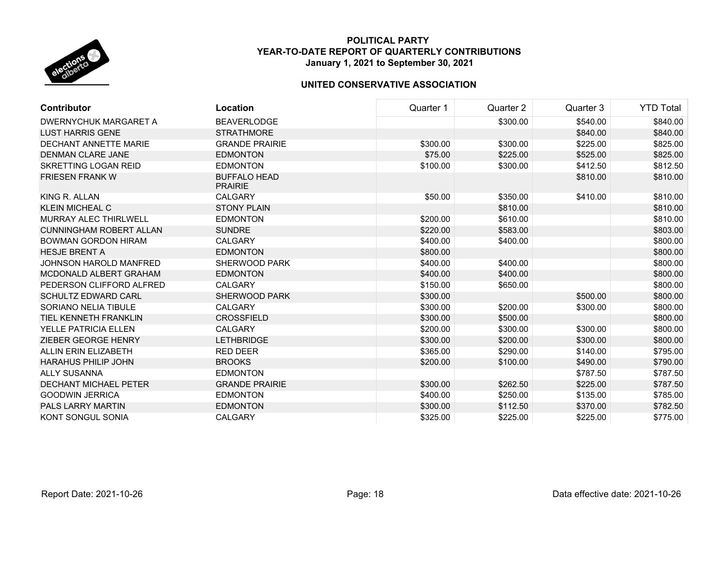

| <b>Contributor</b>             | Location                              | Quarter 1 | Quarter 2 | Quarter 3 | <b>YTD Total</b> |
|--------------------------------|---------------------------------------|-----------|-----------|-----------|------------------|
| DWERNYCHUK MARGARET A          | <b>BEAVERLODGE</b>                    |           | \$300.00  | \$540.00  | \$840.00         |
| <b>LUST HARRIS GENE</b>        | <b>STRATHMORE</b>                     |           |           | \$840.00  | \$840.00         |
| <b>DECHANT ANNETTE MARIE</b>   | <b>GRANDE PRAIRIE</b>                 | \$300.00  | \$300.00  | \$225.00  | \$825.00         |
| <b>DENMAN CLARE JANE</b>       | <b>EDMONTON</b>                       | \$75.00   | \$225.00  | \$525.00  | \$825.00         |
| <b>SKRETTING LOGAN REID</b>    | <b>EDMONTON</b>                       | \$100.00  | \$300.00  | \$412.50  | \$812.50         |
| <b>FRIESEN FRANK W</b>         | <b>BUFFALO HEAD</b><br><b>PRAIRIE</b> |           |           | \$810.00  | \$810.00         |
| KING R. ALLAN                  | <b>CALGARY</b>                        | \$50.00   | \$350.00  | \$410.00  | \$810.00         |
| <b>KLEIN MICHEAL C</b>         | <b>STONY PLAIN</b>                    |           | \$810.00  |           | \$810.00         |
| <b>MURRAY ALEC THIRLWELL</b>   | <b>EDMONTON</b>                       | \$200.00  | \$610.00  |           | \$810.00         |
| <b>CUNNINGHAM ROBERT ALLAN</b> | <b>SUNDRE</b>                         | \$220.00  | \$583.00  |           | \$803.00         |
| <b>BOWMAN GORDON HIRAM</b>     | <b>CALGARY</b>                        | \$400.00  | \$400.00  |           | \$800.00         |
| <b>HESJE BRENT A</b>           | <b>EDMONTON</b>                       | \$800.00  |           |           | \$800.00         |
| <b>JOHNSON HAROLD MANFRED</b>  | <b>SHERWOOD PARK</b>                  | \$400.00  | \$400.00  |           | \$800.00         |
| MCDONALD ALBERT GRAHAM         | <b>EDMONTON</b>                       | \$400.00  | \$400.00  |           | \$800.00         |
| PEDERSON CLIFFORD ALFRED       | <b>CALGARY</b>                        | \$150.00  | \$650.00  |           | \$800.00         |
| <b>SCHULTZ EDWARD CARL</b>     | <b>SHERWOOD PARK</b>                  | \$300.00  |           | \$500.00  | \$800.00         |
| <b>SORIANO NELIA TIBULE</b>    | <b>CALGARY</b>                        | \$300.00  | \$200.00  | \$300.00  | \$800.00         |
| TIEL KENNETH FRANKLIN          | <b>CROSSFIELD</b>                     | \$300.00  | \$500.00  |           | \$800.00         |
| <b>YELLE PATRICIA ELLEN</b>    | <b>CALGARY</b>                        | \$200.00  | \$300.00  | \$300.00  | \$800.00         |
| ZIEBER GEORGE HENRY            | <b>LETHBRIDGE</b>                     | \$300.00  | \$200.00  | \$300.00  | \$800.00         |
| <b>ALLIN ERIN ELIZABETH</b>    | <b>RED DEER</b>                       | \$365.00  | \$290.00  | \$140.00  | \$795.00         |
| HARAHUS PHILIP JOHN            | <b>BROOKS</b>                         | \$200.00  | \$100.00  | \$490.00  | \$790.00         |
| ALLY SUSANNA                   | <b>EDMONTON</b>                       |           |           | \$787.50  | \$787.50         |
| <b>DECHANT MICHAEL PETER</b>   | <b>GRANDE PRAIRIE</b>                 | \$300.00  | \$262.50  | \$225.00  | \$787.50         |
| <b>GOODWIN JERRICA</b>         | <b>EDMONTON</b>                       | \$400.00  | \$250.00  | \$135.00  | \$785.00         |
| <b>PALS LARRY MARTIN</b>       | <b>EDMONTON</b>                       | \$300.00  | \$112.50  | \$370.00  | \$782.50         |
| <b>KONT SONGUL SONIA</b>       | <b>CALGARY</b>                        | \$325.00  | \$225.00  | \$225.00  | \$775.00         |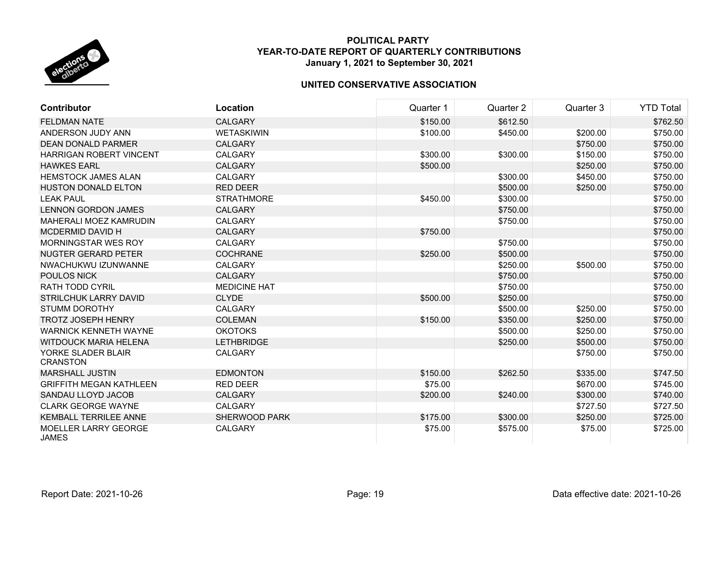

| <b>Contributor</b>                          | Location             | Quarter 1 | Quarter 2 | Quarter 3 | <b>YTD Total</b> |
|---------------------------------------------|----------------------|-----------|-----------|-----------|------------------|
| FELDMAN NATE                                | <b>CALGARY</b>       | \$150.00  | \$612.50  |           | \$762.50         |
| ANDERSON JUDY ANN                           | <b>WETASKIWIN</b>    | \$100.00  | \$450.00  | \$200.00  | \$750.00         |
| <b>DEAN DONALD PARMER</b>                   | <b>CALGARY</b>       |           |           | \$750.00  | \$750.00         |
| HARRIGAN ROBERT VINCENT                     | CALGARY              | \$300.00  | \$300.00  | \$150.00  | \$750.00         |
| <b>HAWKES EARL</b>                          | <b>CALGARY</b>       | \$500.00  |           | \$250.00  | \$750.00         |
| <b>HEMSTOCK JAMES ALAN</b>                  | <b>CALGARY</b>       |           | \$300.00  | \$450.00  | \$750.00         |
| <b>HUSTON DONALD ELTON</b>                  | <b>RED DEER</b>      |           | \$500.00  | \$250.00  | \$750.00         |
| <b>LEAK PAUL</b>                            | <b>STRATHMORE</b>    | \$450.00  | \$300.00  |           | \$750.00         |
| <b>LENNON GORDON JAMES</b>                  | <b>CALGARY</b>       |           | \$750.00  |           | \$750.00         |
| <b>MAHERALI MOEZ KAMRUDIN</b>               | <b>CALGARY</b>       |           | \$750.00  |           | \$750.00         |
| <b>MCDERMID DAVID H</b>                     | <b>CALGARY</b>       | \$750.00  |           |           | \$750.00         |
| MORNINGSTAR WES ROY                         | CALGARY              |           | \$750.00  |           | \$750.00         |
| NUGTER GERARD PETER                         | <b>COCHRANE</b>      | \$250.00  | \$500.00  |           | \$750.00         |
| NWACHUKWU IZUNWANNE                         | <b>CALGARY</b>       |           | \$250.00  | \$500.00  | \$750.00         |
| <b>POULOS NICK</b>                          | <b>CALGARY</b>       |           | \$750.00  |           | \$750.00         |
| <b>RATH TODD CYRIL</b>                      | <b>MEDICINE HAT</b>  |           | \$750.00  |           | \$750.00         |
| STRILCHUK LARRY DAVID                       | <b>CLYDE</b>         | \$500.00  | \$250.00  |           | \$750.00         |
| <b>STUMM DOROTHY</b>                        | CALGARY              |           | \$500.00  | \$250.00  | \$750.00         |
| <b>TROTZ JOSEPH HENRY</b>                   | <b>COLEMAN</b>       | \$150.00  | \$350.00  | \$250.00  | \$750.00         |
| <b>WARNICK KENNETH WAYNE</b>                | <b>OKOTOKS</b>       |           | \$500.00  | \$250.00  | \$750.00         |
| <b>WITDOUCK MARIA HELENA</b>                | <b>LETHBRIDGE</b>    |           | \$250.00  | \$500.00  | \$750.00         |
| YORKE SLADER BLAIR<br><b>CRANSTON</b>       | <b>CALGARY</b>       |           |           | \$750.00  | \$750.00         |
| <b>MARSHALL JUSTIN</b>                      | <b>EDMONTON</b>      | \$150.00  | \$262.50  | \$335.00  | \$747.50         |
| <b>GRIFFITH MEGAN KATHLEEN</b>              | <b>RED DEER</b>      | \$75.00   |           | \$670.00  | \$745.00         |
| SANDAU LLOYD JACOB                          | <b>CALGARY</b>       | \$200.00  | \$240.00  | \$300.00  | \$740.00         |
| <b>CLARK GEORGE WAYNE</b>                   | CALGARY              |           |           | \$727.50  | \$727.50         |
| <b>KEMBALL TERRILEE ANNE</b>                | <b>SHERWOOD PARK</b> | \$175.00  | \$300.00  | \$250.00  | \$725.00         |
| <b>MOELLER LARRY GEORGE</b><br><b>JAMES</b> | <b>CALGARY</b>       | \$75.00   | \$575.00  | \$75.00   | \$725.00         |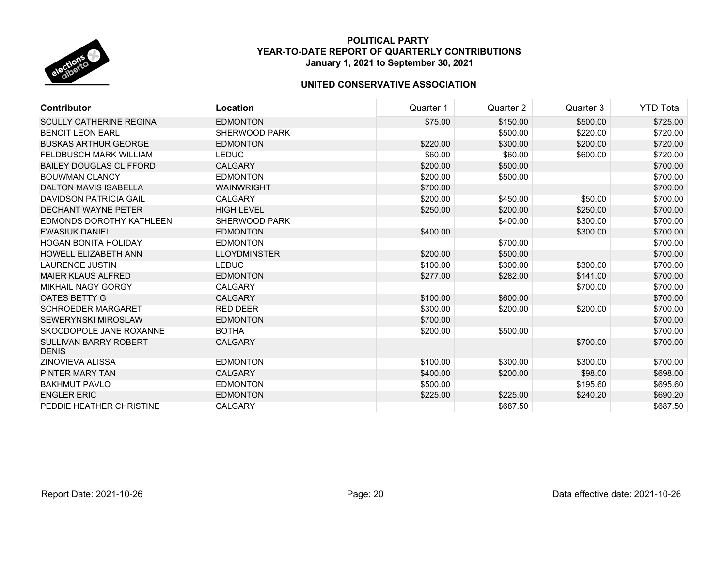

| <b>Contributor</b>                           | Location             | Quarter 1 | Quarter 2 | Quarter 3 | <b>YTD Total</b> |
|----------------------------------------------|----------------------|-----------|-----------|-----------|------------------|
| <b>SCULLY CATHERINE REGINA</b>               | <b>EDMONTON</b>      | \$75.00   | \$150.00  | \$500.00  | \$725.00         |
| <b>BENOIT LEON EARL</b>                      | SHERWOOD PARK        |           | \$500.00  | \$220.00  | \$720.00         |
| <b>BUSKAS ARTHUR GEORGE</b>                  | <b>EDMONTON</b>      | \$220.00  | \$300.00  | \$200.00  | \$720.00         |
| <b>FELDBUSCH MARK WILLIAM</b>                | <b>LEDUC</b>         | \$60.00   | \$60.00   | \$600.00  | \$720.00         |
| <b>BAILEY DOUGLAS CLIFFORD</b>               | <b>CALGARY</b>       | \$200.00  | \$500.00  |           | \$700.00         |
| <b>BOUWMAN CLANCY</b>                        | <b>EDMONTON</b>      | \$200.00  | \$500.00  |           | \$700.00         |
| <b>DALTON MAVIS ISABELLA</b>                 | <b>WAINWRIGHT</b>    | \$700.00  |           |           | \$700.00         |
| <b>DAVIDSON PATRICIA GAIL</b>                | CALGARY              | \$200.00  | \$450.00  | \$50.00   | \$700.00         |
| <b>DECHANT WAYNE PETER</b>                   | <b>HIGH LEVEL</b>    | \$250.00  | \$200.00  | \$250.00  | \$700.00         |
| EDMONDS DOROTHY KATHLEEN                     | <b>SHERWOOD PARK</b> |           | \$400.00  | \$300.00  | \$700.00         |
| <b>EWASIUK DANIEL</b>                        | <b>EDMONTON</b>      | \$400.00  |           | \$300.00  | \$700.00         |
| <b>HOGAN BONITA HOLIDAY</b>                  | <b>EDMONTON</b>      |           | \$700.00  |           | \$700.00         |
| <b>HOWELL ELIZABETH ANN</b>                  | <b>LLOYDMINSTER</b>  | \$200.00  | \$500.00  |           | \$700.00         |
| <b>LAURENCE JUSTIN</b>                       | <b>LEDUC</b>         | \$100.00  | \$300.00  | \$300.00  | \$700.00         |
| <b>MAIER KLAUS ALFRED</b>                    | <b>EDMONTON</b>      | \$277.00  | \$282.00  | \$141.00  | \$700.00         |
| <b>MIKHAIL NAGY GORGY</b>                    | <b>CALGARY</b>       |           |           | \$700.00  | \$700.00         |
| OATES BETTY G                                | <b>CALGARY</b>       | \$100.00  | \$600.00  |           | \$700.00         |
| <b>SCHROEDER MARGARET</b>                    | <b>RED DEER</b>      | \$300.00  | \$200.00  | \$200.00  | \$700.00         |
| <b>SEWERYNSKI MIROSLAW</b>                   | <b>EDMONTON</b>      | \$700.00  |           |           | \$700.00         |
| SKOCDOPOLE JANE ROXANNE                      | <b>BOTHA</b>         | \$200.00  | \$500.00  |           | \$700.00         |
| <b>SULLIVAN BARRY ROBERT</b><br><b>DENIS</b> | <b>CALGARY</b>       |           |           | \$700.00  | \$700.00         |
| ZINOVIEVA ALISSA                             | <b>EDMONTON</b>      | \$100.00  | \$300.00  | \$300.00  | \$700.00         |
| PINTER MARY TAN                              | <b>CALGARY</b>       | \$400.00  | \$200.00  | \$98.00   | \$698.00         |
| <b>BAKHMUT PAVLO</b>                         | <b>EDMONTON</b>      | \$500.00  |           | \$195.60  | \$695.60         |
| <b>ENGLER ERIC</b>                           | <b>EDMONTON</b>      | \$225.00  | \$225.00  | \$240.20  | \$690.20         |
| PEDDIE HEATHER CHRISTINE                     | <b>CALGARY</b>       |           | \$687.50  |           | \$687.50         |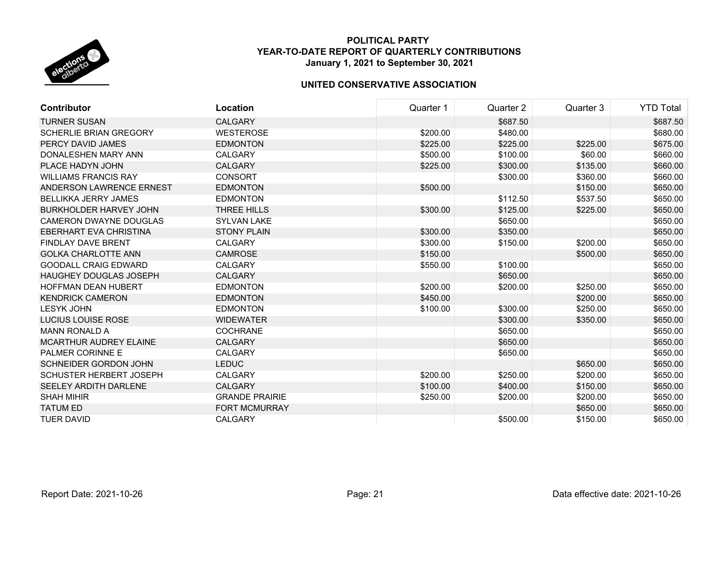

| Contributor                    | Location              | Quarter 1 | Quarter 2 | Quarter 3 | <b>YTD Total</b> |
|--------------------------------|-----------------------|-----------|-----------|-----------|------------------|
| <b>TURNER SUSAN</b>            | <b>CALGARY</b>        |           | \$687.50  |           | \$687.50         |
| <b>SCHERLIE BRIAN GREGORY</b>  | <b>WESTEROSE</b>      | \$200.00  | \$480.00  |           | \$680.00         |
| PERCY DAVID JAMES              | <b>EDMONTON</b>       | \$225.00  | \$225.00  | \$225.00  | \$675.00         |
| DONALESHEN MARY ANN            | <b>CALGARY</b>        | \$500.00  | \$100.00  | \$60.00   | \$660.00         |
| PLACE HADYN JOHN               | <b>CALGARY</b>        | \$225.00  | \$300.00  | \$135.00  | \$660.00         |
| <b>WILLIAMS FRANCIS RAY</b>    | <b>CONSORT</b>        |           | \$300.00  | \$360.00  | \$660.00         |
| ANDERSON LAWRENCE ERNEST       | <b>EDMONTON</b>       | \$500.00  |           | \$150.00  | \$650.00         |
| <b>BELLIKKA JERRY JAMES</b>    | <b>EDMONTON</b>       |           | \$112.50  | \$537.50  | \$650.00         |
| BURKHOLDER HARVEY JOHN         | THREE HILLS           | \$300.00  | \$125.00  | \$225.00  | \$650.00         |
| <b>CAMERON DWAYNE DOUGLAS</b>  | <b>SYLVAN LAKE</b>    |           | \$650.00  |           | \$650.00         |
| <b>EBERHART EVA CHRISTINA</b>  | <b>STONY PLAIN</b>    | \$300.00  | \$350.00  |           | \$650.00         |
| <b>FINDLAY DAVE BRENT</b>      | <b>CALGARY</b>        | \$300.00  | \$150.00  | \$200.00  | \$650.00         |
| <b>GOLKA CHARLOTTE ANN</b>     | <b>CAMROSE</b>        | \$150.00  |           | \$500.00  | \$650.00         |
| <b>GOODALL CRAIG EDWARD</b>    | <b>CALGARY</b>        | \$550.00  | \$100.00  |           | \$650.00         |
| <b>HAUGHEY DOUGLAS JOSEPH</b>  | <b>CALGARY</b>        |           | \$650.00  |           | \$650.00         |
| <b>HOFFMAN DEAN HUBERT</b>     | <b>EDMONTON</b>       | \$200.00  | \$200.00  | \$250.00  | \$650.00         |
| <b>KENDRICK CAMERON</b>        | <b>EDMONTON</b>       | \$450.00  |           | \$200.00  | \$650.00         |
| <b>LESYK JOHN</b>              | <b>EDMONTON</b>       | \$100.00  | \$300.00  | \$250.00  | \$650.00         |
| LUCIUS LOUISE ROSE             | <b>WIDEWATER</b>      |           | \$300.00  | \$350.00  | \$650.00         |
| <b>MANN RONALD A</b>           | <b>COCHRANE</b>       |           | \$650.00  |           | \$650.00         |
| <b>MCARTHUR AUDREY ELAINE</b>  | <b>CALGARY</b>        |           | \$650.00  |           | \$650.00         |
| <b>PALMER CORINNE E</b>        | <b>CALGARY</b>        |           | \$650.00  |           | \$650.00         |
| <b>SCHNEIDER GORDON JOHN</b>   | <b>LEDUC</b>          |           |           | \$650.00  | \$650.00         |
| <b>SCHUSTER HERBERT JOSEPH</b> | <b>CALGARY</b>        | \$200.00  | \$250.00  | \$200.00  | \$650.00         |
| <b>SEELEY ARDITH DARLENE</b>   | <b>CALGARY</b>        | \$100.00  | \$400.00  | \$150.00  | \$650.00         |
| <b>SHAH MIHIR</b>              | <b>GRANDE PRAIRIE</b> | \$250.00  | \$200.00  | \$200.00  | \$650.00         |
| <b>TATUM ED</b>                | <b>FORT MCMURRAY</b>  |           |           | \$650.00  | \$650.00         |
| <b>TUER DAVID</b>              | <b>CALGARY</b>        |           | \$500.00  | \$150.00  | \$650.00         |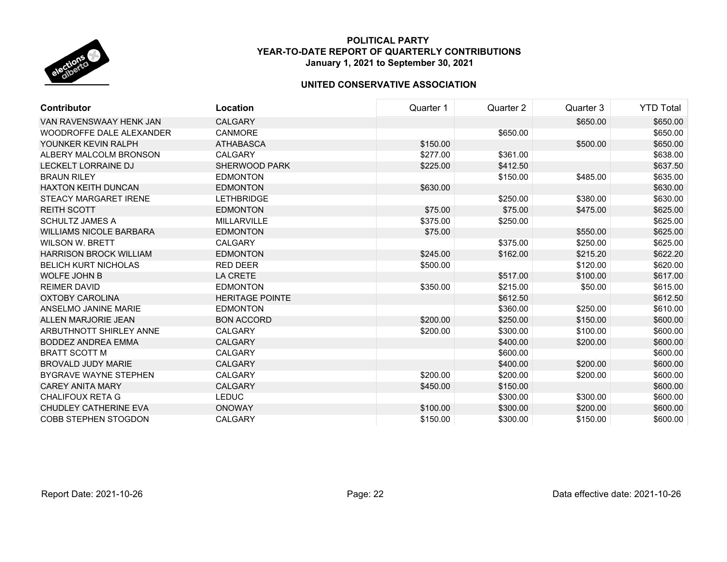

| <b>Contributor</b>             | Location               | Quarter 1 | Quarter 2 | Quarter 3 | <b>YTD Total</b> |
|--------------------------------|------------------------|-----------|-----------|-----------|------------------|
| VAN RAVENSWAAY HENK JAN        | <b>CALGARY</b>         |           |           | \$650.00  | \$650.00         |
| WOODROFFE DALE ALEXANDER       | <b>CANMORE</b>         |           | \$650.00  |           | \$650.00         |
| YOUNKER KEVIN RALPH            | <b>ATHABASCA</b>       | \$150.00  |           | \$500.00  | \$650.00         |
| ALBERY MALCOLM BRONSON         | <b>CALGARY</b>         | \$277.00  | \$361.00  |           | \$638.00         |
| <b>LECKELT LORRAINE DJ</b>     | <b>SHERWOOD PARK</b>   | \$225.00  | \$412.50  |           | \$637.50         |
| <b>BRAUN RILEY</b>             | <b>EDMONTON</b>        |           | \$150.00  | \$485.00  | \$635.00         |
| <b>HAXTON KEITH DUNCAN</b>     | <b>EDMONTON</b>        | \$630.00  |           |           | \$630.00         |
| <b>STEACY MARGARET IRENE</b>   | LETHBRIDGE             |           | \$250.00  | \$380.00  | \$630.00         |
| <b>REITH SCOTT</b>             | <b>EDMONTON</b>        | \$75.00   | \$75.00   | \$475.00  | \$625.00         |
| <b>SCHULTZ JAMES A</b>         | <b>MILLARVILLE</b>     | \$375.00  | \$250.00  |           | \$625.00         |
| <b>WILLIAMS NICOLE BARBARA</b> | <b>EDMONTON</b>        | \$75.00   |           | \$550.00  | \$625.00         |
| <b>WILSON W. BRETT</b>         | <b>CALGARY</b>         |           | \$375.00  | \$250.00  | \$625.00         |
| <b>HARRISON BROCK WILLIAM</b>  | <b>EDMONTON</b>        | \$245.00  | \$162.00  | \$215.20  | \$622.20         |
| <b>BELICH KURT NICHOLAS</b>    | <b>RED DEER</b>        | \$500.00  |           | \$120.00  | \$620.00         |
| <b>WOLFE JOHN B</b>            | <b>LA CRETE</b>        |           | \$517.00  | \$100.00  | \$617.00         |
| <b>REIMER DAVID</b>            | <b>EDMONTON</b>        | \$350.00  | \$215.00  | \$50.00   | \$615.00         |
| <b>OXTOBY CAROLINA</b>         | <b>HERITAGE POINTE</b> |           | \$612.50  |           | \$612.50         |
| ANSELMO JANINE MARIE           | <b>EDMONTON</b>        |           | \$360.00  | \$250.00  | \$610.00         |
| ALLEN MARJORIE JEAN            | <b>BON ACCORD</b>      | \$200.00  | \$250.00  | \$150.00  | \$600.00         |
| <b>ARBUTHNOTT SHIRLEY ANNE</b> | <b>CALGARY</b>         | \$200.00  | \$300.00  | \$100.00  | \$600.00         |
| <b>BODDEZ ANDREA EMMA</b>      | <b>CALGARY</b>         |           | \$400.00  | \$200.00  | \$600.00         |
| <b>BRATT SCOTT M</b>           | <b>CALGARY</b>         |           | \$600.00  |           | \$600.00         |
| <b>BROVALD JUDY MARIE</b>      | <b>CALGARY</b>         |           | \$400.00  | \$200.00  | \$600.00         |
| <b>BYGRAVE WAYNE STEPHEN</b>   | <b>CALGARY</b>         | \$200.00  | \$200.00  | \$200.00  | \$600.00         |
| <b>CAREY ANITA MARY</b>        | <b>CALGARY</b>         | \$450.00  | \$150.00  |           | \$600.00         |
| <b>CHALIFOUX RETA G</b>        | <b>LEDUC</b>           |           | \$300.00  | \$300.00  | \$600.00         |
| <b>CHUDLEY CATHERINE EVA</b>   | <b>ONOWAY</b>          | \$100.00  | \$300.00  | \$200.00  | \$600.00         |
| <b>COBB STEPHEN STOGDON</b>    | <b>CALGARY</b>         | \$150.00  | \$300.00  | \$150.00  | \$600.00         |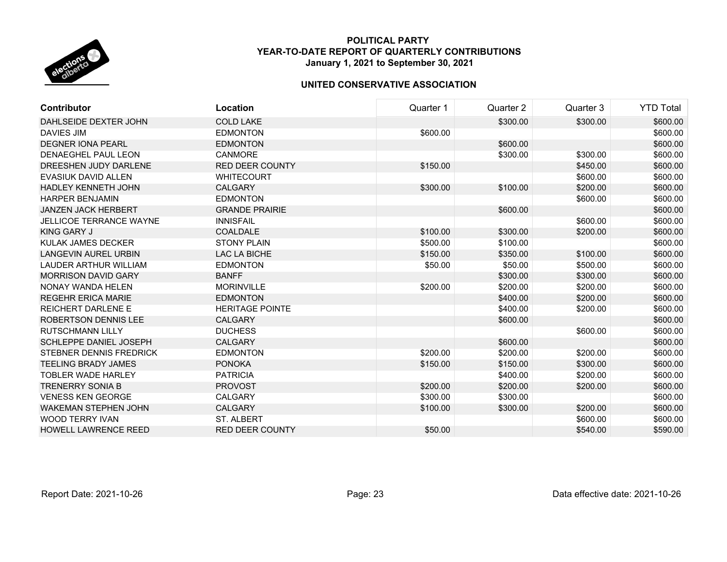

| <b>Contributor</b>             | Location               | Quarter 1 | Quarter 2 | Quarter 3 | <b>YTD Total</b> |
|--------------------------------|------------------------|-----------|-----------|-----------|------------------|
| DAHLSEIDE DEXTER JOHN          | <b>COLD LAKE</b>       |           | \$300.00  | \$300.00  | \$600.00         |
| <b>DAVIES JIM</b>              | <b>EDMONTON</b>        | \$600.00  |           |           | \$600.00         |
| <b>DEGNER IONA PEARL</b>       | <b>EDMONTON</b>        |           | \$600.00  |           | \$600.00         |
| DENAEGHEL PAUL LEON            | <b>CANMORE</b>         |           | \$300.00  | \$300.00  | \$600.00         |
| DREESHEN JUDY DARLENE          | <b>RED DEER COUNTY</b> | \$150.00  |           | \$450.00  | \$600.00         |
| <b>EVASIUK DAVID ALLEN</b>     | <b>WHITECOURT</b>      |           |           | \$600.00  | \$600.00         |
| <b>HADLEY KENNETH JOHN</b>     | <b>CALGARY</b>         | \$300.00  | \$100.00  | \$200.00  | \$600.00         |
| <b>HARPER BENJAMIN</b>         | <b>EDMONTON</b>        |           |           | \$600.00  | \$600.00         |
| <b>JANZEN JACK HERBERT</b>     | <b>GRANDE PRAIRIE</b>  |           | \$600.00  |           | \$600.00         |
| <b>JELLICOE TERRANCE WAYNE</b> | <b>INNISFAIL</b>       |           |           | \$600.00  | \$600.00         |
| KING GARY J                    | <b>COALDALE</b>        | \$100.00  | \$300.00  | \$200.00  | \$600.00         |
| KULAK JAMES DECKER             | <b>STONY PLAIN</b>     | \$500.00  | \$100.00  |           | \$600.00         |
| <b>LANGEVIN AUREL URBIN</b>    | LAC LA BICHE           | \$150.00  | \$350.00  | \$100.00  | \$600.00         |
| <b>LAUDER ARTHUR WILLIAM</b>   | <b>EDMONTON</b>        | \$50.00   | \$50.00   | \$500.00  | \$600.00         |
| <b>MORRISON DAVID GARY</b>     | <b>BANFF</b>           |           | \$300.00  | \$300.00  | \$600.00         |
| NONAY WANDA HELEN              | <b>MORINVILLE</b>      | \$200.00  | \$200.00  | \$200.00  | \$600.00         |
| <b>REGEHR ERICA MARIE</b>      | <b>EDMONTON</b>        |           | \$400.00  | \$200.00  | \$600.00         |
| <b>REICHERT DARLENE E</b>      | <b>HERITAGE POINTE</b> |           | \$400.00  | \$200.00  | \$600.00         |
| ROBERTSON DENNIS LEE           | <b>CALGARY</b>         |           | \$600.00  |           | \$600.00         |
| <b>RUTSCHMANN LILLY</b>        | <b>DUCHESS</b>         |           |           | \$600.00  | \$600.00         |
| <b>SCHLEPPE DANIEL JOSEPH</b>  | <b>CALGARY</b>         |           | \$600.00  |           | \$600.00         |
| STEBNER DENNIS FREDRICK        | <b>EDMONTON</b>        | \$200.00  | \$200.00  | \$200.00  | \$600.00         |
| <b>TEELING BRADY JAMES</b>     | <b>PONOKA</b>          | \$150.00  | \$150.00  | \$300.00  | \$600.00         |
| <b>TOBLER WADE HARLEY</b>      | <b>PATRICIA</b>        |           | \$400.00  | \$200.00  | \$600.00         |
| <b>TRENERRY SONIA B</b>        | <b>PROVOST</b>         | \$200.00  | \$200.00  | \$200.00  | \$600.00         |
| <b>VENESS KEN GEORGE</b>       | <b>CALGARY</b>         | \$300.00  | \$300.00  |           | \$600.00         |
| <b>WAKEMAN STEPHEN JOHN</b>    | <b>CALGARY</b>         | \$100.00  | \$300.00  | \$200.00  | \$600.00         |
| <b>WOOD TERRY IVAN</b>         | <b>ST. ALBERT</b>      |           |           | \$600.00  | \$600.00         |
| <b>HOWELL LAWRENCE REED</b>    | <b>RED DEER COUNTY</b> | \$50.00   |           | \$540.00  | \$590.00         |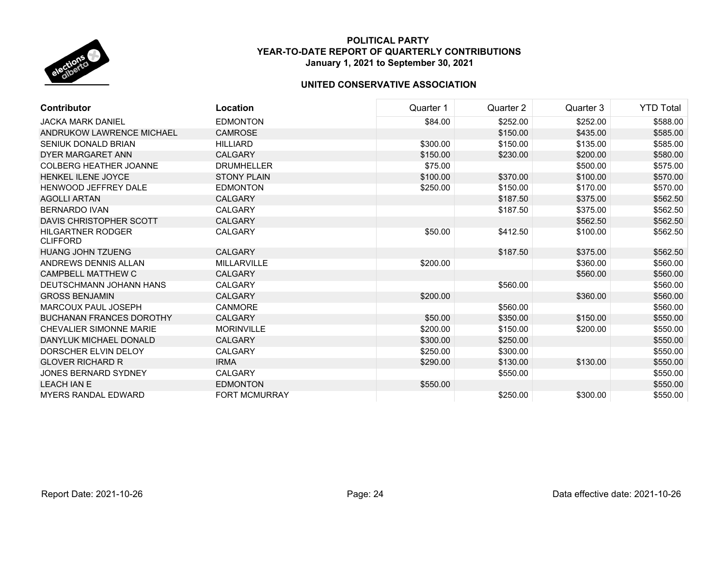

| <b>Contributor</b>                          | Location             | Quarter 1 | Quarter 2 | Quarter 3 | <b>YTD Total</b> |
|---------------------------------------------|----------------------|-----------|-----------|-----------|------------------|
| <b>JACKA MARK DANIEL</b>                    | <b>EDMONTON</b>      | \$84.00   | \$252.00  | \$252.00  | \$588.00         |
| ANDRUKOW LAWRENCE MICHAEL                   | <b>CAMROSE</b>       |           | \$150.00  | \$435.00  | \$585.00         |
| <b>SENIUK DONALD BRIAN</b>                  | <b>HILLIARD</b>      | \$300.00  | \$150.00  | \$135.00  | \$585.00         |
| <b>DYER MARGARET ANN</b>                    | <b>CALGARY</b>       | \$150.00  | \$230.00  | \$200.00  | \$580.00         |
| <b>COLBERG HEATHER JOANNE</b>               | <b>DRUMHELLER</b>    | \$75.00   |           | \$500.00  | \$575.00         |
| <b>HENKEL ILENE JOYCE</b>                   | <b>STONY PLAIN</b>   | \$100.00  | \$370.00  | \$100.00  | \$570.00         |
| HENWOOD JEFFREY DALE                        | <b>EDMONTON</b>      | \$250.00  | \$150.00  | \$170.00  | \$570.00         |
| <b>AGOLLI ARTAN</b>                         | <b>CALGARY</b>       |           | \$187.50  | \$375.00  | \$562.50         |
| <b>BERNARDO IVAN</b>                        | <b>CALGARY</b>       |           | \$187.50  | \$375.00  | \$562.50         |
| DAVIS CHRISTOPHER SCOTT                     | <b>CALGARY</b>       |           |           | \$562.50  | \$562.50         |
| <b>HILGARTNER RODGER</b><br><b>CLIFFORD</b> | <b>CALGARY</b>       | \$50.00   | \$412.50  | \$100.00  | \$562.50         |
| <b>HUANG JOHN TZUENG</b>                    | <b>CALGARY</b>       |           | \$187.50  | \$375.00  | \$562.50         |
| ANDREWS DENNIS ALLAN                        | <b>MILLARVILLE</b>   | \$200.00  |           | \$360.00  | \$560.00         |
| <b>CAMPBELL MATTHEW C</b>                   | <b>CALGARY</b>       |           |           | \$560.00  | \$560.00         |
| DEUTSCHMANN JOHANN HANS                     | <b>CALGARY</b>       |           | \$560.00  |           | \$560.00         |
| <b>GROSS BENJAMIN</b>                       | <b>CALGARY</b>       | \$200.00  |           | \$360.00  | \$560.00         |
| MARCOUX PAUL JOSEPH                         | <b>CANMORE</b>       |           | \$560.00  |           | \$560.00         |
| <b>BUCHANAN FRANCES DOROTHY</b>             | <b>CALGARY</b>       | \$50.00   | \$350.00  | \$150.00  | \$550.00         |
| <b>CHEVALIER SIMONNE MARIE</b>              | <b>MORINVILLE</b>    | \$200.00  | \$150.00  | \$200.00  | \$550.00         |
| DANYLUK MICHAEL DONALD                      | <b>CALGARY</b>       | \$300.00  | \$250.00  |           | \$550.00         |
| DORSCHER ELVIN DELOY                        | <b>CALGARY</b>       | \$250.00  | \$300.00  |           | \$550.00         |
| <b>GLOVER RICHARD R</b>                     | <b>IRMA</b>          | \$290.00  | \$130.00  | \$130.00  | \$550.00         |
| <b>JONES BERNARD SYDNEY</b>                 | <b>CALGARY</b>       |           | \$550.00  |           | \$550.00         |
| <b>LEACH IAN E</b>                          | <b>EDMONTON</b>      | \$550.00  |           |           | \$550.00         |
| <b>MYERS RANDAL EDWARD</b>                  | <b>FORT MCMURRAY</b> |           | \$250.00  | \$300.00  | \$550.00         |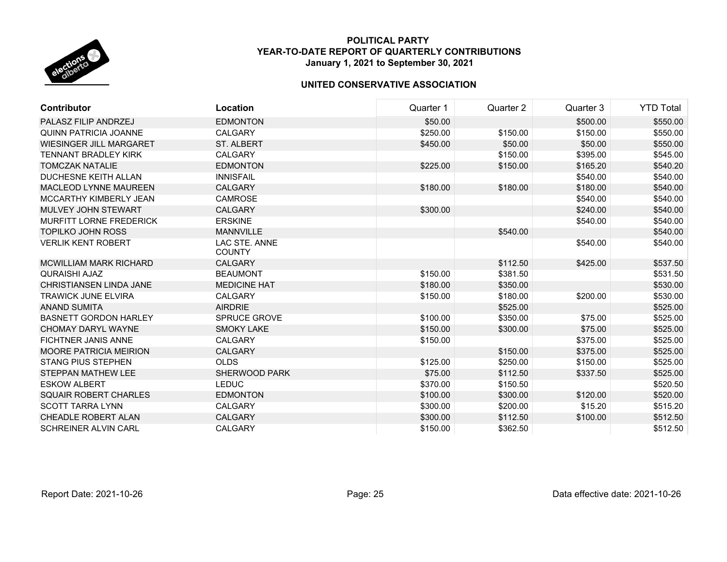

| <b>Contributor</b>             | Location                       | Quarter 1 | Quarter 2 | Quarter 3 | <b>YTD Total</b> |
|--------------------------------|--------------------------------|-----------|-----------|-----------|------------------|
| PALASZ FILIP ANDRZEJ           | <b>EDMONTON</b>                | \$50.00   |           | \$500.00  | \$550.00         |
| <b>QUINN PATRICIA JOANNE</b>   | <b>CALGARY</b>                 | \$250.00  | \$150.00  | \$150.00  | \$550.00         |
| <b>WIESINGER JILL MARGARET</b> | <b>ST. ALBERT</b>              | \$450.00  | \$50.00   | \$50.00   | \$550.00         |
| <b>TENNANT BRADLEY KIRK</b>    | <b>CALGARY</b>                 |           | \$150.00  | \$395.00  | \$545.00         |
| <b>TOMCZAK NATALIE</b>         | <b>EDMONTON</b>                | \$225.00  | \$150.00  | \$165.20  | \$540.20         |
| DUCHESNE KEITH ALLAN           | <b>INNISFAIL</b>               |           |           | \$540.00  | \$540.00         |
| <b>MACLEOD LYNNE MAUREEN</b>   | <b>CALGARY</b>                 | \$180.00  | \$180.00  | \$180.00  | \$540.00         |
| MCCARTHY KIMBERLY JEAN         | <b>CAMROSE</b>                 |           |           | \$540.00  | \$540.00         |
| MULVEY JOHN STEWART            | <b>CALGARY</b>                 | \$300.00  |           | \$240.00  | \$540.00         |
| <b>MURFITT LORNE FREDERICK</b> | <b>ERSKINE</b>                 |           |           | \$540.00  | \$540.00         |
| <b>TOPILKO JOHN ROSS</b>       | <b>MANNVILLE</b>               |           | \$540.00  |           | \$540.00         |
| <b>VERLIK KENT ROBERT</b>      | LAC STE. ANNE<br><b>COUNTY</b> |           |           | \$540.00  | \$540.00         |
| MCWILLIAM MARK RICHARD         | <b>CALGARY</b>                 |           | \$112.50  | \$425.00  | \$537.50         |
| <b>QURAISHI AJAZ</b>           | <b>BEAUMONT</b>                | \$150.00  | \$381.50  |           | \$531.50         |
| CHRISTIANSEN LINDA JANE        | <b>MEDICINE HAT</b>            | \$180.00  | \$350.00  |           | \$530.00         |
| <b>TRAWICK JUNE ELVIRA</b>     | <b>CALGARY</b>                 | \$150.00  | \$180.00  | \$200.00  | \$530.00         |
| <b>ANAND SUMITA</b>            | <b>AIRDRIE</b>                 |           | \$525.00  |           | \$525.00         |
| <b>BASNETT GORDON HARLEY</b>   | <b>SPRUCE GROVE</b>            | \$100.00  | \$350.00  | \$75.00   | \$525.00         |
| CHOMAY DARYL WAYNE             | <b>SMOKY LAKE</b>              | \$150.00  | \$300.00  | \$75.00   | \$525.00         |
| <b>FICHTNER JANIS ANNE</b>     | <b>CALGARY</b>                 | \$150.00  |           | \$375.00  | \$525.00         |
| <b>MOORE PATRICIA MEIRION</b>  | <b>CALGARY</b>                 |           | \$150.00  | \$375.00  | \$525.00         |
| <b>STANG PIUS STEPHEN</b>      | <b>OLDS</b>                    | \$125.00  | \$250.00  | \$150.00  | \$525.00         |
| <b>STEPPAN MATHEW LEE</b>      | SHERWOOD PARK                  | \$75.00   | \$112.50  | \$337.50  | \$525.00         |
| <b>ESKOW ALBERT</b>            | <b>LEDUC</b>                   | \$370.00  | \$150.50  |           | \$520.50         |
| <b>SQUAIR ROBERT CHARLES</b>   | <b>EDMONTON</b>                | \$100.00  | \$300.00  | \$120.00  | \$520.00         |
| <b>SCOTT TARRA LYNN</b>        | <b>CALGARY</b>                 | \$300.00  | \$200.00  | \$15.20   | \$515.20         |
| CHEADLE ROBERT ALAN            | <b>CALGARY</b>                 | \$300.00  | \$112.50  | \$100.00  | \$512.50         |
| SCHREINER ALVIN CARL           | <b>CALGARY</b>                 | \$150.00  | \$362.50  |           | \$512.50         |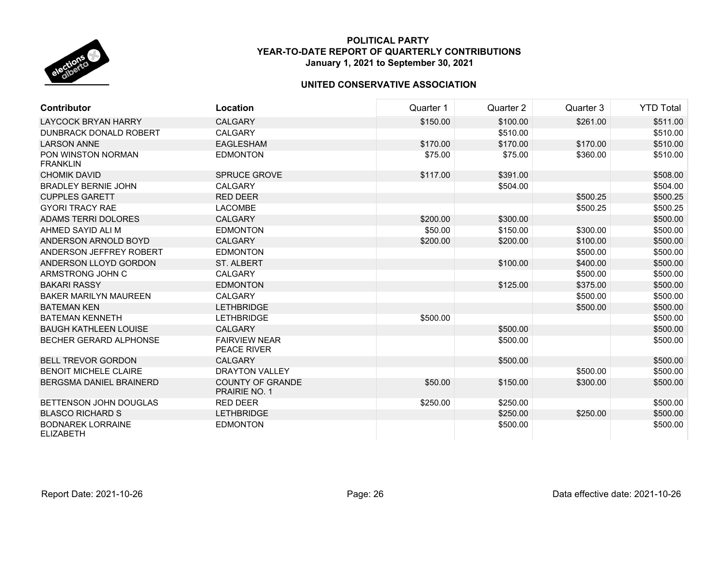

| <b>Contributor</b>                           | Location                                        | Quarter 1 | Quarter 2 | Quarter 3 | <b>YTD Total</b> |
|----------------------------------------------|-------------------------------------------------|-----------|-----------|-----------|------------------|
| <b>LAYCOCK BRYAN HARRY</b>                   | <b>CALGARY</b>                                  | \$150.00  | \$100.00  | \$261.00  | \$511.00         |
| <b>DUNBRACK DONALD ROBERT</b>                | <b>CALGARY</b>                                  |           | \$510.00  |           | \$510.00         |
| <b>LARSON ANNE</b>                           | <b>EAGLESHAM</b>                                | \$170.00  | \$170.00  | \$170.00  | \$510.00         |
| PON WINSTON NORMAN<br><b>FRANKLIN</b>        | <b>EDMONTON</b>                                 | \$75.00   | \$75.00   | \$360.00  | \$510.00         |
| <b>CHOMIK DAVID</b>                          | <b>SPRUCE GROVE</b>                             | \$117.00  | \$391.00  |           | \$508.00         |
| <b>BRADLEY BERNIE JOHN</b>                   | <b>CALGARY</b>                                  |           | \$504.00  |           | \$504.00         |
| <b>CUPPLES GARETT</b>                        | <b>RED DEER</b>                                 |           |           | \$500.25  | \$500.25         |
| <b>GYORI TRACY RAE</b>                       | <b>LACOMBE</b>                                  |           |           | \$500.25  | \$500.25         |
| <b>ADAMS TERRI DOLORES</b>                   | <b>CALGARY</b>                                  | \$200.00  | \$300.00  |           | \$500.00         |
| AHMED SAYID ALI M                            | <b>EDMONTON</b>                                 | \$50.00   | \$150.00  | \$300.00  | \$500.00         |
| ANDERSON ARNOLD BOYD                         | <b>CALGARY</b>                                  | \$200.00  | \$200.00  | \$100.00  | \$500.00         |
| ANDERSON JEFFREY ROBERT                      | <b>EDMONTON</b>                                 |           |           | \$500.00  | \$500.00         |
| ANDERSON LLOYD GORDON                        | <b>ST. ALBERT</b>                               |           | \$100.00  | \$400.00  | \$500.00         |
| ARMSTRONG JOHN C                             | <b>CALGARY</b>                                  |           |           | \$500.00  | \$500.00         |
| <b>BAKARI RASSY</b>                          | <b>EDMONTON</b>                                 |           | \$125.00  | \$375.00  | \$500.00         |
| <b>BAKER MARILYN MAUREEN</b>                 | <b>CALGARY</b>                                  |           |           | \$500.00  | \$500.00         |
| <b>BATEMAN KEN</b>                           | <b>LETHBRIDGE</b>                               |           |           | \$500.00  | \$500.00         |
| <b>BATEMAN KENNETH</b>                       | <b>LETHBRIDGE</b>                               | \$500.00  |           |           | \$500.00         |
| <b>BAUGH KATHLEEN LOUISE</b>                 | <b>CALGARY</b>                                  |           | \$500.00  |           | \$500.00         |
| <b>BECHER GERARD ALPHONSE</b>                | <b>FAIRVIEW NEAR</b><br><b>PEACE RIVER</b>      |           | \$500.00  |           | \$500.00         |
| <b>BELL TREVOR GORDON</b>                    | <b>CALGARY</b>                                  |           | \$500.00  |           | \$500.00         |
| <b>BENOIT MICHELE CLAIRE</b>                 | <b>DRAYTON VALLEY</b>                           |           |           | \$500.00  | \$500.00         |
| <b>BERGSMA DANIEL BRAINERD</b>               | <b>COUNTY OF GRANDE</b><br><b>PRAIRIE NO. 1</b> | \$50.00   | \$150.00  | \$300.00  | \$500.00         |
| BETTENSON JOHN DOUGLAS                       | <b>RED DEER</b>                                 | \$250.00  | \$250.00  |           | \$500.00         |
| <b>BLASCO RICHARD S</b>                      | <b>LETHBRIDGE</b>                               |           | \$250.00  | \$250.00  | \$500.00         |
| <b>BODNAREK LORRAINE</b><br><b>ELIZABETH</b> | <b>EDMONTON</b>                                 |           | \$500.00  |           | \$500.00         |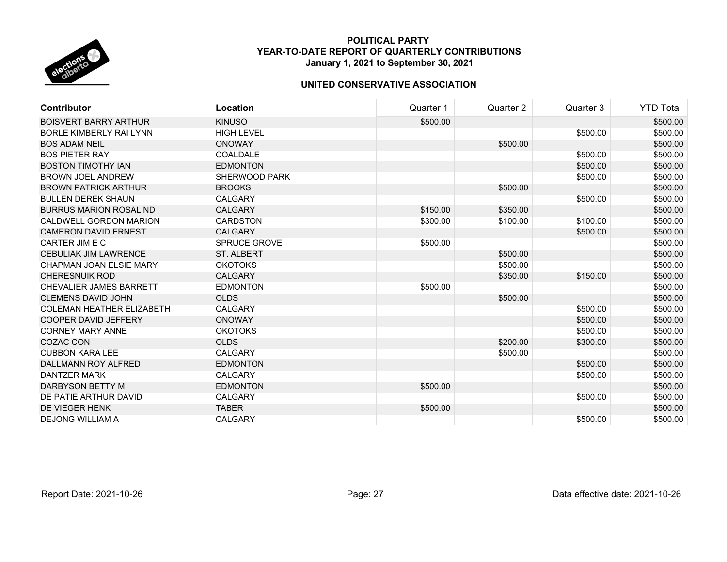

| <b>Contributor</b>               | Location             | Quarter 1 | Quarter 2 | Quarter 3 | <b>YTD Total</b> |
|----------------------------------|----------------------|-----------|-----------|-----------|------------------|
| <b>BOISVERT BARRY ARTHUR</b>     | <b>KINUSO</b>        | \$500.00  |           |           | \$500.00         |
| <b>BORLE KIMBERLY RAI LYNN</b>   | <b>HIGH LEVEL</b>    |           |           | \$500.00  | \$500.00         |
| <b>BOS ADAM NEIL</b>             | <b>ONOWAY</b>        |           | \$500.00  |           | \$500.00         |
| <b>BOS PIETER RAY</b>            | COALDALE             |           |           | \$500.00  | \$500.00         |
| <b>BOSTON TIMOTHY IAN</b>        | <b>EDMONTON</b>      |           |           | \$500.00  | \$500.00         |
| <b>BROWN JOEL ANDREW</b>         | <b>SHERWOOD PARK</b> |           |           | \$500.00  | \$500.00         |
| <b>BROWN PATRICK ARTHUR</b>      | <b>BROOKS</b>        |           | \$500.00  |           | \$500.00         |
| <b>BULLEN DEREK SHAUN</b>        | <b>CALGARY</b>       |           |           | \$500.00  | \$500.00         |
| <b>BURRUS MARION ROSALIND</b>    | <b>CALGARY</b>       | \$150.00  | \$350.00  |           | \$500.00         |
| CALDWELL GORDON MARION           | <b>CARDSTON</b>      | \$300.00  | \$100.00  | \$100.00  | \$500.00         |
| <b>CAMERON DAVID ERNEST</b>      | <b>CALGARY</b>       |           |           | \$500.00  | \$500.00         |
| CARTER JIM E C                   | <b>SPRUCE GROVE</b>  | \$500.00  |           |           | \$500.00         |
| <b>CEBULIAK JIM LAWRENCE</b>     | <b>ST. ALBERT</b>    |           | \$500.00  |           | \$500.00         |
| <b>CHAPMAN JOAN ELSIE MARY</b>   | <b>OKOTOKS</b>       |           | \$500.00  |           | \$500.00         |
| <b>CHERESNUIK ROD</b>            | <b>CALGARY</b>       |           | \$350.00  | \$150.00  | \$500.00         |
| CHEVALIER JAMES BARRETT          | <b>EDMONTON</b>      | \$500.00  |           |           | \$500.00         |
| <b>CLEMENS DAVID JOHN</b>        | <b>OLDS</b>          |           | \$500.00  |           | \$500.00         |
| <b>COLEMAN HEATHER ELIZABETH</b> | <b>CALGARY</b>       |           |           | \$500.00  | \$500.00         |
| <b>COOPER DAVID JEFFERY</b>      | <b>ONOWAY</b>        |           |           | \$500.00  | \$500.00         |
| <b>CORNEY MARY ANNE</b>          | <b>OKOTOKS</b>       |           |           | \$500.00  | \$500.00         |
| <b>COZAC CON</b>                 | <b>OLDS</b>          |           | \$200.00  | \$300.00  | \$500.00         |
| <b>CUBBON KARA LEE</b>           | <b>CALGARY</b>       |           | \$500.00  |           | \$500.00         |
| <b>DALLMANN ROY ALFRED</b>       | <b>EDMONTON</b>      |           |           | \$500.00  | \$500.00         |
| <b>DANTZER MARK</b>              | <b>CALGARY</b>       |           |           | \$500.00  | \$500.00         |
| DARBYSON BETTY M                 | <b>EDMONTON</b>      | \$500.00  |           |           | \$500.00         |
| DE PATIE ARTHUR DAVID            | <b>CALGARY</b>       |           |           | \$500.00  | \$500.00         |
| DE VIEGER HENK                   | <b>TABER</b>         | \$500.00  |           |           | \$500.00         |
| <b>DEJONG WILLIAM A</b>          | <b>CALGARY</b>       |           |           | \$500.00  | \$500.00         |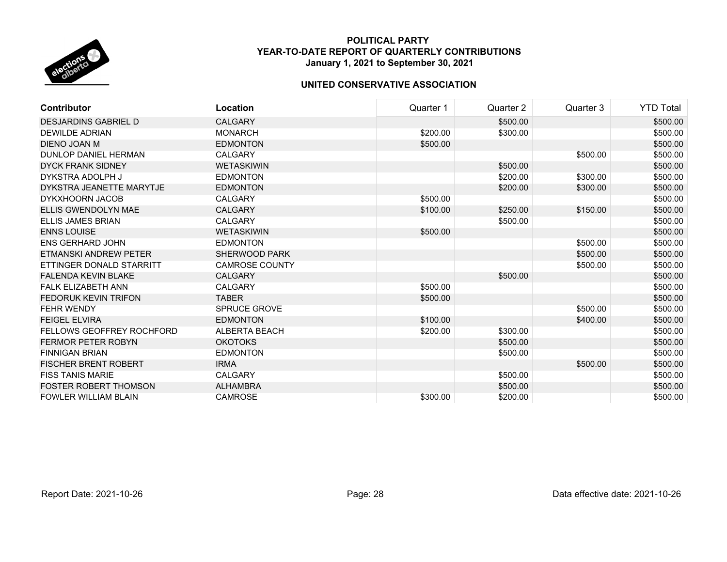

| <b>Contributor</b>               | Location              | Quarter 1 | Quarter 2 | Quarter 3 | <b>YTD Total</b> |
|----------------------------------|-----------------------|-----------|-----------|-----------|------------------|
| <b>DESJARDINS GABRIEL D</b>      | <b>CALGARY</b>        |           | \$500.00  |           | \$500.00         |
| DEWILDE ADRIAN                   | <b>MONARCH</b>        | \$200.00  | \$300.00  |           | \$500.00         |
| DIENO JOAN M                     | <b>EDMONTON</b>       | \$500.00  |           |           | \$500.00         |
| <b>DUNLOP DANIEL HERMAN</b>      | <b>CALGARY</b>        |           |           | \$500.00  | \$500.00         |
| <b>DYCK FRANK SIDNEY</b>         | <b>WETASKIWIN</b>     |           | \$500.00  |           | \$500.00         |
| DYKSTRA ADOLPH J                 | <b>EDMONTON</b>       |           | \$200.00  | \$300.00  | \$500.00         |
| DYKSTRA JEANETTE MARYTJE         | <b>EDMONTON</b>       |           | \$200.00  | \$300.00  | \$500.00         |
| <b>DYKXHOORN JACOB</b>           | <b>CALGARY</b>        | \$500.00  |           |           | \$500.00         |
| ELLIS GWENDOLYN MAE              | <b>CALGARY</b>        | \$100.00  | \$250.00  | \$150.00  | \$500.00         |
| <b>ELLIS JAMES BRIAN</b>         | <b>CALGARY</b>        |           | \$500.00  |           | \$500.00         |
| <b>ENNS LOUISE</b>               | <b>WETASKIWIN</b>     | \$500.00  |           |           | \$500.00         |
| <b>ENS GERHARD JOHN</b>          | <b>EDMONTON</b>       |           |           | \$500.00  | \$500.00         |
| <b>ETMANSKI ANDREW PETER</b>     | SHERWOOD PARK         |           |           | \$500.00  | \$500.00         |
| ETTINGER DONALD STARRITT         | <b>CAMROSE COUNTY</b> |           |           | \$500.00  | \$500.00         |
| <b>FALENDA KEVIN BLAKE</b>       | <b>CALGARY</b>        |           | \$500.00  |           | \$500.00         |
| <b>FALK ELIZABETH ANN</b>        | <b>CALGARY</b>        | \$500.00  |           |           | \$500.00         |
| <b>FEDORUK KEVIN TRIFON</b>      | <b>TABER</b>          | \$500.00  |           |           | \$500.00         |
| FEHR WENDY                       | SPRUCE GROVE          |           |           | \$500.00  | \$500.00         |
| <b>FEIGEL ELVIRA</b>             | <b>EDMONTON</b>       | \$100.00  |           | \$400.00  | \$500.00         |
| <b>FELLOWS GEOFFREY ROCHFORD</b> | <b>ALBERTA BEACH</b>  | \$200.00  | \$300.00  |           | \$500.00         |
| <b>FERMOR PETER ROBYN</b>        | <b>OKOTOKS</b>        |           | \$500.00  |           | \$500.00         |
| <b>FINNIGAN BRIAN</b>            | <b>EDMONTON</b>       |           | \$500.00  |           | \$500.00         |
| <b>FISCHER BRENT ROBERT</b>      | <b>IRMA</b>           |           |           | \$500.00  | \$500.00         |
| <b>FISS TANIS MARIE</b>          | <b>CALGARY</b>        |           | \$500.00  |           | \$500.00         |
| <b>FOSTER ROBERT THOMSON</b>     | <b>ALHAMBRA</b>       |           | \$500.00  |           | \$500.00         |
| <b>FOWLER WILLIAM BLAIN</b>      | <b>CAMROSE</b>        | \$300.00  | \$200.00  |           | \$500.00         |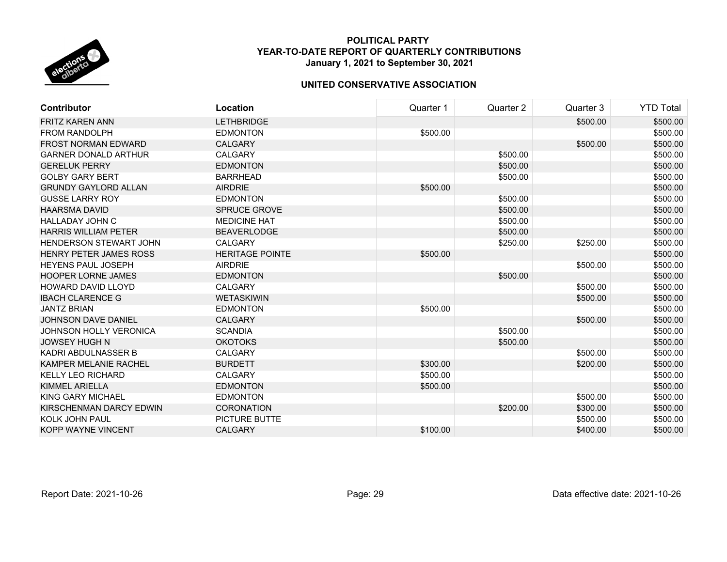

| <b>Contributor</b>            | Location               | Quarter 1 | Quarter 2 | Quarter 3 | <b>YTD Total</b> |
|-------------------------------|------------------------|-----------|-----------|-----------|------------------|
| <b>FRITZ KAREN ANN</b>        | <b>LETHBRIDGE</b>      |           |           | \$500.00  | \$500.00         |
| <b>FROM RANDOLPH</b>          | <b>EDMONTON</b>        | \$500.00  |           |           | \$500.00         |
| <b>FROST NORMAN EDWARD</b>    | <b>CALGARY</b>         |           |           | \$500.00  | \$500.00         |
| <b>GARNER DONALD ARTHUR</b>   | <b>CALGARY</b>         |           | \$500.00  |           | \$500.00         |
| <b>GERELUK PERRY</b>          | <b>EDMONTON</b>        |           | \$500.00  |           | \$500.00         |
| <b>GOLBY GARY BERT</b>        | <b>BARRHEAD</b>        |           | \$500.00  |           | \$500.00         |
| <b>GRUNDY GAYLORD ALLAN</b>   | <b>AIRDRIE</b>         | \$500.00  |           |           | \$500.00         |
| <b>GUSSE LARRY ROY</b>        | <b>EDMONTON</b>        |           | \$500.00  |           | \$500.00         |
| <b>HAARSMA DAVID</b>          | <b>SPRUCE GROVE</b>    |           | \$500.00  |           | \$500.00         |
| <b>HALLADAY JOHN C</b>        | <b>MEDICINE HAT</b>    |           | \$500.00  |           | \$500.00         |
| <b>HARRIS WILLIAM PETER</b>   | <b>BEAVERLODGE</b>     |           | \$500.00  |           | \$500.00         |
| <b>HENDERSON STEWART JOHN</b> | <b>CALGARY</b>         |           | \$250.00  | \$250.00  | \$500.00         |
| <b>HENRY PETER JAMES ROSS</b> | <b>HERITAGE POINTE</b> | \$500.00  |           |           | \$500.00         |
| <b>HEYENS PAUL JOSEPH</b>     | <b>AIRDRIE</b>         |           |           | \$500.00  | \$500.00         |
| <b>HOOPER LORNE JAMES</b>     | <b>EDMONTON</b>        |           | \$500.00  |           | \$500.00         |
| <b>HOWARD DAVID LLOYD</b>     | <b>CALGARY</b>         |           |           | \$500.00  | \$500.00         |
| <b>IBACH CLARENCE G</b>       | <b>WETASKIWIN</b>      |           |           | \$500.00  | \$500.00         |
| <b>JANTZ BRIAN</b>            | <b>EDMONTON</b>        | \$500.00  |           |           | \$500.00         |
| <b>JOHNSON DAVE DANIEL</b>    | <b>CALGARY</b>         |           |           | \$500.00  | \$500.00         |
| <b>JOHNSON HOLLY VERONICA</b> | <b>SCANDIA</b>         |           | \$500.00  |           | \$500.00         |
| <b>JOWSEY HUGH N</b>          | <b>OKOTOKS</b>         |           | \$500.00  |           | \$500.00         |
| KADRI ABDULNASSER B           | <b>CALGARY</b>         |           |           | \$500.00  | \$500.00         |
| KAMPER MELANIE RACHEL         | <b>BURDETT</b>         | \$300.00  |           | \$200.00  | \$500.00         |
| <b>KELLY LEO RICHARD</b>      | <b>CALGARY</b>         | \$500.00  |           |           | \$500.00         |
| <b>KIMMEL ARIELLA</b>         | <b>EDMONTON</b>        | \$500.00  |           |           | \$500.00         |
| KING GARY MICHAEL             | <b>EDMONTON</b>        |           |           | \$500.00  | \$500.00         |
| KIRSCHENMAN DARCY EDWIN       | <b>CORONATION</b>      |           | \$200.00  | \$300.00  | \$500.00         |
| KOLK JOHN PAUL                | <b>PICTURE BUTTE</b>   |           |           | \$500.00  | \$500.00         |
| KOPP WAYNE VINCENT            | <b>CALGARY</b>         | \$100.00  |           | \$400.00  | \$500.00         |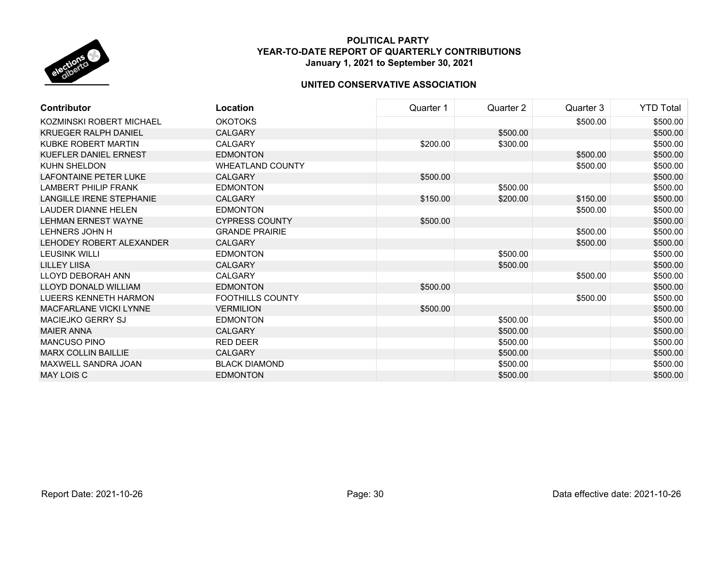

| <b>Contributor</b>           | Location                | Quarter 1 | Quarter 2 | Quarter 3 | <b>YTD Total</b> |
|------------------------------|-------------------------|-----------|-----------|-----------|------------------|
| KOZMINSKI ROBERT MICHAEL     | <b>OKOTOKS</b>          |           |           | \$500.00  | \$500.00         |
| <b>KRUEGER RALPH DANIEL</b>  | <b>CALGARY</b>          |           | \$500.00  |           | \$500.00         |
| KUBKE ROBERT MARTIN          | <b>CALGARY</b>          | \$200.00  | \$300.00  |           | \$500.00         |
| <b>KUEFLER DANIEL ERNEST</b> | <b>EDMONTON</b>         |           |           | \$500.00  | \$500.00         |
| KUHN SHELDON                 | <b>WHEATLAND COUNTY</b> |           |           | \$500.00  | \$500.00         |
| <b>LAFONTAINE PETER LUKE</b> | <b>CALGARY</b>          | \$500.00  |           |           | \$500.00         |
| LAMBERT PHILIP FRANK         | <b>EDMONTON</b>         |           | \$500.00  |           | \$500.00         |
| LANGILLE IRENE STEPHANIE     | <b>CALGARY</b>          | \$150.00  | \$200.00  | \$150.00  | \$500.00         |
| <b>LAUDER DIANNE HELEN</b>   | <b>EDMONTON</b>         |           |           | \$500.00  | \$500.00         |
| <b>LEHMAN ERNEST WAYNE</b>   | <b>CYPRESS COUNTY</b>   | \$500.00  |           |           | \$500.00         |
| LEHNERS JOHN H               | <b>GRANDE PRAIRIE</b>   |           |           | \$500.00  | \$500.00         |
| LEHODEY ROBERT ALEXANDER     | <b>CALGARY</b>          |           |           | \$500.00  | \$500.00         |
| <b>LEUSINK WILLI</b>         | <b>EDMONTON</b>         |           | \$500.00  |           | \$500.00         |
| <b>LILLEY LIISA</b>          | <b>CALGARY</b>          |           | \$500.00  |           | \$500.00         |
| LLOYD DEBORAH ANN            | <b>CALGARY</b>          |           |           | \$500.00  | \$500.00         |
| <b>LLOYD DONALD WILLIAM</b>  | <b>EDMONTON</b>         | \$500.00  |           |           | \$500.00         |
| LUEERS KENNETH HARMON        | <b>FOOTHILLS COUNTY</b> |           |           | \$500.00  | \$500.00         |
| MACFARLANE VICKI LYNNE       | <b>VERMILION</b>        | \$500.00  |           |           | \$500.00         |
| <b>MACIEJKO GERRY SJ</b>     | <b>EDMONTON</b>         |           | \$500.00  |           | \$500.00         |
| <b>MAIER ANNA</b>            | <b>CALGARY</b>          |           | \$500.00  |           | \$500.00         |
| <b>MANCUSO PINO</b>          | <b>RED DEER</b>         |           | \$500.00  |           | \$500.00         |
| <b>MARX COLLIN BAILLIE</b>   | <b>CALGARY</b>          |           | \$500.00  |           | \$500.00         |
| MAXWELL SANDRA JOAN          | <b>BLACK DIAMOND</b>    |           | \$500.00  |           | \$500.00         |
| MAY LOIS C                   | <b>EDMONTON</b>         |           | \$500.00  |           | \$500.00         |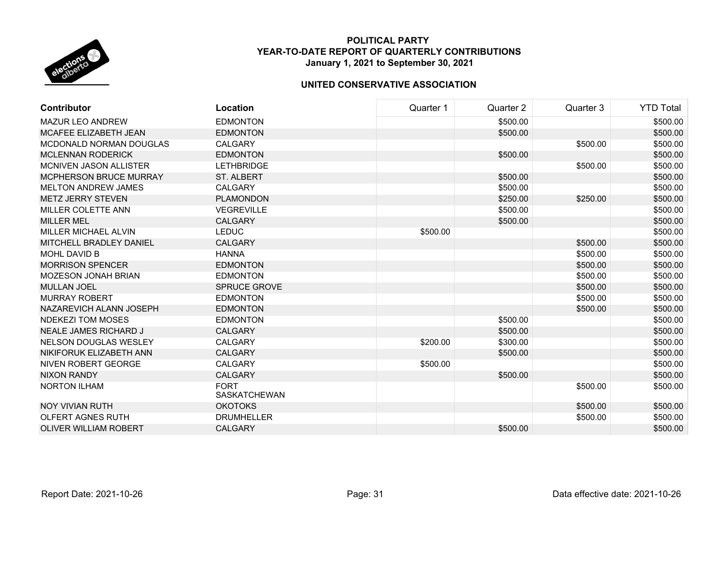

| <b>Contributor</b>            | Location                           | Quarter 1 | Quarter 2 | Quarter 3 | <b>YTD Total</b> |
|-------------------------------|------------------------------------|-----------|-----------|-----------|------------------|
| <b>MAZUR LEO ANDREW</b>       | <b>EDMONTON</b>                    |           | \$500.00  |           | \$500.00         |
| MCAFEE ELIZABETH JEAN         | <b>EDMONTON</b>                    |           | \$500.00  |           | \$500.00         |
| MCDONALD NORMAN DOUGLAS       | CALGARY                            |           |           | \$500.00  | \$500.00         |
| <b>MCLENNAN RODERICK</b>      | <b>EDMONTON</b>                    |           | \$500.00  |           | \$500.00         |
| MCNIVEN JASON ALLISTER        | <b>LETHBRIDGE</b>                  |           |           | \$500.00  | \$500.00         |
| <b>MCPHERSON BRUCE MURRAY</b> | <b>ST. ALBERT</b>                  |           | \$500.00  |           | \$500.00         |
| <b>MELTON ANDREW JAMES</b>    | <b>CALGARY</b>                     |           | \$500.00  |           | \$500.00         |
| <b>METZ JERRY STEVEN</b>      | <b>PLAMONDON</b>                   |           | \$250.00  | \$250.00  | \$500.00         |
| MILLER COLETTE ANN            | <b>VEGREVILLE</b>                  |           | \$500.00  |           | \$500.00         |
| <b>MILLER MEL</b>             | <b>CALGARY</b>                     |           | \$500.00  |           | \$500.00         |
| MILLER MICHAEL ALVIN          | <b>LEDUC</b>                       | \$500.00  |           |           | \$500.00         |
| MITCHELL BRADLEY DANIEL       | <b>CALGARY</b>                     |           |           | \$500.00  | \$500.00         |
| <b>MOHL DAVID B</b>           | <b>HANNA</b>                       |           |           | \$500.00  | \$500.00         |
| <b>MORRISON SPENCER</b>       | <b>EDMONTON</b>                    |           |           | \$500.00  | \$500.00         |
| <b>MOZESON JONAH BRIAN</b>    | <b>EDMONTON</b>                    |           |           | \$500.00  | \$500.00         |
| <b>MULLAN JOEL</b>            | <b>SPRUCE GROVE</b>                |           |           | \$500.00  | \$500.00         |
| <b>MURRAY ROBERT</b>          | <b>EDMONTON</b>                    |           |           | \$500.00  | \$500.00         |
| NAZAREVICH ALANN JOSEPH       | <b>EDMONTON</b>                    |           |           | \$500.00  | \$500.00         |
| <b>NDEKEZI TOM MOSES</b>      | <b>EDMONTON</b>                    |           | \$500.00  |           | \$500.00         |
| NEALE JAMES RICHARD J         | <b>CALGARY</b>                     |           | \$500.00  |           | \$500.00         |
| <b>NELSON DOUGLAS WESLEY</b>  | <b>CALGARY</b>                     | \$200.00  | \$300.00  |           | \$500.00         |
| NIKIFORUK ELIZABETH ANN       | <b>CALGARY</b>                     |           | \$500.00  |           | \$500.00         |
| NIVEN ROBERT GEORGE           | <b>CALGARY</b>                     | \$500.00  |           |           | \$500.00         |
| <b>NIXON RANDY</b>            | <b>CALGARY</b>                     |           | \$500.00  |           | \$500.00         |
| <b>NORTON ILHAM</b>           | <b>FORT</b><br><b>SASKATCHEWAN</b> |           |           | \$500.00  | \$500.00         |
| <b>NOY VIVIAN RUTH</b>        | <b>OKOTOKS</b>                     |           |           | \$500.00  | \$500.00         |
| <b>OLFERT AGNES RUTH</b>      | <b>DRUMHELLER</b>                  |           |           | \$500.00  | \$500.00         |
| <b>OLIVER WILLIAM ROBERT</b>  | <b>CALGARY</b>                     |           | \$500.00  |           | \$500.00         |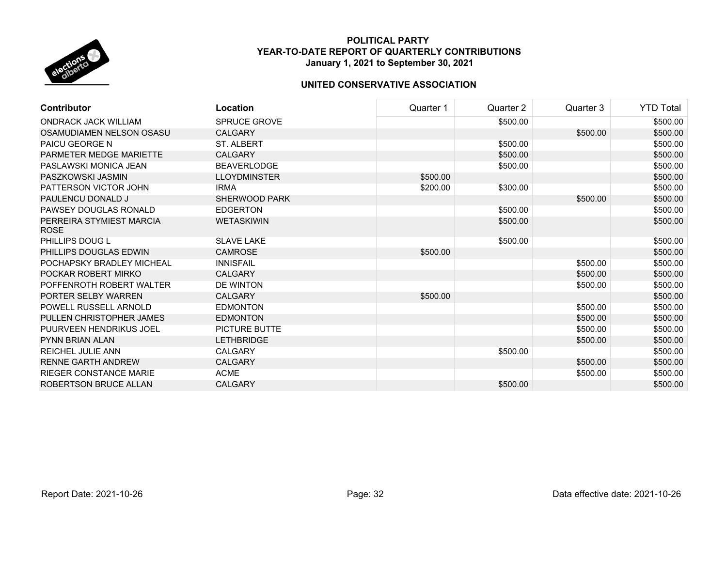

| <b>Contributor</b>                      | Location            | Quarter 1 | Quarter 2 | Quarter 3 | <b>YTD Total</b> |
|-----------------------------------------|---------------------|-----------|-----------|-----------|------------------|
| <b>ONDRACK JACK WILLIAM</b>             | <b>SPRUCE GROVE</b> |           | \$500.00  |           | \$500.00         |
| OSAMUDIAMEN NELSON OSASU                | <b>CALGARY</b>      |           |           | \$500.00  | \$500.00         |
| <b>PAICU GEORGE N</b>                   | <b>ST. ALBERT</b>   |           | \$500.00  |           | \$500.00         |
| PARMETER MEDGE MARIETTE                 | CALGARY             |           | \$500.00  |           | \$500.00         |
| PASLAWSKI MONICA JEAN                   | <b>BEAVERLODGE</b>  |           | \$500.00  |           | \$500.00         |
| PASZKOWSKI JASMIN                       | <b>LLOYDMINSTER</b> | \$500.00  |           |           | \$500.00         |
| PATTERSON VICTOR JOHN                   | <b>IRMA</b>         | \$200.00  | \$300.00  |           | \$500.00         |
| PAULENCU DONALD J                       | SHERWOOD PARK       |           |           | \$500.00  | \$500.00         |
| PAWSEY DOUGLAS RONALD                   | <b>EDGERTON</b>     |           | \$500.00  |           | \$500.00         |
| PERREIRA STYMIEST MARCIA<br><b>ROSE</b> | <b>WETASKIWIN</b>   |           | \$500.00  |           | \$500.00         |
| PHILLIPS DOUG L                         | <b>SLAVE LAKE</b>   |           | \$500.00  |           | \$500.00         |
| PHILLIPS DOUGLAS EDWIN                  | <b>CAMROSE</b>      | \$500.00  |           |           | \$500.00         |
| POCHAPSKY BRADLEY MICHEAL               | <b>INNISFAIL</b>    |           |           | \$500.00  | \$500.00         |
| POCKAR ROBERT MIRKO                     | <b>CALGARY</b>      |           |           | \$500.00  | \$500.00         |
| POFFENROTH ROBERT WALTER                | DE WINTON           |           |           | \$500.00  | \$500.00         |
| PORTER SELBY WARREN                     | <b>CALGARY</b>      | \$500.00  |           |           | \$500.00         |
| POWELL RUSSELL ARNOLD                   | <b>EDMONTON</b>     |           |           | \$500.00  | \$500.00         |
| PULLEN CHRISTOPHER JAMES                | <b>EDMONTON</b>     |           |           | \$500.00  | \$500.00         |
| PUURVEEN HENDRIKUS JOEL                 | PICTURE BUTTE       |           |           | \$500.00  | \$500.00         |
| <b>PYNN BRIAN ALAN</b>                  | <b>LETHBRIDGE</b>   |           |           | \$500.00  | \$500.00         |
| <b>REICHEL JULIE ANN</b>                | <b>CALGARY</b>      |           | \$500.00  |           | \$500.00         |
| <b>RENNE GARTH ANDREW</b>               | <b>CALGARY</b>      |           |           | \$500.00  | \$500.00         |
| <b>RIEGER CONSTANCE MARIE</b>           | <b>ACME</b>         |           |           | \$500.00  | \$500.00         |
| <b>ROBERTSON BRUCE ALLAN</b>            | <b>CALGARY</b>      |           | \$500.00  |           | \$500.00         |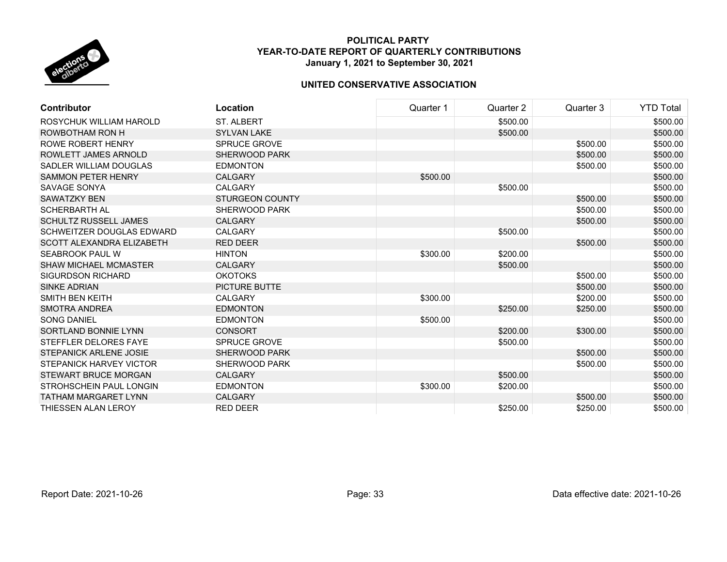

| Contributor                      | Location               | Quarter 1 | Quarter 2 | Quarter 3 | <b>YTD Total</b> |
|----------------------------------|------------------------|-----------|-----------|-----------|------------------|
| ROSYCHUK WILLIAM HAROLD          | <b>ST. ALBERT</b>      |           | \$500.00  |           | \$500.00         |
| ROWBOTHAM RON H                  | <b>SYLVAN LAKE</b>     |           | \$500.00  |           | \$500.00         |
| <b>ROWE ROBERT HENRY</b>         | <b>SPRUCE GROVE</b>    |           |           | \$500.00  | \$500.00         |
| ROWLETT JAMES ARNOLD             | <b>SHERWOOD PARK</b>   |           |           | \$500.00  | \$500.00         |
| SADLER WILLIAM DOUGLAS           | <b>EDMONTON</b>        |           |           | \$500.00  | \$500.00         |
| <b>SAMMON PETER HENRY</b>        | <b>CALGARY</b>         | \$500.00  |           |           | \$500.00         |
| SAVAGE SONYA                     | <b>CALGARY</b>         |           | \$500.00  |           | \$500.00         |
| <b>SAWATZKY BEN</b>              | <b>STURGEON COUNTY</b> |           |           | \$500.00  | \$500.00         |
| <b>SCHERBARTH AL</b>             | SHERWOOD PARK          |           |           | \$500.00  | \$500.00         |
| <b>SCHULTZ RUSSELL JAMES</b>     | <b>CALGARY</b>         |           |           | \$500.00  | \$500.00         |
| <b>SCHWEITZER DOUGLAS EDWARD</b> | <b>CALGARY</b>         |           | \$500.00  |           | \$500.00         |
| <b>SCOTT ALEXANDRA ELIZABETH</b> | <b>RED DEER</b>        |           |           | \$500.00  | \$500.00         |
| SEABROOK PAUL W                  | <b>HINTON</b>          | \$300.00  | \$200.00  |           | \$500.00         |
| <b>SHAW MICHAEL MCMASTER</b>     | <b>CALGARY</b>         |           | \$500.00  |           | \$500.00         |
| <b>SIGURDSON RICHARD</b>         | <b>OKOTOKS</b>         |           |           | \$500.00  | \$500.00         |
| <b>SINKE ADRIAN</b>              | <b>PICTURE BUTTE</b>   |           |           | \$500.00  | \$500.00         |
| SMITH BEN KEITH                  | <b>CALGARY</b>         | \$300.00  |           | \$200.00  | \$500.00         |
| <b>SMOTRA ANDREA</b>             | <b>EDMONTON</b>        |           | \$250.00  | \$250.00  | \$500.00         |
| <b>SONG DANIEL</b>               | <b>EDMONTON</b>        | \$500.00  |           |           | \$500.00         |
| SORTLAND BONNIE LYNN             | <b>CONSORT</b>         |           | \$200.00  | \$300.00  | \$500.00         |
| STEFFLER DELORES FAYE            | <b>SPRUCE GROVE</b>    |           | \$500.00  |           | \$500.00         |
| STEPANICK ARLENE JOSIE           | <b>SHERWOOD PARK</b>   |           |           | \$500.00  | \$500.00         |
| STEPANICK HARVEY VICTOR          | SHERWOOD PARK          |           |           | \$500.00  | \$500.00         |
| <b>STEWART BRUCE MORGAN</b>      | <b>CALGARY</b>         |           | \$500.00  |           | \$500.00         |
| STROHSCHEIN PAUL LONGIN          | <b>EDMONTON</b>        | \$300.00  | \$200.00  |           | \$500.00         |
| <b>TATHAM MARGARET LYNN</b>      | <b>CALGARY</b>         |           |           | \$500.00  | \$500.00         |
| THIESSEN ALAN LEROY              | <b>RED DEER</b>        |           | \$250.00  | \$250.00  | \$500.00         |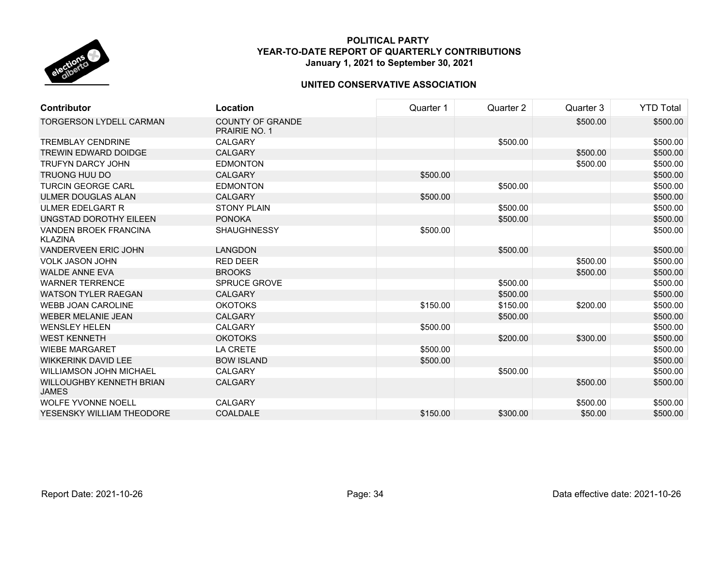

| <b>Contributor</b>                              | Location                                        | Quarter 1 | Quarter 2 | Quarter 3 | <b>YTD Total</b> |
|-------------------------------------------------|-------------------------------------------------|-----------|-----------|-----------|------------------|
| <b>TORGERSON LYDELL CARMAN</b>                  | <b>COUNTY OF GRANDE</b><br><b>PRAIRIE NO. 1</b> |           |           | \$500.00  | \$500.00         |
| <b>TREMBLAY CENDRINE</b>                        | <b>CALGARY</b>                                  |           | \$500.00  |           | \$500.00         |
| <b>TREWIN EDWARD DOIDGE</b>                     | <b>CALGARY</b>                                  |           |           | \$500.00  | \$500.00         |
| <b>TRUFYN DARCY JOHN</b>                        | <b>EDMONTON</b>                                 |           |           | \$500.00  | \$500.00         |
| <b>TRUONG HUU DO</b>                            | <b>CALGARY</b>                                  | \$500.00  |           |           | \$500.00         |
| TURCIN GEORGE CARL                              | <b>EDMONTON</b>                                 |           | \$500.00  |           | \$500.00         |
| <b>ULMER DOUGLAS ALAN</b>                       | <b>CALGARY</b>                                  | \$500.00  |           |           | \$500.00         |
| <b>ULMER EDELGART R</b>                         | <b>STONY PLAIN</b>                              |           | \$500.00  |           | \$500.00         |
| UNGSTAD DOROTHY EILEEN                          | <b>PONOKA</b>                                   |           | \$500.00  |           | \$500.00         |
| <b>VANDEN BROEK FRANCINA</b><br><b>KLAZINA</b>  | <b>SHAUGHNESSY</b>                              | \$500.00  |           |           | \$500.00         |
| <b>VANDERVEEN ERIC JOHN</b>                     | <b>LANGDON</b>                                  |           | \$500.00  |           | \$500.00         |
| <b>VOLK JASON JOHN</b>                          | <b>RED DEER</b>                                 |           |           | \$500.00  | \$500.00         |
| <b>WALDE ANNE EVA</b>                           | <b>BROOKS</b>                                   |           |           | \$500.00  | \$500.00         |
| <b>WARNER TERRENCE</b>                          | <b>SPRUCE GROVE</b>                             |           | \$500.00  |           | \$500.00         |
| <b>WATSON TYLER RAEGAN</b>                      | <b>CALGARY</b>                                  |           | \$500.00  |           | \$500.00         |
| <b>WEBB JOAN CAROLINE</b>                       | <b>OKOTOKS</b>                                  | \$150.00  | \$150.00  | \$200.00  | \$500.00         |
| <b>WEBER MELANIE JEAN</b>                       | <b>CALGARY</b>                                  |           | \$500.00  |           | \$500.00         |
| <b>WENSLEY HELEN</b>                            | <b>CALGARY</b>                                  | \$500.00  |           |           | \$500.00         |
| <b>WEST KENNETH</b>                             | <b>OKOTOKS</b>                                  |           | \$200.00  | \$300.00  | \$500.00         |
| <b>WIEBE MARGARET</b>                           | <b>LA CRETE</b>                                 | \$500.00  |           |           | \$500.00         |
| <b>WIKKERINK DAVID LEE</b>                      | <b>BOW ISLAND</b>                               | \$500.00  |           |           | \$500.00         |
| <b>WILLIAMSON JOHN MICHAEL</b>                  | <b>CALGARY</b>                                  |           | \$500.00  |           | \$500.00         |
| <b>WILLOUGHBY KENNETH BRIAN</b><br><b>JAMES</b> | <b>CALGARY</b>                                  |           |           | \$500.00  | \$500.00         |
| <b>WOLFE YVONNE NOELL</b>                       | <b>CALGARY</b>                                  |           |           | \$500.00  | \$500.00         |
| YESENSKY WILLIAM THEODORE                       | <b>COALDALE</b>                                 | \$150.00  | \$300.00  | \$50.00   | \$500.00         |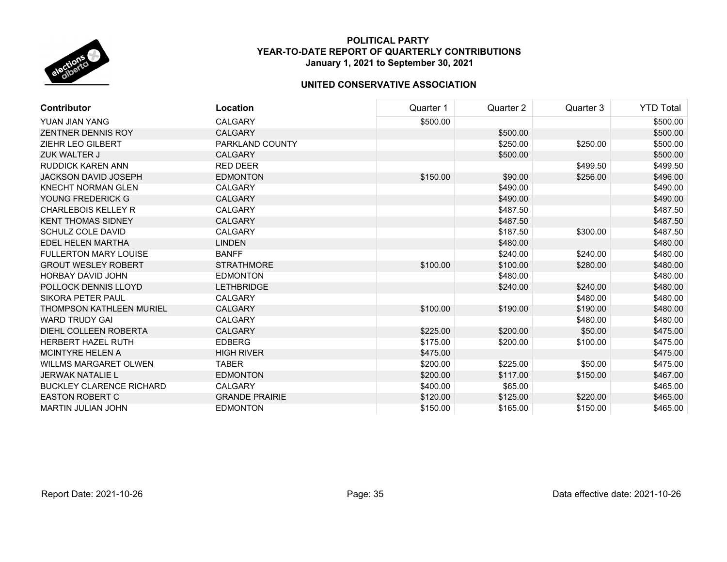

| <b>Contributor</b>              | Location              | Quarter 1 | Quarter 2 | Quarter 3 | <b>YTD Total</b> |
|---------------------------------|-----------------------|-----------|-----------|-----------|------------------|
| YUAN JIAN YANG                  | <b>CALGARY</b>        | \$500.00  |           |           | \$500.00         |
| <b>ZENTNER DENNIS ROY</b>       | <b>CALGARY</b>        |           | \$500.00  |           | \$500.00         |
| <b>ZIEHR LEO GILBERT</b>        | PARKLAND COUNTY       |           | \$250.00  | \$250.00  | \$500.00         |
| ZUK WALTER J                    | <b>CALGARY</b>        |           | \$500.00  |           | \$500.00         |
| RUDDICK KAREN ANN               | <b>RED DEER</b>       |           |           | \$499.50  | \$499.50         |
| <b>JACKSON DAVID JOSEPH</b>     | <b>EDMONTON</b>       | \$150.00  | \$90.00   | \$256.00  | \$496.00         |
| <b>KNECHT NORMAN GLEN</b>       | <b>CALGARY</b>        |           | \$490.00  |           | \$490.00         |
| YOUNG FREDERICK G               | <b>CALGARY</b>        |           | \$490.00  |           | \$490.00         |
| <b>CHARLEBOIS KELLEY R</b>      | <b>CALGARY</b>        |           | \$487.50  |           | \$487.50         |
| <b>KENT THOMAS SIDNEY</b>       | <b>CALGARY</b>        |           | \$487.50  |           | \$487.50         |
| <b>SCHULZ COLE DAVID</b>        | CALGARY               |           | \$187.50  | \$300.00  | \$487.50         |
| EDEL HELEN MARTHA               | <b>LINDEN</b>         |           | \$480.00  |           | \$480.00         |
| <b>FULLERTON MARY LOUISE</b>    | <b>BANFF</b>          |           | \$240.00  | \$240.00  | \$480.00         |
| <b>GROUT WESLEY ROBERT</b>      | <b>STRATHMORE</b>     | \$100.00  | \$100.00  | \$280.00  | \$480.00         |
| <b>HORBAY DAVID JOHN</b>        | <b>EDMONTON</b>       |           | \$480.00  |           | \$480.00         |
| POLLOCK DENNIS LLOYD            | <b>LETHBRIDGE</b>     |           | \$240.00  | \$240.00  | \$480.00         |
| SIKORA PETER PAUL               | <b>CALGARY</b>        |           |           | \$480.00  | \$480.00         |
| <b>THOMPSON KATHLEEN MURIEL</b> | <b>CALGARY</b>        | \$100.00  | \$190.00  | \$190.00  | \$480.00         |
| <b>WARD TRUDY GAI</b>           | <b>CALGARY</b>        |           |           | \$480.00  | \$480.00         |
| DIEHL COLLEEN ROBERTA           | <b>CALGARY</b>        | \$225.00  | \$200.00  | \$50.00   | \$475.00         |
| <b>HERBERT HAZEL RUTH</b>       | <b>EDBERG</b>         | \$175.00  | \$200.00  | \$100.00  | \$475.00         |
| <b>MCINTYRE HELEN A</b>         | <b>HIGH RIVER</b>     | \$475.00  |           |           | \$475.00         |
| <b>WILLMS MARGARET OLWEN</b>    | <b>TABER</b>          | \$200.00  | \$225.00  | \$50.00   | \$475.00         |
| <b>JERWAK NATALIE L</b>         | <b>EDMONTON</b>       | \$200.00  | \$117.00  | \$150.00  | \$467.00         |
| <b>BUCKLEY CLARENCE RICHARD</b> | <b>CALGARY</b>        | \$400.00  | \$65.00   |           | \$465.00         |
| <b>EASTON ROBERT C</b>          | <b>GRANDE PRAIRIE</b> | \$120.00  | \$125.00  | \$220.00  | \$465.00         |
| <b>MARTIN JULIAN JOHN</b>       | <b>EDMONTON</b>       | \$150.00  | \$165.00  | \$150.00  | \$465.00         |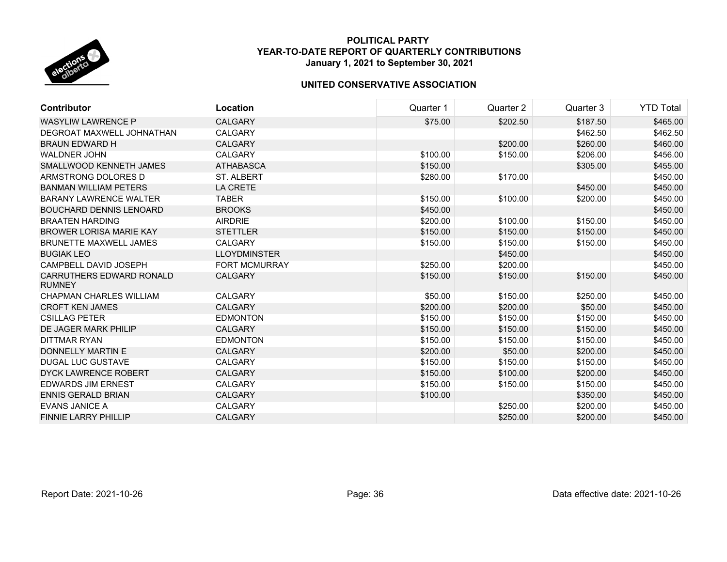

| <b>Contributor</b>                               | Location             | Quarter 1 | Quarter 2 | Quarter 3 | <b>YTD Total</b> |
|--------------------------------------------------|----------------------|-----------|-----------|-----------|------------------|
| <b>WASYLIW LAWRENCE P</b>                        | <b>CALGARY</b>       | \$75.00   | \$202.50  | \$187.50  | \$465.00         |
| DEGROAT MAXWELL JOHNATHAN                        | <b>CALGARY</b>       |           |           | \$462.50  | \$462.50         |
| <b>BRAUN EDWARD H</b>                            | <b>CALGARY</b>       |           | \$200.00  | \$260.00  | \$460.00         |
| <b>WALDNER JOHN</b>                              | <b>CALGARY</b>       | \$100.00  | \$150.00  | \$206.00  | \$456.00         |
| SMALLWOOD KENNETH JAMES                          | <b>ATHABASCA</b>     | \$150.00  |           | \$305.00  | \$455.00         |
| ARMSTRONG DOLORES D                              | ST. ALBERT           | \$280.00  | \$170.00  |           | \$450.00         |
| <b>BANMAN WILLIAM PETERS</b>                     | <b>LA CRETE</b>      |           |           | \$450.00  | \$450.00         |
| <b>BARANY LAWRENCE WALTER</b>                    | <b>TABER</b>         | \$150.00  | \$100.00  | \$200.00  | \$450.00         |
| <b>BOUCHARD DENNIS LENOARD</b>                   | <b>BROOKS</b>        | \$450.00  |           |           | \$450.00         |
| <b>BRAATEN HARDING</b>                           | <b>AIRDRIE</b>       | \$200.00  | \$100.00  | \$150.00  | \$450.00         |
| <b>BROWER LORISA MARIE KAY</b>                   | <b>STETTLER</b>      | \$150.00  | \$150.00  | \$150.00  | \$450.00         |
| <b>BRUNETTE MAXWELL JAMES</b>                    | <b>CALGARY</b>       | \$150.00  | \$150.00  | \$150.00  | \$450.00         |
| <b>BUGIAK LEO</b>                                | <b>LLOYDMINSTER</b>  |           | \$450.00  |           | \$450.00         |
| CAMPBELL DAVID JOSEPH                            | <b>FORT MCMURRAY</b> | \$250.00  | \$200.00  |           | \$450.00         |
| <b>CARRUTHERS EDWARD RONALD</b><br><b>RUMNEY</b> | <b>CALGARY</b>       | \$150.00  | \$150.00  | \$150.00  | \$450.00         |
| <b>CHAPMAN CHARLES WILLIAM</b>                   | <b>CALGARY</b>       | \$50.00   | \$150.00  | \$250.00  | \$450.00         |
| <b>CROFT KEN JAMES</b>                           | <b>CALGARY</b>       | \$200.00  | \$200.00  | \$50.00   | \$450.00         |
| <b>CSILLAG PETER</b>                             | <b>EDMONTON</b>      | \$150.00  | \$150.00  | \$150.00  | \$450.00         |
| DE JAGER MARK PHILIP                             | <b>CALGARY</b>       | \$150.00  | \$150.00  | \$150.00  | \$450.00         |
| DITTMAR RYAN                                     | <b>EDMONTON</b>      | \$150.00  | \$150.00  | \$150.00  | \$450.00         |
| DONNELLY MARTIN E                                | <b>CALGARY</b>       | \$200.00  | \$50.00   | \$200.00  | \$450.00         |
| <b>DUGAL LUC GUSTAVE</b>                         | <b>CALGARY</b>       | \$150.00  | \$150.00  | \$150.00  | \$450.00         |
| <b>DYCK LAWRENCE ROBERT</b>                      | <b>CALGARY</b>       | \$150.00  | \$100.00  | \$200.00  | \$450.00         |
| <b>EDWARDS JIM ERNEST</b>                        | <b>CALGARY</b>       | \$150.00  | \$150.00  | \$150.00  | \$450.00         |
| <b>ENNIS GERALD BRIAN</b>                        | <b>CALGARY</b>       | \$100.00  |           | \$350.00  | \$450.00         |
| <b>EVANS JANICE A</b>                            | <b>CALGARY</b>       |           | \$250.00  | \$200.00  | \$450.00         |
| <b>FINNIE LARRY PHILLIP</b>                      | <b>CALGARY</b>       |           | \$250.00  | \$200.00  | \$450.00         |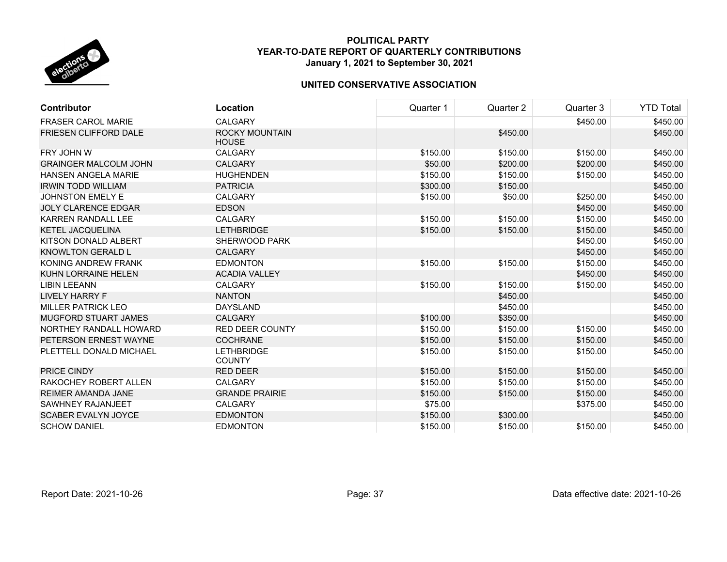

| <b>Contributor</b>           | Location                              | Quarter 1 | Quarter 2 | Quarter 3 | <b>YTD Total</b> |
|------------------------------|---------------------------------------|-----------|-----------|-----------|------------------|
| <b>FRASER CAROL MARIE</b>    | <b>CALGARY</b>                        |           |           | \$450.00  | \$450.00         |
| <b>FRIESEN CLIFFORD DALE</b> | <b>ROCKY MOUNTAIN</b><br><b>HOUSE</b> |           | \$450.00  |           | \$450.00         |
| FRY JOHN W                   | <b>CALGARY</b>                        | \$150.00  | \$150.00  | \$150.00  | \$450.00         |
| <b>GRAINGER MALCOLM JOHN</b> | <b>CALGARY</b>                        | \$50.00   | \$200.00  | \$200.00  | \$450.00         |
| <b>HANSEN ANGELA MARIE</b>   | <b>HUGHENDEN</b>                      | \$150.00  | \$150.00  | \$150.00  | \$450.00         |
| <b>IRWIN TODD WILLIAM</b>    | <b>PATRICIA</b>                       | \$300.00  | \$150.00  |           | \$450.00         |
| <b>JOHNSTON EMELY E</b>      | CALGARY                               | \$150.00  | \$50.00   | \$250.00  | \$450.00         |
| <b>JOLY CLARENCE EDGAR</b>   | <b>EDSON</b>                          |           |           | \$450.00  | \$450.00         |
| <b>KARREN RANDALL LEE</b>    | <b>CALGARY</b>                        | \$150.00  | \$150.00  | \$150.00  | \$450.00         |
| <b>KETEL JACQUELINA</b>      | <b>LETHBRIDGE</b>                     | \$150.00  | \$150.00  | \$150.00  | \$450.00         |
| KITSON DONALD ALBERT         | <b>SHERWOOD PARK</b>                  |           |           | \$450.00  | \$450.00         |
| <b>KNOWLTON GERALD L</b>     | <b>CALGARY</b>                        |           |           | \$450.00  | \$450.00         |
| KONING ANDREW FRANK          | <b>EDMONTON</b>                       | \$150.00  | \$150.00  | \$150.00  | \$450.00         |
| KUHN LORRAINE HELEN          | <b>ACADIA VALLEY</b>                  |           |           | \$450.00  | \$450.00         |
| <b>LIBIN LEEANN</b>          | <b>CALGARY</b>                        | \$150.00  | \$150.00  | \$150.00  | \$450.00         |
| <b>LIVELY HARRY F</b>        | <b>NANTON</b>                         |           | \$450.00  |           | \$450.00         |
| <b>MILLER PATRICK LEO</b>    | <b>DAYSLAND</b>                       |           | \$450.00  |           | \$450.00         |
| MUGFORD STUART JAMES         | <b>CALGARY</b>                        | \$100.00  | \$350.00  |           | \$450.00         |
| NORTHEY RANDALL HOWARD       | <b>RED DEER COUNTY</b>                | \$150.00  | \$150.00  | \$150.00  | \$450.00         |
| PETERSON ERNEST WAYNE        | <b>COCHRANE</b>                       | \$150.00  | \$150.00  | \$150.00  | \$450.00         |
| PLETTELL DONALD MICHAEL      | <b>LETHBRIDGE</b><br><b>COUNTY</b>    | \$150.00  | \$150.00  | \$150.00  | \$450.00         |
| PRICE CINDY                  | <b>RED DEER</b>                       | \$150.00  | \$150.00  | \$150.00  | \$450.00         |
| RAKOCHEY ROBERT ALLEN        | <b>CALGARY</b>                        | \$150.00  | \$150.00  | \$150.00  | \$450.00         |
| <b>REIMER AMANDA JANE</b>    | <b>GRANDE PRAIRIE</b>                 | \$150.00  | \$150.00  | \$150.00  | \$450.00         |
| SAWHNEY RAJANJEET            | <b>CALGARY</b>                        | \$75.00   |           | \$375.00  | \$450.00         |
| <b>SCABER EVALYN JOYCE</b>   | <b>EDMONTON</b>                       | \$150.00  | \$300.00  |           | \$450.00         |
| <b>SCHOW DANIEL</b>          | <b>EDMONTON</b>                       | \$150.00  | \$150.00  | \$150.00  | \$450.00         |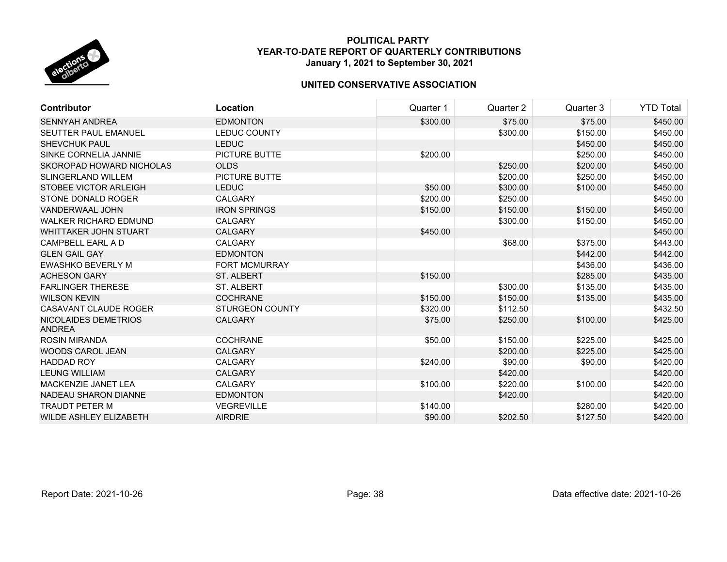

| <b>Contributor</b>                    | Location               | Quarter 1 | Quarter 2 | Quarter 3 | <b>YTD Total</b> |
|---------------------------------------|------------------------|-----------|-----------|-----------|------------------|
| <b>SENNYAH ANDREA</b>                 | <b>EDMONTON</b>        | \$300.00  | \$75.00   | \$75.00   | \$450.00         |
| <b>SEUTTER PAUL EMANUEL</b>           | <b>LEDUC COUNTY</b>    |           | \$300.00  | \$150.00  | \$450.00         |
| <b>SHEVCHUK PAUL</b>                  | <b>LEDUC</b>           |           |           | \$450.00  | \$450.00         |
| SINKE CORNELIA JANNIE                 | <b>PICTURE BUTTE</b>   | \$200.00  |           | \$250.00  | \$450.00         |
| SKOROPAD HOWARD NICHOLAS              | <b>OLDS</b>            |           | \$250.00  | \$200.00  | \$450.00         |
| SLINGERLAND WILLEM                    | PICTURE BUTTE          |           | \$200.00  | \$250.00  | \$450.00         |
| STOBEE VICTOR ARLEIGH                 | <b>LEDUC</b>           | \$50.00   | \$300.00  | \$100.00  | \$450.00         |
| STONE DONALD ROGER                    | CALGARY                | \$200.00  | \$250.00  |           | \$450.00         |
| <b>VANDERWAAL JOHN</b>                | <b>IRON SPRINGS</b>    | \$150.00  | \$150.00  | \$150.00  | \$450.00         |
| <b>WALKER RICHARD EDMUND</b>          | <b>CALGARY</b>         |           | \$300.00  | \$150.00  | \$450.00         |
| <b>WHITTAKER JOHN STUART</b>          | <b>CALGARY</b>         | \$450.00  |           |           | \$450.00         |
| CAMPBELL EARL A D                     | <b>CALGARY</b>         |           | \$68.00   | \$375.00  | \$443.00         |
| <b>GLEN GAIL GAY</b>                  | <b>EDMONTON</b>        |           |           | \$442.00  | \$442.00         |
| <b>EWASHKO BEVERLY M</b>              | <b>FORT MCMURRAY</b>   |           |           | \$436.00  | \$436.00         |
| <b>ACHESON GARY</b>                   | ST. ALBERT             | \$150.00  |           | \$285.00  | \$435.00         |
| <b>FARLINGER THERESE</b>              | <b>ST. ALBERT</b>      |           | \$300.00  | \$135.00  | \$435.00         |
| <b>WILSON KEVIN</b>                   | <b>COCHRANE</b>        | \$150.00  | \$150.00  | \$135.00  | \$435.00         |
| CASAVANT CLAUDE ROGER                 | <b>STURGEON COUNTY</b> | \$320.00  | \$112.50  |           | \$432.50         |
| NICOLAIDES DEMETRIOS<br><b>ANDREA</b> | <b>CALGARY</b>         | \$75.00   | \$250.00  | \$100.00  | \$425.00         |
| <b>ROSIN MIRANDA</b>                  | <b>COCHRANE</b>        | \$50.00   | \$150.00  | \$225.00  | \$425.00         |
| <b>WOODS CAROL JEAN</b>               | <b>CALGARY</b>         |           | \$200.00  | \$225.00  | \$425.00         |
| <b>HADDAD ROY</b>                     | <b>CALGARY</b>         | \$240.00  | \$90.00   | \$90.00   | \$420.00         |
| <b>LEUNG WILLIAM</b>                  | <b>CALGARY</b>         |           | \$420.00  |           | \$420.00         |
| MACKENZIE JANET LEA                   | <b>CALGARY</b>         | \$100.00  | \$220.00  | \$100.00  | \$420.00         |
| NADEAU SHARON DIANNE                  | <b>EDMONTON</b>        |           | \$420.00  |           | \$420.00         |
| <b>TRAUDT PETER M</b>                 | <b>VEGREVILLE</b>      | \$140.00  |           | \$280.00  | \$420.00         |
| <b>WILDE ASHLEY ELIZABETH</b>         | <b>AIRDRIE</b>         | \$90.00   | \$202.50  | \$127.50  | \$420.00         |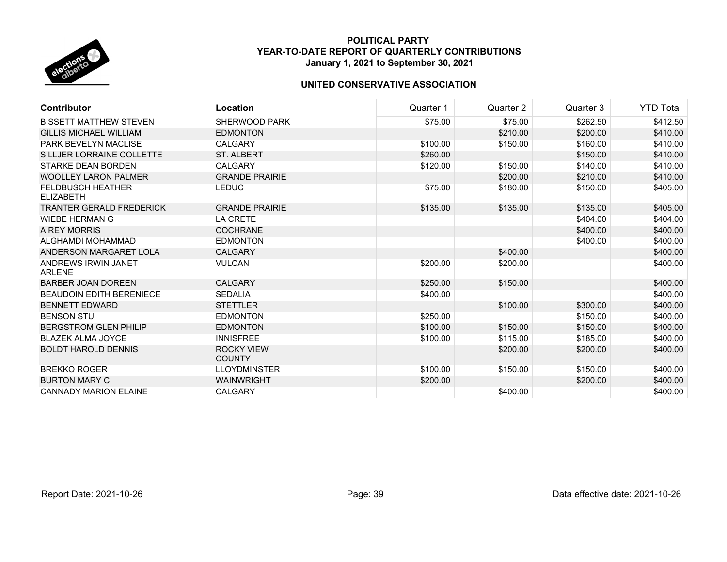

| <b>Contributor</b>                           | Location                           | Quarter 1 | Quarter 2 | Quarter 3 | <b>YTD Total</b> |
|----------------------------------------------|------------------------------------|-----------|-----------|-----------|------------------|
| <b>BISSETT MATTHEW STEVEN</b>                | <b>SHERWOOD PARK</b>               | \$75.00   | \$75.00   | \$262.50  | \$412.50         |
| <b>GILLIS MICHAEL WILLIAM</b>                | <b>EDMONTON</b>                    |           | \$210.00  | \$200.00  | \$410.00         |
| <b>PARK BEVELYN MACLISE</b>                  | CALGARY                            | \$100.00  | \$150.00  | \$160.00  | \$410.00         |
| SILLJER LORRAINE COLLETTE                    | <b>ST. ALBERT</b>                  | \$260.00  |           | \$150.00  | \$410.00         |
| <b>STARKE DEAN BORDEN</b>                    | <b>CALGARY</b>                     | \$120.00  | \$150.00  | \$140.00  | \$410.00         |
| <b>WOOLLEY LARON PALMER</b>                  | <b>GRANDE PRAIRIE</b>              |           | \$200.00  | \$210.00  | \$410.00         |
| <b>FELDBUSCH HEATHER</b><br><b>ELIZABETH</b> | <b>LEDUC</b>                       | \$75.00   | \$180.00  | \$150.00  | \$405.00         |
| <b>TRANTER GERALD FREDERICK</b>              | <b>GRANDE PRAIRIE</b>              | \$135.00  | \$135.00  | \$135.00  | \$405.00         |
| <b>WIEBE HERMAN G</b>                        | LA CRETE                           |           |           | \$404.00  | \$404.00         |
| <b>AIREY MORRIS</b>                          | <b>COCHRANE</b>                    |           |           | \$400.00  | \$400.00         |
| ALGHAMDI MOHAMMAD                            | <b>EDMONTON</b>                    |           |           | \$400.00  | \$400.00         |
| ANDERSON MARGARET LOLA                       | <b>CALGARY</b>                     |           | \$400.00  |           | \$400.00         |
| ANDREWS IRWIN JANET<br><b>ARLENE</b>         | <b>VULCAN</b>                      | \$200.00  | \$200.00  |           | \$400.00         |
| <b>BARBER JOAN DOREEN</b>                    | <b>CALGARY</b>                     | \$250.00  | \$150.00  |           | \$400.00         |
| <b>BEAUDOIN EDITH BERENIECE</b>              | <b>SEDALIA</b>                     | \$400.00  |           |           | \$400.00         |
| <b>BENNETT EDWARD</b>                        | <b>STETTLER</b>                    |           | \$100.00  | \$300.00  | \$400.00         |
| <b>BENSON STU</b>                            | <b>EDMONTON</b>                    | \$250.00  |           | \$150.00  | \$400.00         |
| <b>BERGSTROM GLEN PHILIP</b>                 | <b>EDMONTON</b>                    | \$100.00  | \$150.00  | \$150.00  | \$400.00         |
| <b>BLAZEK ALMA JOYCE</b>                     | <b>INNISFREE</b>                   | \$100.00  | \$115.00  | \$185.00  | \$400.00         |
| <b>BOLDT HAROLD DENNIS</b>                   | <b>ROCKY VIEW</b><br><b>COUNTY</b> |           | \$200.00  | \$200.00  | \$400.00         |
| <b>BREKKO ROGER</b>                          | <b>LLOYDMINSTER</b>                | \$100.00  | \$150.00  | \$150.00  | \$400.00         |
| <b>BURTON MARY C</b>                         | <b>WAINWRIGHT</b>                  | \$200.00  |           | \$200.00  | \$400.00         |
| <b>CANNADY MARION ELAINE</b>                 | <b>CALGARY</b>                     |           | \$400.00  |           | \$400.00         |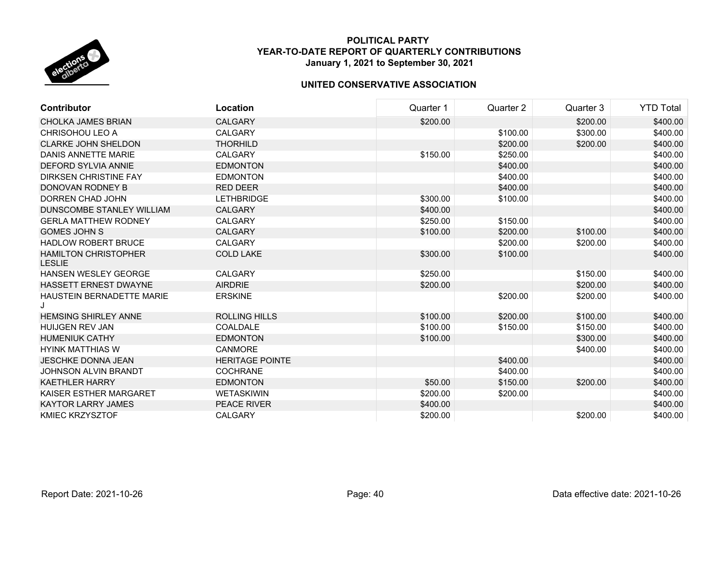

| <b>Contributor</b>                           | Location               | Quarter 1 | Quarter 2 | Quarter 3 | YTD Total |
|----------------------------------------------|------------------------|-----------|-----------|-----------|-----------|
| <b>CHOLKA JAMES BRIAN</b>                    | <b>CALGARY</b>         | \$200.00  |           | \$200.00  | \$400.00  |
| CHRISOHOU LEO A                              | <b>CALGARY</b>         |           | \$100.00  | \$300.00  | \$400.00  |
| <b>CLARKE JOHN SHELDON</b>                   | <b>THORHILD</b>        |           | \$200.00  | \$200.00  | \$400.00  |
| DANIS ANNETTE MARIE                          | <b>CALGARY</b>         | \$150.00  | \$250.00  |           | \$400.00  |
| <b>DEFORD SYLVIA ANNIE</b>                   | <b>EDMONTON</b>        |           | \$400.00  |           | \$400.00  |
| <b>DIRKSEN CHRISTINE FAY</b>                 | <b>EDMONTON</b>        |           | \$400.00  |           | \$400.00  |
| DONOVAN RODNEY B                             | <b>RED DEER</b>        |           | \$400.00  |           | \$400.00  |
| <b>DORREN CHAD JOHN</b>                      | <b>LETHBRIDGE</b>      | \$300.00  | \$100.00  |           | \$400.00  |
| DUNSCOMBE STANLEY WILLIAM                    | <b>CALGARY</b>         | \$400.00  |           |           | \$400.00  |
| <b>GERLA MATTHEW RODNEY</b>                  | <b>CALGARY</b>         | \$250.00  | \$150.00  |           | \$400.00  |
| <b>GOMES JOHN S</b>                          | <b>CALGARY</b>         | \$100.00  | \$200.00  | \$100.00  | \$400.00  |
| <b>HADLOW ROBERT BRUCE</b>                   | <b>CALGARY</b>         |           | \$200.00  | \$200.00  | \$400.00  |
| <b>HAMILTON CHRISTOPHER</b><br><b>LESLIE</b> | <b>COLD LAKE</b>       | \$300.00  | \$100.00  |           | \$400.00  |
| <b>HANSEN WESLEY GEORGE</b>                  | <b>CALGARY</b>         | \$250.00  |           | \$150.00  | \$400.00  |
| <b>HASSETT ERNEST DWAYNE</b>                 | <b>AIRDRIE</b>         | \$200.00  |           | \$200.00  | \$400.00  |
| <b>HAUSTEIN BERNADETTE MARIE</b><br>J        | <b>ERSKINE</b>         |           | \$200.00  | \$200.00  | \$400.00  |
| <b>HEMSING SHIRLEY ANNE</b>                  | <b>ROLLING HILLS</b>   | \$100.00  | \$200.00  | \$100.00  | \$400.00  |
| <b>HUIJGEN REV JAN</b>                       | COALDALE               | \$100.00  | \$150.00  | \$150.00  | \$400.00  |
| <b>HUMENIUK CATHY</b>                        | <b>EDMONTON</b>        | \$100.00  |           | \$300.00  | \$400.00  |
| <b>HYINK MATTHIAS W</b>                      | <b>CANMORE</b>         |           |           | \$400.00  | \$400.00  |
| <b>JESCHKE DONNA JEAN</b>                    | <b>HERITAGE POINTE</b> |           | \$400.00  |           | \$400.00  |
| JOHNSON ALVIN BRANDT                         | <b>COCHRANE</b>        |           | \$400.00  |           | \$400.00  |
| <b>KAETHLER HARRY</b>                        | <b>EDMONTON</b>        | \$50.00   | \$150.00  | \$200.00  | \$400.00  |
| KAISER ESTHER MARGARET                       | <b>WETASKIWIN</b>      | \$200.00  | \$200.00  |           | \$400.00  |
| <b>KAYTOR LARRY JAMES</b>                    | <b>PEACE RIVER</b>     | \$400.00  |           |           | \$400.00  |
| <b>KMIEC KRZYSZTOF</b>                       | <b>CALGARY</b>         | \$200.00  |           | \$200.00  | \$400.00  |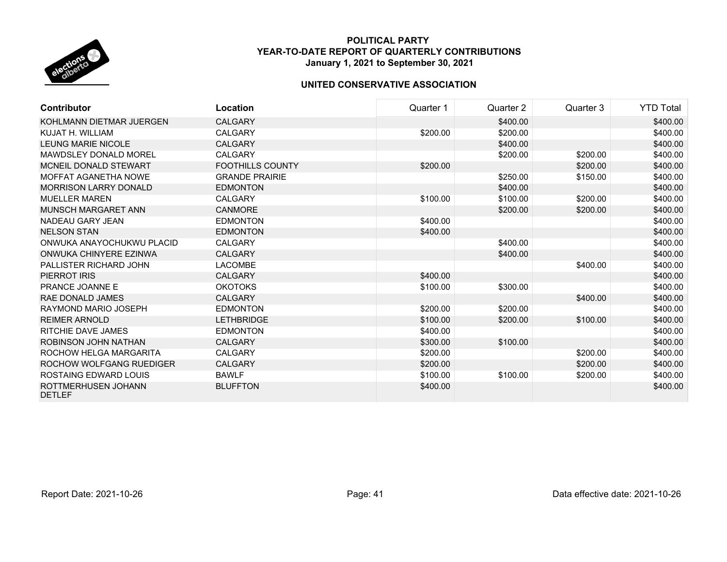

| <b>Contributor</b>                   | Location                | Quarter 1 | Quarter 2 | Quarter 3 | <b>YTD Total</b> |
|--------------------------------------|-------------------------|-----------|-----------|-----------|------------------|
| KOHLMANN DIETMAR JUERGEN             | <b>CALGARY</b>          |           | \$400.00  |           | \$400.00         |
| KUJAT H. WILLIAM                     | CALGARY                 | \$200.00  | \$200.00  |           | \$400.00         |
| <b>LEUNG MARIE NICOLE</b>            | <b>CALGARY</b>          |           | \$400.00  |           | \$400.00         |
| MAWDSLEY DONALD MOREL                | CALGARY                 |           | \$200.00  | \$200.00  | \$400.00         |
| MCNEIL DONALD STEWART                | <b>FOOTHILLS COUNTY</b> | \$200.00  |           | \$200.00  | \$400.00         |
| MOFFAT AGANETHA NOWE                 | <b>GRANDE PRAIRIE</b>   |           | \$250.00  | \$150.00  | \$400.00         |
| <b>MORRISON LARRY DONALD</b>         | <b>EDMONTON</b>         |           | \$400.00  |           | \$400.00         |
| <b>MUELLER MAREN</b>                 | <b>CALGARY</b>          | \$100.00  | \$100.00  | \$200.00  | \$400.00         |
| MUNSCH MARGARET ANN                  | <b>CANMORE</b>          |           | \$200.00  | \$200.00  | \$400.00         |
| NADEAU GARY JEAN                     | <b>EDMONTON</b>         | \$400.00  |           |           | \$400.00         |
| <b>NELSON STAN</b>                   | <b>EDMONTON</b>         | \$400.00  |           |           | \$400.00         |
| ONWUKA ANAYOCHUKWU PLACID            | <b>CALGARY</b>          |           | \$400.00  |           | \$400.00         |
| ONWUKA CHINYERE EZINWA               | <b>CALGARY</b>          |           | \$400.00  |           | \$400.00         |
| PALLISTER RICHARD JOHN               | <b>LACOMBE</b>          |           |           | \$400.00  | \$400.00         |
| PIERROT IRIS                         | <b>CALGARY</b>          | \$400.00  |           |           | \$400.00         |
| PRANCE JOANNE E                      | <b>OKOTOKS</b>          | \$100.00  | \$300.00  |           | \$400.00         |
| RAE DONALD JAMES                     | <b>CALGARY</b>          |           |           | \$400.00  | \$400.00         |
| RAYMOND MARIO JOSEPH                 | <b>EDMONTON</b>         | \$200.00  | \$200.00  |           | \$400.00         |
| <b>REIMER ARNOLD</b>                 | <b>LETHBRIDGE</b>       | \$100.00  | \$200.00  | \$100.00  | \$400.00         |
| RITCHIE DAVE JAMES                   | <b>EDMONTON</b>         | \$400.00  |           |           | \$400.00         |
| ROBINSON JOHN NATHAN                 | <b>CALGARY</b>          | \$300.00  | \$100.00  |           | \$400.00         |
| ROCHOW HELGA MARGARITA               | <b>CALGARY</b>          | \$200.00  |           | \$200.00  | \$400.00         |
| ROCHOW WOLFGANG RUEDIGER             | <b>CALGARY</b>          | \$200.00  |           | \$200.00  | \$400.00         |
| <b>ROSTAING EDWARD LOUIS</b>         | <b>BAWLF</b>            | \$100.00  | \$100.00  | \$200.00  | \$400.00         |
| ROTTMERHUSEN JOHANN<br><b>DETLEF</b> | <b>BLUFFTON</b>         | \$400.00  |           |           | \$400.00         |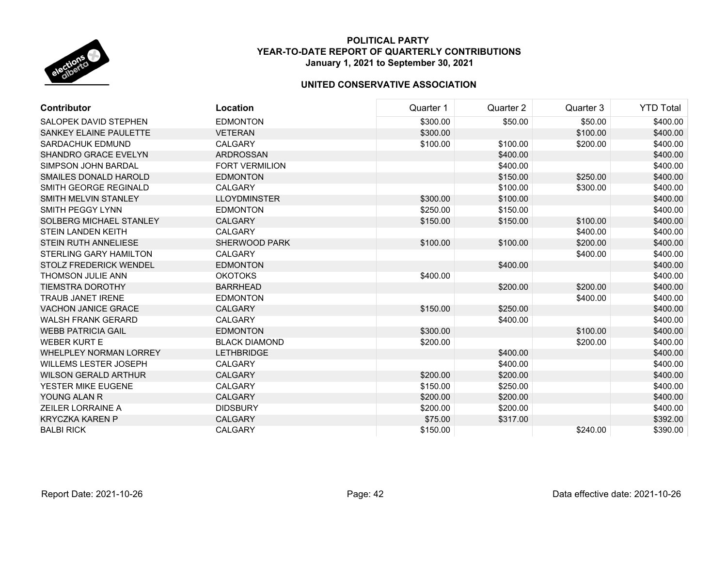

| <b>Contributor</b>             | Location              | Quarter 1 | Quarter 2 | Quarter 3 | <b>YTD Total</b> |
|--------------------------------|-----------------------|-----------|-----------|-----------|------------------|
| SALOPEK DAVID STEPHEN          | <b>EDMONTON</b>       | \$300.00  | \$50.00   | \$50.00   | \$400.00         |
| SANKEY ELAINE PAULETTE         | <b>VETERAN</b>        | \$300.00  |           | \$100.00  | \$400.00         |
| <b>SARDACHUK EDMUND</b>        | CALGARY               | \$100.00  | \$100.00  | \$200.00  | \$400.00         |
| SHANDRO GRACE EVELYN           | <b>ARDROSSAN</b>      |           | \$400.00  |           | \$400.00         |
| <b>SIMPSON JOHN BARDAL</b>     | <b>FORT VERMILION</b> |           | \$400.00  |           | \$400.00         |
| SMAILES DONALD HAROLD          | <b>EDMONTON</b>       |           | \$150.00  | \$250.00  | \$400.00         |
| SMITH GEORGE REGINALD          | CALGARY               |           | \$100.00  | \$300.00  | \$400.00         |
| SMITH MELVIN STANLEY           | <b>LLOYDMINSTER</b>   | \$300.00  | \$100.00  |           | \$400.00         |
| SMITH PEGGY LYNN               | <b>EDMONTON</b>       | \$250.00  | \$150.00  |           | \$400.00         |
| <b>SOLBERG MICHAEL STANLEY</b> | <b>CALGARY</b>        | \$150.00  | \$150.00  | \$100.00  | \$400.00         |
| <b>STEIN LANDEN KEITH</b>      | <b>CALGARY</b>        |           |           | \$400.00  | \$400.00         |
| <b>STEIN RUTH ANNELIESE</b>    | SHERWOOD PARK         | \$100.00  | \$100.00  | \$200.00  | \$400.00         |
| <b>STERLING GARY HAMILTON</b>  | <b>CALGARY</b>        |           |           | \$400.00  | \$400.00         |
| <b>STOLZ FREDERICK WENDEL</b>  | <b>EDMONTON</b>       |           | \$400.00  |           | \$400.00         |
| THOMSON JULIE ANN              | <b>OKOTOKS</b>        | \$400.00  |           |           | \$400.00         |
| <b>TIEMSTRA DOROTHY</b>        | <b>BARRHEAD</b>       |           | \$200.00  | \$200.00  | \$400.00         |
| <b>TRAUB JANET IRENE</b>       | <b>EDMONTON</b>       |           |           | \$400.00  | \$400.00         |
| <b>VACHON JANICE GRACE</b>     | <b>CALGARY</b>        | \$150.00  | \$250.00  |           | \$400.00         |
| <b>WALSH FRANK GERARD</b>      | <b>CALGARY</b>        |           | \$400.00  |           | \$400.00         |
| <b>WEBB PATRICIA GAIL</b>      | <b>EDMONTON</b>       | \$300.00  |           | \$100.00  | \$400.00         |
| <b>WEBER KURT E</b>            | <b>BLACK DIAMOND</b>  | \$200.00  |           | \$200.00  | \$400.00         |
| <b>WHELPLEY NORMAN LORREY</b>  | <b>LETHBRIDGE</b>     |           | \$400.00  |           | \$400.00         |
| <b>WILLEMS LESTER JOSEPH</b>   | CALGARY               |           | \$400.00  |           | \$400.00         |
| <b>WILSON GERALD ARTHUR</b>    | <b>CALGARY</b>        | \$200.00  | \$200.00  |           | \$400.00         |
| YESTER MIKE EUGENE             | CALGARY               | \$150.00  | \$250.00  |           | \$400.00         |
| YOUNG ALAN R                   | <b>CALGARY</b>        | \$200.00  | \$200.00  |           | \$400.00         |
| <b>ZEILER LORRAINE A</b>       | <b>DIDSBURY</b>       | \$200.00  | \$200.00  |           | \$400.00         |
| <b>KRYCZKA KAREN P</b>         | <b>CALGARY</b>        | \$75.00   | \$317.00  |           | \$392.00         |
| <b>BALBI RICK</b>              | CALGARY               | \$150.00  |           | \$240.00  | \$390.00         |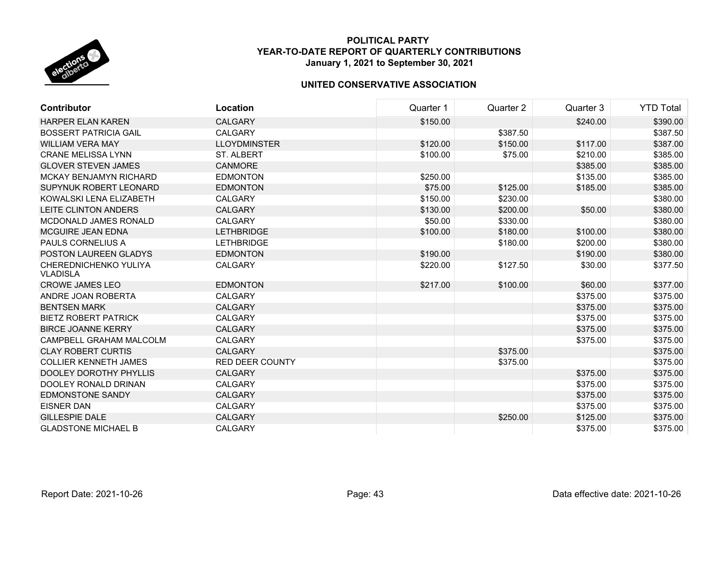

| <b>Contributor</b>                       | Location               | Quarter 1 | Quarter 2 | Quarter 3 | <b>YTD Total</b> |
|------------------------------------------|------------------------|-----------|-----------|-----------|------------------|
| <b>HARPER ELAN KAREN</b>                 | <b>CALGARY</b>         | \$150.00  |           | \$240.00  | \$390.00         |
| <b>BOSSERT PATRICIA GAIL</b>             | <b>CALGARY</b>         |           | \$387.50  |           | \$387.50         |
| <b>WILLIAM VERA MAY</b>                  | <b>LLOYDMINSTER</b>    | \$120.00  | \$150.00  | \$117.00  | \$387.00         |
| <b>CRANE MELISSA LYNN</b>                | <b>ST. ALBERT</b>      | \$100.00  | \$75.00   | \$210.00  | \$385.00         |
| <b>GLOVER STEVEN JAMES</b>               | <b>CANMORE</b>         |           |           | \$385.00  | \$385.00         |
| <b>MCKAY BENJAMYN RICHARD</b>            | <b>EDMONTON</b>        | \$250.00  |           | \$135.00  | \$385.00         |
| SUPYNUK ROBERT LEONARD                   | <b>EDMONTON</b>        | \$75.00   | \$125.00  | \$185.00  | \$385.00         |
| KOWALSKI LENA ELIZABETH                  | <b>CALGARY</b>         | \$150.00  | \$230.00  |           | \$380.00         |
| <b>LEITE CLINTON ANDERS</b>              | <b>CALGARY</b>         | \$130.00  | \$200.00  | \$50.00   | \$380.00         |
| MCDONALD JAMES RONALD                    | <b>CALGARY</b>         | \$50.00   | \$330.00  |           | \$380.00         |
| <b>MCGUIRE JEAN EDNA</b>                 | <b>LETHBRIDGE</b>      | \$100.00  | \$180.00  | \$100.00  | \$380.00         |
| PAULS CORNELIUS A                        | <b>LETHBRIDGE</b>      |           | \$180.00  | \$200.00  | \$380.00         |
| POSTON LAUREEN GLADYS                    | <b>EDMONTON</b>        | \$190.00  |           | \$190.00  | \$380.00         |
| CHEREDNICHENKO YULIYA<br><b>VLADISLA</b> | <b>CALGARY</b>         | \$220.00  | \$127.50  | \$30.00   | \$377.50         |
| <b>CROWE JAMES LEO</b>                   | <b>EDMONTON</b>        | \$217.00  | \$100.00  | \$60.00   | \$377.00         |
| ANDRE JOAN ROBERTA                       | CALGARY                |           |           | \$375.00  | \$375.00         |
| <b>BENTSEN MARK</b>                      | <b>CALGARY</b>         |           |           | \$375.00  | \$375.00         |
| <b>BIETZ ROBERT PATRICK</b>              | <b>CALGARY</b>         |           |           | \$375.00  | \$375.00         |
| <b>BIRCE JOANNE KERRY</b>                | <b>CALGARY</b>         |           |           | \$375.00  | \$375.00         |
| CAMPBELL GRAHAM MALCOLM                  | CALGARY                |           |           | \$375.00  | \$375.00         |
| <b>CLAY ROBERT CURTIS</b>                | <b>CALGARY</b>         |           | \$375.00  |           | \$375.00         |
| <b>COLLIER KENNETH JAMES</b>             | <b>RED DEER COUNTY</b> |           | \$375.00  |           | \$375.00         |
| <b>DOOLEY DOROTHY PHYLLIS</b>            | <b>CALGARY</b>         |           |           | \$375.00  | \$375.00         |
| DOOLEY RONALD DRINAN                     | <b>CALGARY</b>         |           |           | \$375.00  | \$375.00         |
| <b>EDMONSTONE SANDY</b>                  | <b>CALGARY</b>         |           |           | \$375.00  | \$375.00         |
| <b>EISNER DAN</b>                        | <b>CALGARY</b>         |           |           | \$375.00  | \$375.00         |
| <b>GILLESPIE DALE</b>                    | <b>CALGARY</b>         |           | \$250.00  | \$125.00  | \$375.00         |
| <b>GLADSTONE MICHAEL B</b>               | <b>CALGARY</b>         |           |           | \$375.00  | \$375.00         |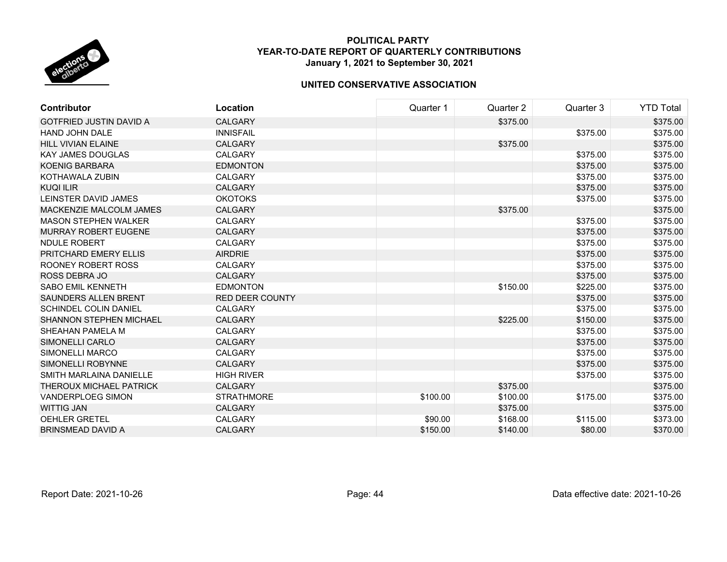

| Contributor                    | Location               | Quarter 1 | Quarter 2 | Quarter 3 | <b>YTD Total</b> |
|--------------------------------|------------------------|-----------|-----------|-----------|------------------|
| <b>GOTFRIED JUSTIN DAVID A</b> | <b>CALGARY</b>         |           | \$375.00  |           | \$375.00         |
| <b>HAND JOHN DALE</b>          | <b>INNISFAIL</b>       |           |           | \$375.00  | \$375.00         |
| <b>HILL VIVIAN ELAINE</b>      | <b>CALGARY</b>         |           | \$375.00  |           | \$375.00         |
| <b>KAY JAMES DOUGLAS</b>       | <b>CALGARY</b>         |           |           | \$375.00  | \$375.00         |
| <b>KOENIG BARBARA</b>          | <b>EDMONTON</b>        |           |           | \$375.00  | \$375.00         |
| KOTHAWALA ZUBIN                | <b>CALGARY</b>         |           |           | \$375.00  | \$375.00         |
| <b>KUQI ILIR</b>               | <b>CALGARY</b>         |           |           | \$375.00  | \$375.00         |
| LEINSTER DAVID JAMES           | <b>OKOTOKS</b>         |           |           | \$375.00  | \$375.00         |
| MACKENZIE MALCOLM JAMES        | <b>CALGARY</b>         |           | \$375.00  |           | \$375.00         |
| <b>MASON STEPHEN WALKER</b>    | <b>CALGARY</b>         |           |           | \$375.00  | \$375.00         |
| <b>MURRAY ROBERT EUGENE</b>    | <b>CALGARY</b>         |           |           | \$375.00  | \$375.00         |
| NDULE ROBERT                   | <b>CALGARY</b>         |           |           | \$375.00  | \$375.00         |
| PRITCHARD EMERY ELLIS          | <b>AIRDRIE</b>         |           |           | \$375.00  | \$375.00         |
| ROONEY ROBERT ROSS             | <b>CALGARY</b>         |           |           | \$375.00  | \$375.00         |
| <b>ROSS DEBRA JO</b>           | <b>CALGARY</b>         |           |           | \$375.00  | \$375.00         |
| <b>SABO EMIL KENNETH</b>       | <b>EDMONTON</b>        |           | \$150.00  | \$225.00  | \$375.00         |
| <b>SAUNDERS ALLEN BRENT</b>    | <b>RED DEER COUNTY</b> |           |           | \$375.00  | \$375.00         |
| <b>SCHINDEL COLIN DANIEL</b>   | <b>CALGARY</b>         |           |           | \$375.00  | \$375.00         |
| <b>SHANNON STEPHEN MICHAEL</b> | <b>CALGARY</b>         |           | \$225.00  | \$150.00  | \$375.00         |
| SHEAHAN PAMELA M               | <b>CALGARY</b>         |           |           | \$375.00  | \$375.00         |
| SIMONELLI CARLO                | <b>CALGARY</b>         |           |           | \$375.00  | \$375.00         |
| <b>SIMONELLI MARCO</b>         | <b>CALGARY</b>         |           |           | \$375.00  | \$375.00         |
| <b>SIMONELLI ROBYNNE</b>       | <b>CALGARY</b>         |           |           | \$375.00  | \$375.00         |
| SMITH MARLAINA DANIELLE        | <b>HIGH RIVER</b>      |           |           | \$375.00  | \$375.00         |
| THEROUX MICHAEL PATRICK        | <b>CALGARY</b>         |           | \$375.00  |           | \$375.00         |
| <b>VANDERPLOEG SIMON</b>       | <b>STRATHMORE</b>      | \$100.00  | \$100.00  | \$175.00  | \$375.00         |
| <b>WITTIG JAN</b>              | <b>CALGARY</b>         |           | \$375.00  |           | \$375.00         |
| OEHLER GRETEL                  | <b>CALGARY</b>         | \$90.00   | \$168.00  | \$115.00  | \$373.00         |
| <b>BRINSMEAD DAVID A</b>       | <b>CALGARY</b>         | \$150.00  | \$140.00  | \$80.00   | \$370.00         |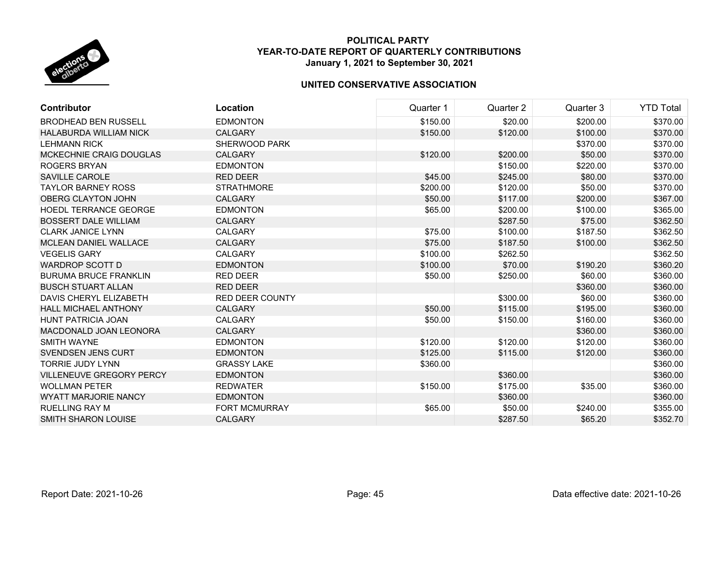

| <b>Contributor</b>              | Location             | Quarter 1 | Quarter 2 | Quarter 3 | <b>YTD Total</b> |
|---------------------------------|----------------------|-----------|-----------|-----------|------------------|
| <b>BRODHEAD BEN RUSSELL</b>     | <b>EDMONTON</b>      | \$150.00  | \$20.00   | \$200.00  | \$370.00         |
| <b>HALABURDA WILLIAM NICK</b>   | <b>CALGARY</b>       | \$150.00  | \$120.00  | \$100.00  | \$370.00         |
| <b>LEHMANN RICK</b>             | SHERWOOD PARK        |           |           | \$370.00  | \$370.00         |
| MCKECHNIE CRAIG DOUGLAS         | <b>CALGARY</b>       | \$120.00  | \$200.00  | \$50.00   | \$370.00         |
| ROGERS BRYAN                    | <b>EDMONTON</b>      |           | \$150.00  | \$220.00  | \$370.00         |
| SAVILLE CAROLE                  | <b>RED DEER</b>      | \$45.00   | \$245.00  | \$80.00   | \$370.00         |
| <b>TAYLOR BARNEY ROSS</b>       | <b>STRATHMORE</b>    | \$200.00  | \$120.00  | \$50.00   | \$370.00         |
| <b>OBERG CLAYTON JOHN</b>       | <b>CALGARY</b>       | \$50.00   | \$117.00  | \$200.00  | \$367.00         |
| <b>HOEDL TERRANCE GEORGE</b>    | <b>EDMONTON</b>      | \$65.00   | \$200.00  | \$100.00  | \$365.00         |
| <b>BOSSERT DALE WILLIAM</b>     | <b>CALGARY</b>       |           | \$287.50  | \$75.00   | \$362.50         |
| <b>CLARK JANICE LYNN</b>        | <b>CALGARY</b>       | \$75.00   | \$100.00  | \$187.50  | \$362.50         |
| <b>MCLEAN DANIEL WALLACE</b>    | <b>CALGARY</b>       | \$75.00   | \$187.50  | \$100.00  | \$362.50         |
| <b>VEGELIS GARY</b>             | <b>CALGARY</b>       | \$100.00  | \$262.50  |           | \$362.50         |
| WARDROP SCOTT D                 | <b>EDMONTON</b>      | \$100.00  | \$70.00   | \$190.20  | \$360.20         |
| <b>BURUMA BRUCE FRANKLIN</b>    | <b>RED DEER</b>      | \$50.00   | \$250.00  | \$60.00   | \$360.00         |
| <b>BUSCH STUART ALLAN</b>       | <b>RED DEER</b>      |           |           | \$360.00  | \$360.00         |
| DAVIS CHERYL ELIZABETH          | RED DEER COUNTY      |           | \$300.00  | \$60.00   | \$360.00         |
| <b>HALL MICHAEL ANTHONY</b>     | <b>CALGARY</b>       | \$50.00   | \$115.00  | \$195.00  | \$360.00         |
| <b>HUNT PATRICIA JOAN</b>       | <b>CALGARY</b>       | \$50.00   | \$150.00  | \$160.00  | \$360.00         |
| MACDONALD JOAN LEONORA          | <b>CALGARY</b>       |           |           | \$360.00  | \$360.00         |
| SMITH WAYNE                     | <b>EDMONTON</b>      | \$120.00  | \$120.00  | \$120.00  | \$360.00         |
| <b>SVENDSEN JENS CURT</b>       | <b>EDMONTON</b>      | \$125.00  | \$115.00  | \$120.00  | \$360.00         |
| <b>TORRIE JUDY LYNN</b>         | <b>GRASSY LAKE</b>   | \$360.00  |           |           | \$360.00         |
| <b>VILLENEUVE GREGORY PERCY</b> | <b>EDMONTON</b>      |           | \$360.00  |           | \$360.00         |
| <b>WOLLMAN PETER</b>            | <b>REDWATER</b>      | \$150.00  | \$175.00  | \$35.00   | \$360.00         |
| <b>WYATT MARJORIE NANCY</b>     | <b>EDMONTON</b>      |           | \$360.00  |           | \$360.00         |
| <b>RUELLING RAY M</b>           | <b>FORT MCMURRAY</b> | \$65.00   | \$50.00   | \$240.00  | \$355.00         |
| <b>SMITH SHARON LOUISE</b>      | <b>CALGARY</b>       |           | \$287.50  | \$65.20   | \$352.70         |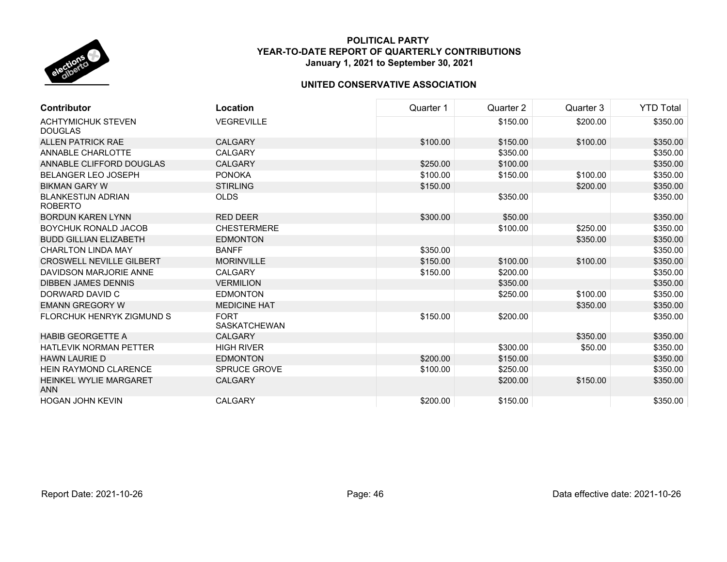

| <b>Contributor</b>                          | Location                           | Quarter 1 | Quarter 2 | Quarter 3 | <b>YTD Total</b> |
|---------------------------------------------|------------------------------------|-----------|-----------|-----------|------------------|
| <b>ACHTYMICHUK STEVEN</b><br><b>DOUGLAS</b> | <b>VEGREVILLE</b>                  |           | \$150.00  | \$200.00  | \$350.00         |
| <b>ALLEN PATRICK RAE</b>                    | <b>CALGARY</b>                     | \$100.00  | \$150.00  | \$100.00  | \$350.00         |
| ANNABLE CHARLOTTE                           | <b>CALGARY</b>                     |           | \$350.00  |           | \$350.00         |
| ANNABLE CLIFFORD DOUGLAS                    | <b>CALGARY</b>                     | \$250.00  | \$100.00  |           | \$350.00         |
| <b>BELANGER LEO JOSEPH</b>                  | <b>PONOKA</b>                      | \$100.00  | \$150.00  | \$100.00  | \$350.00         |
| <b>BIKMAN GARY W</b>                        | <b>STIRLING</b>                    | \$150.00  |           | \$200.00  | \$350.00         |
| <b>BLANKESTIJN ADRIAN</b><br><b>ROBERTO</b> | <b>OLDS</b>                        |           | \$350.00  |           | \$350.00         |
| <b>BORDUN KAREN LYNN</b>                    | <b>RED DEER</b>                    | \$300.00  | \$50.00   |           | \$350.00         |
| <b>BOYCHUK RONALD JACOB</b>                 | <b>CHESTERMERE</b>                 |           | \$100.00  | \$250.00  | \$350.00         |
| <b>BUDD GILLIAN ELIZABETH</b>               | <b>EDMONTON</b>                    |           |           | \$350.00  | \$350.00         |
| <b>CHARLTON LINDA MAY</b>                   | <b>BANFF</b>                       | \$350.00  |           |           | \$350.00         |
| <b>CROSWELL NEVILLE GILBERT</b>             | <b>MORINVILLE</b>                  | \$150.00  | \$100.00  | \$100.00  | \$350.00         |
| DAVIDSON MARJORIE ANNE                      | <b>CALGARY</b>                     | \$150.00  | \$200.00  |           | \$350.00         |
| <b>DIBBEN JAMES DENNIS</b>                  | <b>VERMILION</b>                   |           | \$350.00  |           | \$350.00         |
| DORWARD DAVID C                             | <b>EDMONTON</b>                    |           | \$250.00  | \$100.00  | \$350.00         |
| <b>EMANN GREGORY W</b>                      | <b>MEDICINE HAT</b>                |           |           | \$350.00  | \$350.00         |
| FLORCHUK HENRYK ZIGMUND S                   | <b>FORT</b><br><b>SASKATCHEWAN</b> | \$150.00  | \$200.00  |           | \$350.00         |
| <b>HABIB GEORGETTE A</b>                    | <b>CALGARY</b>                     |           |           | \$350.00  | \$350.00         |
| <b>HATLEVIK NORMAN PETTER</b>               | <b>HIGH RIVER</b>                  |           | \$300.00  | \$50.00   | \$350.00         |
| <b>HAWN LAURIE D</b>                        | <b>EDMONTON</b>                    | \$200.00  | \$150.00  |           | \$350.00         |
| <b>HEIN RAYMOND CLARENCE</b>                | <b>SPRUCE GROVE</b>                | \$100.00  | \$250.00  |           | \$350.00         |
| <b>HEINKEL WYLIE MARGARET</b><br><b>ANN</b> | <b>CALGARY</b>                     |           | \$200.00  | \$150.00  | \$350.00         |
| <b>HOGAN JOHN KEVIN</b>                     | <b>CALGARY</b>                     | \$200.00  | \$150.00  |           | \$350.00         |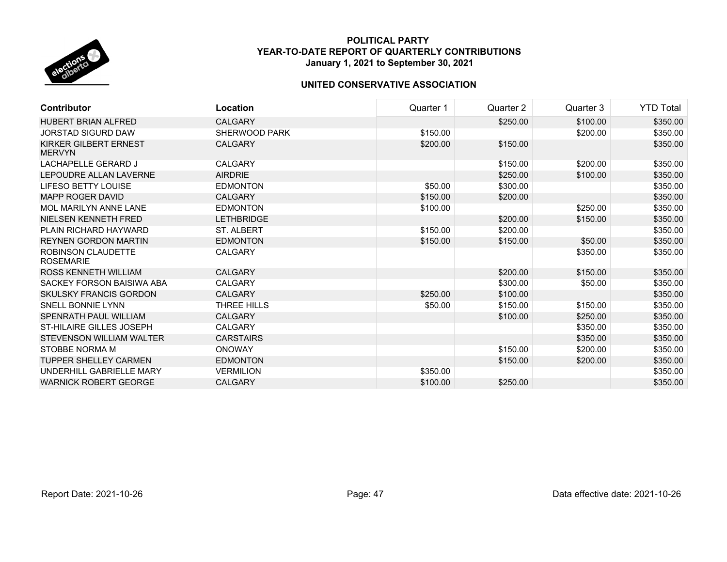

| <b>Contributor</b>                            | Location          | Quarter 1 | Quarter 2 | Quarter 3 | <b>YTD Total</b> |
|-----------------------------------------------|-------------------|-----------|-----------|-----------|------------------|
| <b>HUBERT BRIAN ALFRED</b>                    | <b>CALGARY</b>    |           | \$250.00  | \$100.00  | \$350.00         |
| <b>JORSTAD SIGURD DAW</b>                     | SHERWOOD PARK     | \$150.00  |           | \$200.00  | \$350.00         |
| <b>KIRKER GILBERT ERNEST</b><br><b>MERVYN</b> | <b>CALGARY</b>    | \$200.00  | \$150.00  |           | \$350.00         |
| LACHAPELLE GERARD J                           | <b>CALGARY</b>    |           | \$150.00  | \$200.00  | \$350.00         |
| LEPOUDRE ALLAN LAVERNE                        | <b>AIRDRIE</b>    |           | \$250.00  | \$100.00  | \$350.00         |
| <b>LIFESO BETTY LOUISE</b>                    | <b>EDMONTON</b>   | \$50.00   | \$300.00  |           | \$350.00         |
| MAPP ROGER DAVID                              | <b>CALGARY</b>    | \$150.00  | \$200.00  |           | \$350.00         |
| MOL MARILYN ANNE LANE                         | <b>EDMONTON</b>   | \$100.00  |           | \$250.00  | \$350.00         |
| NIELSEN KENNETH FRED                          | <b>LETHBRIDGE</b> |           | \$200.00  | \$150.00  | \$350.00         |
| PLAIN RICHARD HAYWARD                         | <b>ST. ALBERT</b> | \$150.00  | \$200.00  |           | \$350.00         |
| <b>REYNEN GORDON MARTIN</b>                   | <b>EDMONTON</b>   | \$150.00  | \$150.00  | \$50.00   | \$350.00         |
| <b>ROBINSON CLAUDETTE</b><br><b>ROSEMARIE</b> | <b>CALGARY</b>    |           |           | \$350.00  | \$350.00         |
| <b>ROSS KENNETH WILLIAM</b>                   | <b>CALGARY</b>    |           | \$200.00  | \$150.00  | \$350.00         |
| SACKEY FORSON BAISIWA ABA                     | <b>CALGARY</b>    |           | \$300.00  | \$50.00   | \$350.00         |
| <b>SKULSKY FRANCIS GORDON</b>                 | <b>CALGARY</b>    | \$250.00  | \$100.00  |           | \$350.00         |
| SNELL BONNIE LYNN                             | THREE HILLS       | \$50.00   | \$150.00  | \$150.00  | \$350.00         |
| SPENRATH PAUL WILLIAM                         | CALGARY           |           | \$100.00  | \$250.00  | \$350.00         |
| ST-HILAIRE GILLES JOSEPH                      | <b>CALGARY</b>    |           |           | \$350.00  | \$350.00         |
| STEVENSON WILLIAM WALTER                      | <b>CARSTAIRS</b>  |           |           | \$350.00  | \$350.00         |
| STOBBE NORMA M                                | <b>ONOWAY</b>     |           | \$150.00  | \$200.00  | \$350.00         |
| <b>TUPPER SHELLEY CARMEN</b>                  | <b>EDMONTON</b>   |           | \$150.00  | \$200.00  | \$350.00         |
| UNDERHILL GABRIELLE MARY                      | <b>VERMILION</b>  | \$350.00  |           |           | \$350.00         |
| <b>WARNICK ROBERT GEORGE</b>                  | <b>CALGARY</b>    | \$100.00  | \$250.00  |           | \$350.00         |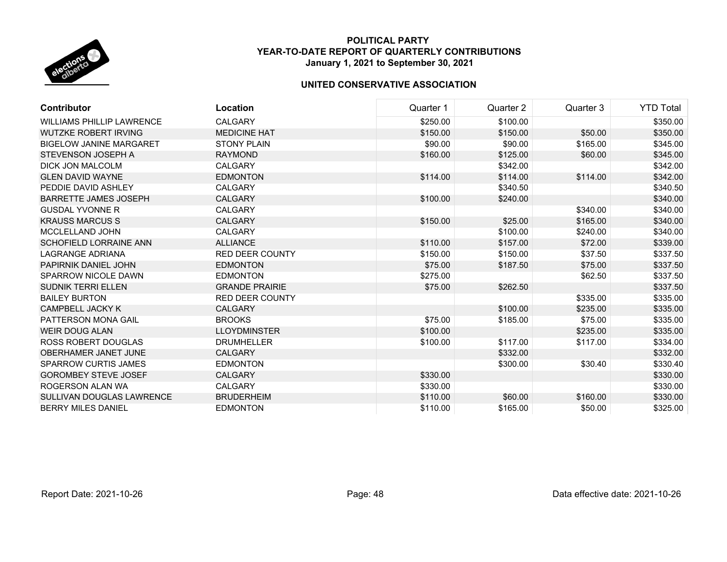

| <b>Contributor</b>               | Location               | Quarter 1 | Quarter 2 | Quarter 3 | <b>YTD Total</b> |
|----------------------------------|------------------------|-----------|-----------|-----------|------------------|
| <b>WILLIAMS PHILLIP LAWRENCE</b> | <b>CALGARY</b>         | \$250.00  | \$100.00  |           | \$350.00         |
| <b>WUTZKE ROBERT IRVING</b>      | <b>MEDICINE HAT</b>    | \$150.00  | \$150.00  | \$50.00   | \$350.00         |
| <b>BIGELOW JANINE MARGARET</b>   | <b>STONY PLAIN</b>     | \$90.00   | \$90.00   | \$165.00  | \$345.00         |
| STEVENSON JOSEPH A               | <b>RAYMOND</b>         | \$160.00  | \$125.00  | \$60.00   | \$345.00         |
| <b>DICK JON MALCOLM</b>          | <b>CALGARY</b>         |           | \$342.00  |           | \$342.00         |
| <b>GLEN DAVID WAYNE</b>          | <b>EDMONTON</b>        | \$114.00  | \$114.00  | \$114.00  | \$342.00         |
| PEDDIE DAVID ASHLEY              | <b>CALGARY</b>         |           | \$340.50  |           | \$340.50         |
| <b>BARRETTE JAMES JOSEPH</b>     | <b>CALGARY</b>         | \$100.00  | \$240.00  |           | \$340.00         |
| <b>GUSDAL YVONNE R</b>           | <b>CALGARY</b>         |           |           | \$340.00  | \$340.00         |
| <b>KRAUSS MARCUS S</b>           | <b>CALGARY</b>         | \$150.00  | \$25.00   | \$165.00  | \$340.00         |
| MCCLELLAND JOHN                  | <b>CALGARY</b>         |           | \$100.00  | \$240.00  | \$340.00         |
| <b>SCHOFIELD LORRAINE ANN</b>    | <b>ALLIANCE</b>        | \$110.00  | \$157.00  | \$72.00   | \$339.00         |
| LAGRANGE ADRIANA                 | <b>RED DEER COUNTY</b> | \$150.00  | \$150.00  | \$37.50   | \$337.50         |
| PAPIRNIK DANIEL JOHN             | <b>EDMONTON</b>        | \$75.00   | \$187.50  | \$75.00   | \$337.50         |
| SPARROW NICOLE DAWN              | <b>EDMONTON</b>        | \$275.00  |           | \$62.50   | \$337.50         |
| <b>SUDNIK TERRI ELLEN</b>        | <b>GRANDE PRAIRIE</b>  | \$75.00   | \$262.50  |           | \$337.50         |
| <b>BAILEY BURTON</b>             | <b>RED DEER COUNTY</b> |           |           | \$335.00  | \$335.00         |
| <b>CAMPBELL JACKY K</b>          | <b>CALGARY</b>         |           | \$100.00  | \$235.00  | \$335.00         |
| PATTERSON MONA GAIL              | <b>BROOKS</b>          | \$75.00   | \$185.00  | \$75.00   | \$335.00         |
| WEIR DOUG ALAN                   | <b>LLOYDMINSTER</b>    | \$100.00  |           | \$235.00  | \$335.00         |
| ROSS ROBERT DOUGLAS              | <b>DRUMHELLER</b>      | \$100.00  | \$117.00  | \$117.00  | \$334.00         |
| OBERHAMER JANET JUNE             | <b>CALGARY</b>         |           | \$332.00  |           | \$332.00         |
| <b>SPARROW CURTIS JAMES</b>      | <b>EDMONTON</b>        |           | \$300.00  | \$30.40   | \$330.40         |
| <b>GOROMBEY STEVE JOSEF</b>      | <b>CALGARY</b>         | \$330.00  |           |           | \$330.00         |
| ROGERSON ALAN WA                 | <b>CALGARY</b>         | \$330.00  |           |           | \$330.00         |
| SULLIVAN DOUGLAS LAWRENCE        | <b>BRUDERHEIM</b>      | \$110.00  | \$60.00   | \$160.00  | \$330.00         |
| <b>BERRY MILES DANIEL</b>        | <b>EDMONTON</b>        | \$110.00  | \$165.00  | \$50.00   | \$325.00         |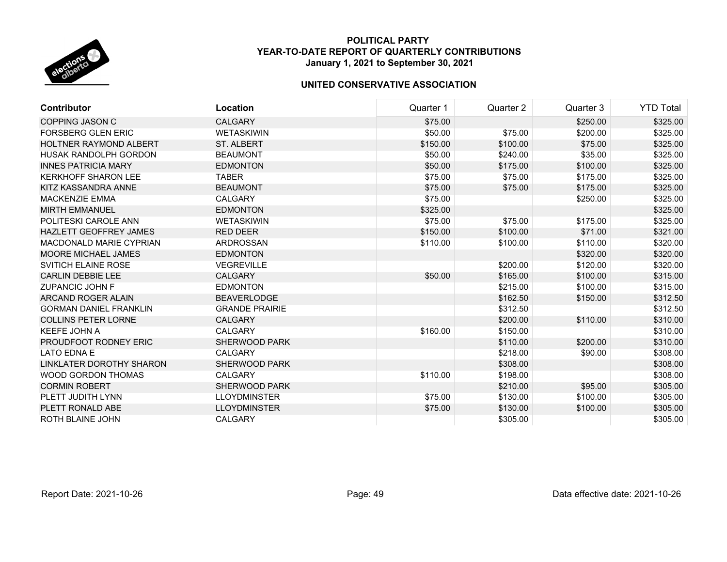

| <b>Contributor</b>            | Location              | Quarter 1 | Quarter 2 | Quarter 3 | <b>YTD Total</b> |
|-------------------------------|-----------------------|-----------|-----------|-----------|------------------|
| <b>COPPING JASON C</b>        | <b>CALGARY</b>        | \$75.00   |           | \$250.00  | \$325.00         |
| <b>FORSBERG GLEN ERIC</b>     | <b>WETASKIWIN</b>     | \$50.00   | \$75.00   | \$200.00  | \$325.00         |
| <b>HOLTNER RAYMOND ALBERT</b> | ST. ALBERT            | \$150.00  | \$100.00  | \$75.00   | \$325.00         |
| HUSAK RANDOLPH GORDON         | <b>BEAUMONT</b>       | \$50.00   | \$240.00  | \$35.00   | \$325.00         |
| <b>INNES PATRICIA MARY</b>    | <b>EDMONTON</b>       | \$50.00   | \$175.00  | \$100.00  | \$325.00         |
| <b>KERKHOFF SHARON LEE</b>    | <b>TABER</b>          | \$75.00   | \$75.00   | \$175.00  | \$325.00         |
| KITZ KASSANDRA ANNE           | <b>BEAUMONT</b>       | \$75.00   | \$75.00   | \$175.00  | \$325.00         |
| <b>MACKENZIE EMMA</b>         | <b>CALGARY</b>        | \$75.00   |           | \$250.00  | \$325.00         |
| <b>MIRTH EMMANUEL</b>         | <b>EDMONTON</b>       | \$325.00  |           |           | \$325.00         |
| POLITESKI CAROLE ANN          | <b>WETASKIWIN</b>     | \$75.00   | \$75.00   | \$175.00  | \$325.00         |
| <b>HAZLETT GEOFFREY JAMES</b> | <b>RED DEER</b>       | \$150.00  | \$100.00  | \$71.00   | \$321.00         |
| MACDONALD MARIE CYPRIAN       | ARDROSSAN             | \$110.00  | \$100.00  | \$110.00  | \$320.00         |
| <b>MOORE MICHAEL JAMES</b>    | <b>EDMONTON</b>       |           |           | \$320.00  | \$320.00         |
| <b>SVITICH ELAINE ROSE</b>    | <b>VEGREVILLE</b>     |           | \$200.00  | \$120.00  | \$320.00         |
| <b>CARLIN DEBBIE LEE</b>      | <b>CALGARY</b>        | \$50.00   | \$165.00  | \$100.00  | \$315.00         |
| <b>ZUPANCIC JOHN F</b>        | <b>EDMONTON</b>       |           | \$215.00  | \$100.00  | \$315.00         |
| ARCAND ROGER ALAIN            | <b>BEAVERLODGE</b>    |           | \$162.50  | \$150.00  | \$312.50         |
| <b>GORMAN DANIEL FRANKLIN</b> | <b>GRANDE PRAIRIE</b> |           | \$312.50  |           | \$312.50         |
| <b>COLLINS PETER LORNE</b>    | <b>CALGARY</b>        |           | \$200.00  | \$110.00  | \$310.00         |
| <b>KEEFE JOHN A</b>           | <b>CALGARY</b>        | \$160.00  | \$150.00  |           | \$310.00         |
| PROUDFOOT RODNEY ERIC         | SHERWOOD PARK         |           | \$110.00  | \$200.00  | \$310.00         |
| <b>LATO EDNA E</b>            | <b>CALGARY</b>        |           | \$218.00  | \$90.00   | \$308.00         |
| LINKLATER DOROTHY SHARON      | <b>SHERWOOD PARK</b>  |           | \$308.00  |           | \$308.00         |
| <b>WOOD GORDON THOMAS</b>     | <b>CALGARY</b>        | \$110.00  | \$198.00  |           | \$308.00         |
| <b>CORMIN ROBERT</b>          | <b>SHERWOOD PARK</b>  |           | \$210.00  | \$95.00   | \$305.00         |
| PLETT JUDITH LYNN             | <b>LLOYDMINSTER</b>   | \$75.00   | \$130.00  | \$100.00  | \$305.00         |
| PLETT RONALD ABE              | <b>LLOYDMINSTER</b>   | \$75.00   | \$130.00  | \$100.00  | \$305.00         |
| ROTH BLAINE JOHN              | CALGARY               |           | \$305.00  |           | \$305.00         |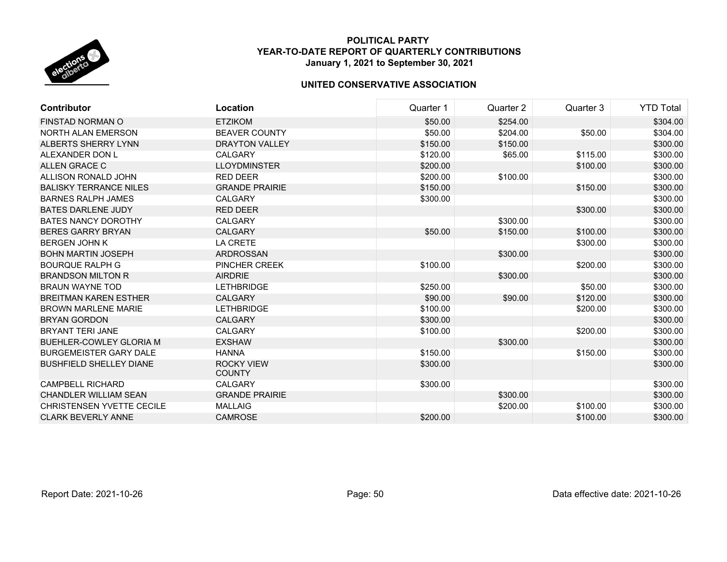

| <b>Contributor</b>               | Location                           | Quarter 1 | Quarter 2 | Quarter 3 | <b>YTD Total</b> |
|----------------------------------|------------------------------------|-----------|-----------|-----------|------------------|
| FINSTAD NORMAN O                 | <b>ETZIKOM</b>                     | \$50.00   | \$254.00  |           | \$304.00         |
| NORTH ALAN EMERSON               | <b>BEAVER COUNTY</b>               | \$50.00   | \$204.00  | \$50.00   | \$304.00         |
| ALBERTS SHERRY LYNN              | <b>DRAYTON VALLEY</b>              | \$150.00  | \$150.00  |           | \$300.00         |
| ALEXANDER DON L                  | <b>CALGARY</b>                     | \$120.00  | \$65.00   | \$115.00  | \$300.00         |
| ALLEN GRACE C                    | <b>LLOYDMINSTER</b>                | \$200.00  |           | \$100.00  | \$300.00         |
| ALLISON RONALD JOHN              | <b>RED DEER</b>                    | \$200.00  | \$100.00  |           | \$300.00         |
| <b>BALISKY TERRANCE NILES</b>    | <b>GRANDE PRAIRIE</b>              | \$150.00  |           | \$150.00  | \$300.00         |
| <b>BARNES RALPH JAMES</b>        | CALGARY                            | \$300.00  |           |           | \$300.00         |
| <b>BATES DARLENE JUDY</b>        | <b>RED DEER</b>                    |           |           | \$300.00  | \$300.00         |
| <b>BATES NANCY DOROTHY</b>       | <b>CALGARY</b>                     |           | \$300.00  |           | \$300.00         |
| <b>BERES GARRY BRYAN</b>         | <b>CALGARY</b>                     | \$50.00   | \$150.00  | \$100.00  | \$300.00         |
| <b>BERGEN JOHN K</b>             | LA CRETE                           |           |           | \$300.00  | \$300.00         |
| <b>BOHN MARTIN JOSEPH</b>        | <b>ARDROSSAN</b>                   |           | \$300.00  |           | \$300.00         |
| <b>BOURQUE RALPH G</b>           | PINCHER CREEK                      | \$100.00  |           | \$200.00  | \$300.00         |
| <b>BRANDSON MILTON R</b>         | <b>AIRDRIE</b>                     |           | \$300.00  |           | \$300.00         |
| <b>BRAUN WAYNE TOD</b>           | <b>LETHBRIDGE</b>                  | \$250.00  |           | \$50.00   | \$300.00         |
| <b>BREITMAN KAREN ESTHER</b>     | <b>CALGARY</b>                     | \$90.00   | \$90.00   | \$120.00  | \$300.00         |
| <b>BROWN MARLENE MARIE</b>       | <b>LETHBRIDGE</b>                  | \$100.00  |           | \$200.00  | \$300.00         |
| <b>BRYAN GORDON</b>              | <b>CALGARY</b>                     | \$300.00  |           |           | \$300.00         |
| <b>BRYANT TERI JANE</b>          | <b>CALGARY</b>                     | \$100.00  |           | \$200.00  | \$300.00         |
| <b>BUEHLER-COWLEY GLORIA M</b>   | <b>EXSHAW</b>                      |           | \$300.00  |           | \$300.00         |
| <b>BURGEMEISTER GARY DALE</b>    | <b>HANNA</b>                       | \$150.00  |           | \$150.00  | \$300.00         |
| <b>BUSHFIELD SHELLEY DIANE</b>   | <b>ROCKY VIEW</b><br><b>COUNTY</b> | \$300.00  |           |           | \$300.00         |
| <b>CAMPBELL RICHARD</b>          | <b>CALGARY</b>                     | \$300.00  |           |           | \$300.00         |
| <b>CHANDLER WILLIAM SEAN</b>     | <b>GRANDE PRAIRIE</b>              |           | \$300.00  |           | \$300.00         |
| <b>CHRISTENSEN YVETTE CECILE</b> | <b>MALLAIG</b>                     |           | \$200.00  | \$100.00  | \$300.00         |
| <b>CLARK BEVERLY ANNE</b>        | <b>CAMROSE</b>                     | \$200.00  |           | \$100.00  | \$300.00         |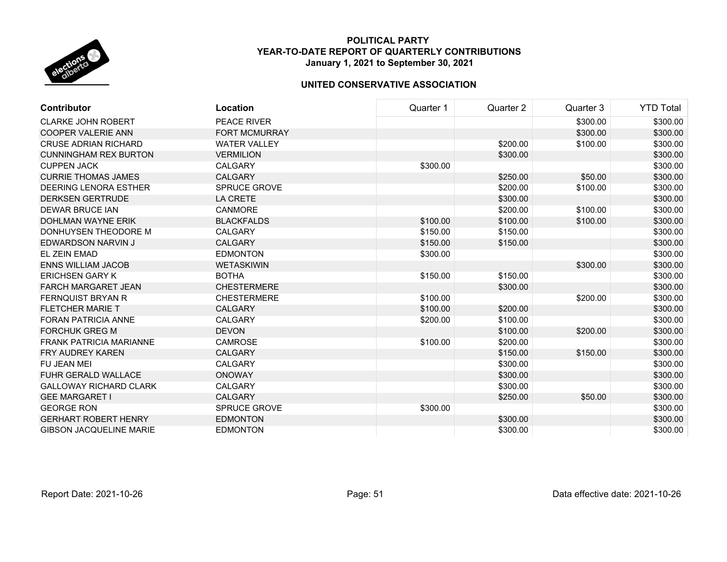

| <b>Contributor</b>             | Location            | Quarter 1 | Quarter 2 | Quarter 3 | <b>YTD Total</b> |
|--------------------------------|---------------------|-----------|-----------|-----------|------------------|
| <b>CLARKE JOHN ROBERT</b>      | PEACE RIVER         |           |           | \$300.00  | \$300.00         |
| <b>COOPER VALERIE ANN</b>      | FORT MCMURRAY       |           |           | \$300.00  | \$300.00         |
| <b>CRUSE ADRIAN RICHARD</b>    | <b>WATER VALLEY</b> |           | \$200.00  | \$100.00  | \$300.00         |
| <b>CUNNINGHAM REX BURTON</b>   | <b>VERMILION</b>    |           | \$300.00  |           | \$300.00         |
| <b>CUPPEN JACK</b>             | <b>CALGARY</b>      | \$300.00  |           |           | \$300.00         |
| <b>CURRIE THOMAS JAMES</b>     | <b>CALGARY</b>      |           | \$250.00  | \$50.00   | \$300.00         |
| <b>DEERING LENORA ESTHER</b>   | <b>SPRUCE GROVE</b> |           | \$200.00  | \$100.00  | \$300.00         |
| <b>DERKSEN GERTRUDE</b>        | <b>LA CRETE</b>     |           | \$300.00  |           | \$300.00         |
| <b>DEWAR BRUCE IAN</b>         | <b>CANMORE</b>      |           | \$200.00  | \$100.00  | \$300.00         |
| DOHLMAN WAYNE ERIK             | <b>BLACKFALDS</b>   | \$100.00  | \$100.00  | \$100.00  | \$300.00         |
| DONHUYSEN THEODORE M           | <b>CALGARY</b>      | \$150.00  | \$150.00  |           | \$300.00         |
| EDWARDSON NARVIN J             | <b>CALGARY</b>      | \$150.00  | \$150.00  |           | \$300.00         |
| EL ZEIN EMAD                   | <b>EDMONTON</b>     | \$300.00  |           |           | \$300.00         |
| <b>ENNS WILLIAM JACOB</b>      | <b>WETASKIWIN</b>   |           |           | \$300.00  | \$300.00         |
| <b>ERICHSEN GARY K</b>         | <b>BOTHA</b>        | \$150.00  | \$150.00  |           | \$300.00         |
| <b>FARCH MARGARET JEAN</b>     | <b>CHESTERMERE</b>  |           | \$300.00  |           | \$300.00         |
| <b>FERNQUIST BRYAN R</b>       | <b>CHESTERMERE</b>  | \$100.00  |           | \$200.00  | \$300.00         |
| <b>FLETCHER MARIE T</b>        | <b>CALGARY</b>      | \$100.00  | \$200.00  |           | \$300.00         |
| <b>FORAN PATRICIA ANNE</b>     | <b>CALGARY</b>      | \$200.00  | \$100.00  |           | \$300.00         |
| <b>FORCHUK GREG M</b>          | <b>DEVON</b>        |           | \$100.00  | \$200.00  | \$300.00         |
| <b>FRANK PATRICIA MARIANNE</b> | <b>CAMROSE</b>      | \$100.00  | \$200.00  |           | \$300.00         |
| <b>FRY AUDREY KAREN</b>        | <b>CALGARY</b>      |           | \$150.00  | \$150.00  | \$300.00         |
| FU JEAN MEI                    | <b>CALGARY</b>      |           | \$300.00  |           | \$300.00         |
| <b>FUHR GERALD WALLACE</b>     | <b>ONOWAY</b>       |           | \$300.00  |           | \$300.00         |
| <b>GALLOWAY RICHARD CLARK</b>  | <b>CALGARY</b>      |           | \$300.00  |           | \$300.00         |
| <b>GEE MARGARET I</b>          | <b>CALGARY</b>      |           | \$250.00  | \$50.00   | \$300.00         |
| <b>GEORGE RON</b>              | <b>SPRUCE GROVE</b> | \$300.00  |           |           | \$300.00         |
| <b>GERHART ROBERT HENRY</b>    | <b>EDMONTON</b>     |           | \$300.00  |           | \$300.00         |
| <b>GIBSON JACQUELINE MARIE</b> | <b>EDMONTON</b>     |           | \$300.00  |           | \$300.00         |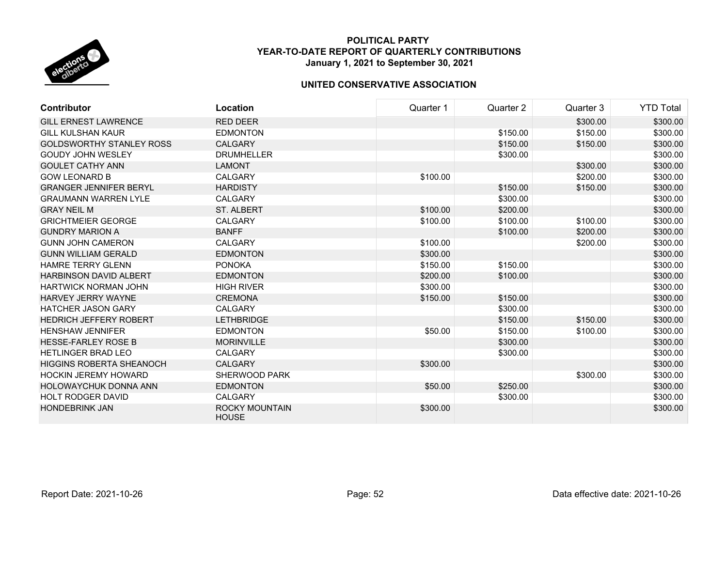

| <b>Contributor</b>              | Location                              | Quarter 1 | Quarter 2 | Quarter 3 | <b>YTD Total</b> |
|---------------------------------|---------------------------------------|-----------|-----------|-----------|------------------|
| <b>GILL ERNEST LAWRENCE</b>     | <b>RED DEER</b>                       |           |           | \$300.00  | \$300.00         |
| <b>GILL KULSHAN KAUR</b>        | <b>EDMONTON</b>                       |           | \$150.00  | \$150.00  | \$300.00         |
| <b>GOLDSWORTHY STANLEY ROSS</b> | <b>CALGARY</b>                        |           | \$150.00  | \$150.00  | \$300.00         |
| <b>GOUDY JOHN WESLEY</b>        | <b>DRUMHELLER</b>                     |           | \$300.00  |           | \$300.00         |
| <b>GOULET CATHY ANN</b>         | <b>LAMONT</b>                         |           |           | \$300.00  | \$300.00         |
| <b>GOW LEONARD B</b>            | <b>CALGARY</b>                        | \$100.00  |           | \$200.00  | \$300.00         |
| <b>GRANGER JENNIFER BERYL</b>   | <b>HARDISTY</b>                       |           | \$150.00  | \$150.00  | \$300.00         |
| <b>GRAUMANN WARREN LYLE</b>     | <b>CALGARY</b>                        |           | \$300.00  |           | \$300.00         |
| <b>GRAY NEIL M</b>              | <b>ST. ALBERT</b>                     | \$100.00  | \$200.00  |           | \$300.00         |
| <b>GRICHTMEIER GEORGE</b>       | <b>CALGARY</b>                        | \$100.00  | \$100.00  | \$100.00  | \$300.00         |
| <b>GUNDRY MARION A</b>          | <b>BANFF</b>                          |           | \$100.00  | \$200.00  | \$300.00         |
| <b>GUNN JOHN CAMERON</b>        | <b>CALGARY</b>                        | \$100.00  |           | \$200.00  | \$300.00         |
| <b>GUNN WILLIAM GERALD</b>      | <b>EDMONTON</b>                       | \$300.00  |           |           | \$300.00         |
| <b>HAMRE TERRY GLENN</b>        | <b>PONOKA</b>                         | \$150.00  | \$150.00  |           | \$300.00         |
| <b>HARBINSON DAVID ALBERT</b>   | <b>EDMONTON</b>                       | \$200.00  | \$100.00  |           | \$300.00         |
| <b>HARTWICK NORMAN JOHN</b>     | <b>HIGH RIVER</b>                     | \$300.00  |           |           | \$300.00         |
| HARVEY JERRY WAYNE              | <b>CREMONA</b>                        | \$150.00  | \$150.00  |           | \$300.00         |
| <b>HATCHER JASON GARY</b>       | <b>CALGARY</b>                        |           | \$300.00  |           | \$300.00         |
| <b>HEDRICH JEFFERY ROBERT</b>   | <b>LETHBRIDGE</b>                     |           | \$150.00  | \$150.00  | \$300.00         |
| <b>HENSHAW JENNIFER</b>         | <b>EDMONTON</b>                       | \$50.00   | \$150.00  | \$100.00  | \$300.00         |
| <b>HESSE-FARLEY ROSE B</b>      | <b>MORINVILLE</b>                     |           | \$300.00  |           | \$300.00         |
| <b>HETLINGER BRAD LEO</b>       | <b>CALGARY</b>                        |           | \$300.00  |           | \$300.00         |
| <b>HIGGINS ROBERTA SHEANOCH</b> | <b>CALGARY</b>                        | \$300.00  |           |           | \$300.00         |
| <b>HOCKIN JEREMY HOWARD</b>     | <b>SHERWOOD PARK</b>                  |           |           | \$300.00  | \$300.00         |
| <b>HOLOWAYCHUK DONNA ANN</b>    | <b>EDMONTON</b>                       | \$50.00   | \$250.00  |           | \$300.00         |
| <b>HOLT RODGER DAVID</b>        | CALGARY                               |           | \$300.00  |           | \$300.00         |
| <b>HONDEBRINK JAN</b>           | <b>ROCKY MOUNTAIN</b><br><b>HOUSE</b> | \$300.00  |           |           | \$300.00         |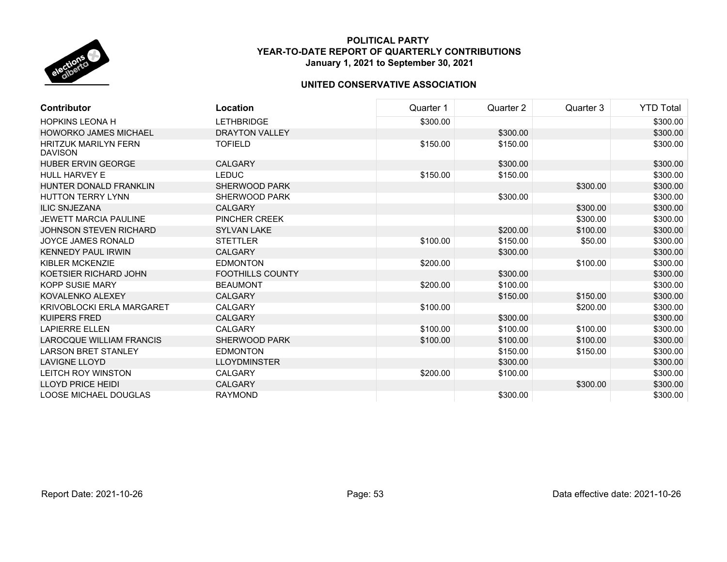

| Contributor                                   | Location                | Quarter 1 | Quarter 2 | Quarter 3 | <b>YTD Total</b> |
|-----------------------------------------------|-------------------------|-----------|-----------|-----------|------------------|
| <b>HOPKINS LEONA H</b>                        | <b>LETHBRIDGE</b>       | \$300.00  |           |           | \$300.00         |
| <b>HOWORKO JAMES MICHAEL</b>                  | <b>DRAYTON VALLEY</b>   |           | \$300.00  |           | \$300.00         |
| <b>HRITZUK MARILYN FERN</b><br><b>DAVISON</b> | <b>TOFIELD</b>          | \$150.00  | \$150.00  |           | \$300.00         |
| <b>HUBER ERVIN GEORGE</b>                     | <b>CALGARY</b>          |           | \$300.00  |           | \$300.00         |
| <b>HULL HARVEY E</b>                          | <b>LEDUC</b>            | \$150.00  | \$150.00  |           | \$300.00         |
| HUNTER DONALD FRANKLIN                        | <b>SHERWOOD PARK</b>    |           |           | \$300.00  | \$300.00         |
| <b>HUTTON TERRY LYNN</b>                      | SHERWOOD PARK           |           | \$300.00  |           | \$300.00         |
| <b>ILIC SNJEZANA</b>                          | <b>CALGARY</b>          |           |           | \$300.00  | \$300.00         |
| <b>JEWETT MARCIA PAULINE</b>                  | PINCHER CREEK           |           |           | \$300.00  | \$300.00         |
| JOHNSON STEVEN RICHARD                        | <b>SYLVAN LAKE</b>      |           | \$200.00  | \$100.00  | \$300.00         |
| <b>JOYCE JAMES RONALD</b>                     | <b>STETTLER</b>         | \$100.00  | \$150.00  | \$50.00   | \$300.00         |
| <b>KENNEDY PAUL IRWIN</b>                     | <b>CALGARY</b>          |           | \$300.00  |           | \$300.00         |
| <b>KIBLER MCKENZIE</b>                        | <b>EDMONTON</b>         | \$200.00  |           | \$100.00  | \$300.00         |
| KOETSIER RICHARD JOHN                         | <b>FOOTHILLS COUNTY</b> |           | \$300.00  |           | \$300.00         |
| <b>KOPP SUSIE MARY</b>                        | <b>BEAUMONT</b>         | \$200.00  | \$100.00  |           | \$300.00         |
| KOVALENKO ALEXEY                              | <b>CALGARY</b>          |           | \$150.00  | \$150.00  | \$300.00         |
| <b>KRIVOBLOCKI ERLA MARGARET</b>              | <b>CALGARY</b>          | \$100.00  |           | \$200.00  | \$300.00         |
| <b>KUIPERS FRED</b>                           | CALGARY                 |           | \$300.00  |           | \$300.00         |
| <b>LAPIERRE ELLEN</b>                         | CALGARY                 | \$100.00  | \$100.00  | \$100.00  | \$300.00         |
| <b>LAROCQUE WILLIAM FRANCIS</b>               | <b>SHERWOOD PARK</b>    | \$100.00  | \$100.00  | \$100.00  | \$300.00         |
| <b>LARSON BRET STANLEY</b>                    | <b>EDMONTON</b>         |           | \$150.00  | \$150.00  | \$300.00         |
| <b>LAVIGNE LLOYD</b>                          | <b>LLOYDMINSTER</b>     |           | \$300.00  |           | \$300.00         |
| <b>LEITCH ROY WINSTON</b>                     | <b>CALGARY</b>          | \$200.00  | \$100.00  |           | \$300.00         |
| <b>LLOYD PRICE HEIDI</b>                      | <b>CALGARY</b>          |           |           | \$300.00  | \$300.00         |
| <b>LOOSE MICHAEL DOUGLAS</b>                  | <b>RAYMOND</b>          |           | \$300.00  |           | \$300.00         |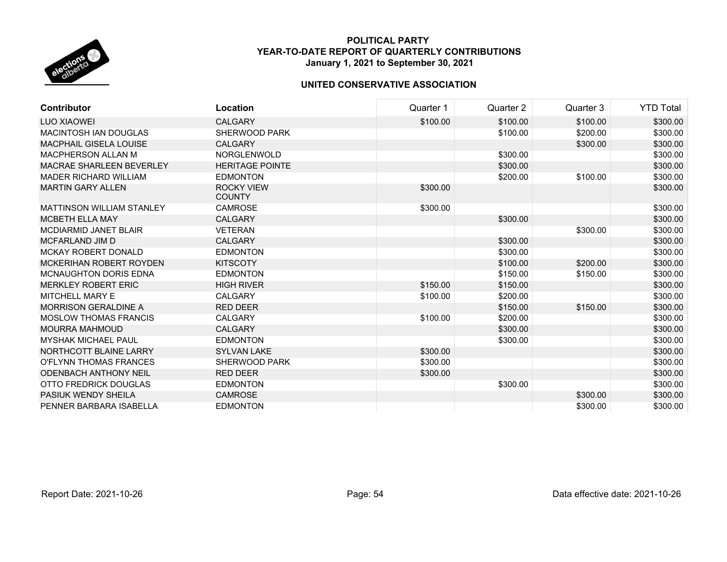

| <b>Contributor</b>               | Location                           | Quarter 1 | Quarter 2 | Quarter 3 | <b>YTD Total</b> |
|----------------------------------|------------------------------------|-----------|-----------|-----------|------------------|
| LUO XIAOWEI                      | <b>CALGARY</b>                     | \$100.00  | \$100.00  | \$100.00  | \$300.00         |
| <b>MACINTOSH IAN DOUGLAS</b>     | SHERWOOD PARK                      |           | \$100.00  | \$200.00  | \$300.00         |
| <b>MACPHAIL GISELA LOUISE</b>    | <b>CALGARY</b>                     |           |           | \$300.00  | \$300.00         |
| <b>MACPHERSON ALLAN M</b>        | <b>NORGLENWOLD</b>                 |           | \$300.00  |           | \$300.00         |
| <b>MACRAE SHARLEEN BEVERLEY</b>  | <b>HERITAGE POINTE</b>             |           | \$300.00  |           | \$300.00         |
| <b>MADER RICHARD WILLIAM</b>     | <b>EDMONTON</b>                    |           | \$200.00  | \$100.00  | \$300.00         |
| <b>MARTIN GARY ALLEN</b>         | <b>ROCKY VIEW</b><br><b>COUNTY</b> | \$300.00  |           |           | \$300.00         |
| <b>MATTINSON WILLIAM STANLEY</b> | <b>CAMROSE</b>                     | \$300.00  |           |           | \$300.00         |
| <b>MCBETH ELLA MAY</b>           | <b>CALGARY</b>                     |           | \$300.00  |           | \$300.00         |
| MCDIARMID JANET BLAIR            | <b>VETERAN</b>                     |           |           | \$300.00  | \$300.00         |
| MCFARLAND JIM D                  | <b>CALGARY</b>                     |           | \$300.00  |           | \$300.00         |
| <b>MCKAY ROBERT DONALD</b>       | <b>EDMONTON</b>                    |           | \$300.00  |           | \$300.00         |
| <b>MCKERIHAN ROBERT ROYDEN</b>   | <b>KITSCOTY</b>                    |           | \$100.00  | \$200.00  | \$300.00         |
| <b>MCNAUGHTON DORIS EDNA</b>     | <b>EDMONTON</b>                    |           | \$150.00  | \$150.00  | \$300.00         |
| <b>MERKLEY ROBERT ERIC</b>       | <b>HIGH RIVER</b>                  | \$150.00  | \$150.00  |           | \$300.00         |
| MITCHELL MARY E                  | <b>CALGARY</b>                     | \$100.00  | \$200.00  |           | \$300.00         |
| <b>MORRISON GERALDINE A</b>      | <b>RED DEER</b>                    |           | \$150.00  | \$150.00  | \$300.00         |
| <b>MOSLOW THOMAS FRANCIS</b>     | <b>CALGARY</b>                     | \$100.00  | \$200.00  |           | \$300.00         |
| <b>MOURRA MAHMOUD</b>            | <b>CALGARY</b>                     |           | \$300.00  |           | \$300.00         |
| <b>MYSHAK MICHAEL PAUL</b>       | <b>EDMONTON</b>                    |           | \$300.00  |           | \$300.00         |
| NORTHCOTT BLAINE LARRY           | <b>SYLVAN LAKE</b>                 | \$300.00  |           |           | \$300.00         |
| O'FLYNN THOMAS FRANCES           | <b>SHERWOOD PARK</b>               | \$300.00  |           |           | \$300.00         |
| <b>ODENBACH ANTHONY NEIL</b>     | <b>RED DEER</b>                    | \$300.00  |           |           | \$300.00         |
| OTTO FREDRICK DOUGLAS            | <b>EDMONTON</b>                    |           | \$300.00  |           | \$300.00         |
| <b>PASIUK WENDY SHEILA</b>       | <b>CAMROSE</b>                     |           |           | \$300.00  | \$300.00         |
| PENNER BARBARA ISABELLA          | <b>EDMONTON</b>                    |           |           | \$300.00  | \$300.00         |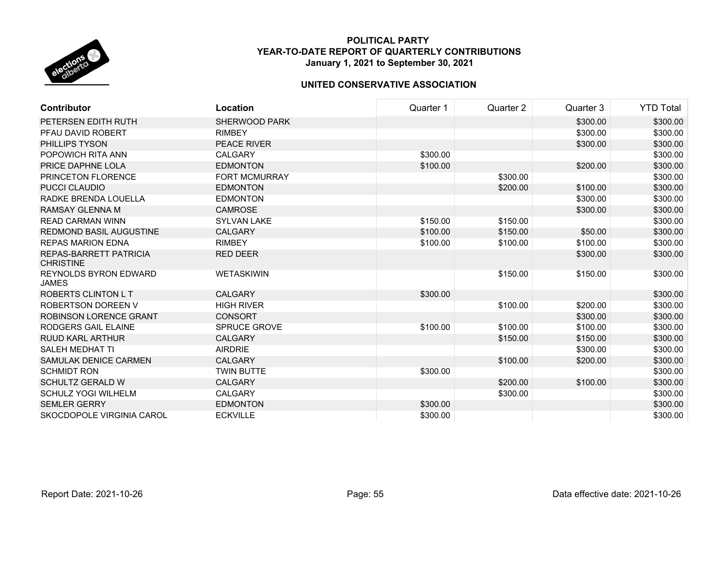

| <b>Contributor</b>                         | <b>Location</b>      | Quarter 1 | Quarter 2 | Quarter 3 | <b>YTD Total</b> |
|--------------------------------------------|----------------------|-----------|-----------|-----------|------------------|
| PETERSEN EDITH RUTH                        | <b>SHERWOOD PARK</b> |           |           | \$300.00  | \$300.00         |
| PFAU DAVID ROBERT                          | <b>RIMBEY</b>        |           |           | \$300.00  | \$300.00         |
| PHILLIPS TYSON                             | <b>PEACE RIVER</b>   |           |           | \$300.00  | \$300.00         |
| POPOWICH RITA ANN                          | <b>CALGARY</b>       | \$300.00  |           |           | \$300.00         |
| PRICE DAPHNE LOLA                          | <b>EDMONTON</b>      | \$100.00  |           | \$200.00  | \$300.00         |
| PRINCETON FLORENCE                         | <b>FORT MCMURRAY</b> |           | \$300.00  |           | \$300.00         |
| <b>PUCCI CLAUDIO</b>                       | <b>EDMONTON</b>      |           | \$200.00  | \$100.00  | \$300.00         |
| RADKE BRENDA LOUELLA                       | <b>EDMONTON</b>      |           |           | \$300.00  | \$300.00         |
| <b>RAMSAY GLENNA M</b>                     | <b>CAMROSE</b>       |           |           | \$300.00  | \$300.00         |
| <b>READ CARMAN WINN</b>                    | <b>SYLVAN LAKE</b>   | \$150.00  | \$150.00  |           | \$300.00         |
| REDMOND BASIL AUGUSTINE                    | <b>CALGARY</b>       | \$100.00  | \$150.00  | \$50.00   | \$300.00         |
| <b>REPAS MARION EDNA</b>                   | <b>RIMBEY</b>        | \$100.00  | \$100.00  | \$100.00  | \$300.00         |
| REPAS-BARRETT PATRICIA<br><b>CHRISTINE</b> | <b>RED DEER</b>      |           |           | \$300.00  | \$300.00         |
| REYNOLDS BYRON EDWARD<br><b>JAMES</b>      | <b>WETASKIWIN</b>    |           | \$150.00  | \$150.00  | \$300.00         |
| <b>ROBERTS CLINTON L T</b>                 | <b>CALGARY</b>       | \$300.00  |           |           | \$300.00         |
| ROBERTSON DOREEN V                         | <b>HIGH RIVER</b>    |           | \$100.00  | \$200.00  | \$300.00         |
| <b>ROBINSON LORENCE GRANT</b>              | <b>CONSORT</b>       |           |           | \$300.00  | \$300.00         |
| RODGERS GAIL ELAINE                        | <b>SPRUCE GROVE</b>  | \$100.00  | \$100.00  | \$100.00  | \$300.00         |
| RUUD KARL ARTHUR                           | <b>CALGARY</b>       |           | \$150.00  | \$150.00  | \$300.00         |
| SALEH MEDHAT TI                            | <b>AIRDRIE</b>       |           |           | \$300.00  | \$300.00         |
| SAMULAK DENICE CARMEN                      | <b>CALGARY</b>       |           | \$100.00  | \$200.00  | \$300.00         |
| <b>SCHMIDT RON</b>                         | <b>TWIN BUTTE</b>    | \$300.00  |           |           | \$300.00         |
| <b>SCHULTZ GERALD W</b>                    | <b>CALGARY</b>       |           | \$200.00  | \$100.00  | \$300.00         |
| SCHULZ YOGI WILHELM                        | <b>CALGARY</b>       |           | \$300.00  |           | \$300.00         |
| <b>SEMLER GERRY</b>                        | <b>EDMONTON</b>      | \$300.00  |           |           | \$300.00         |
| SKOCDOPOLE VIRGINIA CAROL                  | <b>ECKVILLE</b>      | \$300.00  |           |           | \$300.00         |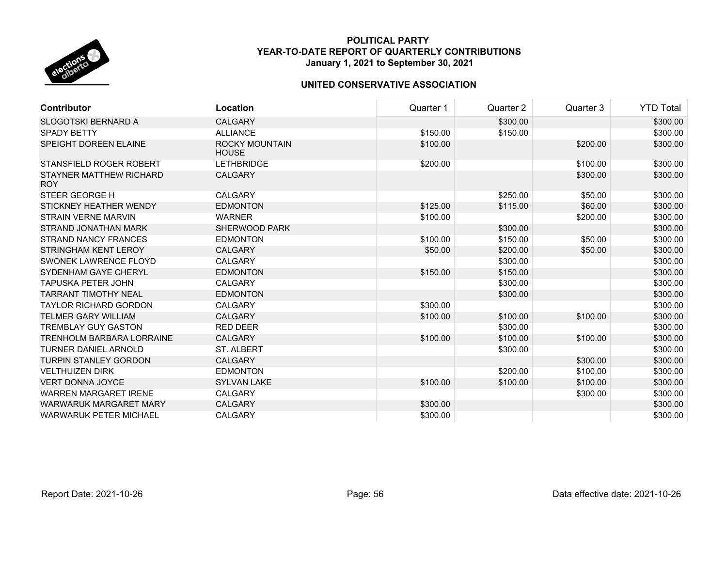

| <b>Contributor</b>                    | Location                              | Quarter 1 | Quarter 2 | Quarter 3 | <b>YTD Total</b> |
|---------------------------------------|---------------------------------------|-----------|-----------|-----------|------------------|
| <b>SLOGOTSKI BERNARD A</b>            | <b>CALGARY</b>                        |           | \$300.00  |           | \$300.00         |
| <b>SPADY BETTY</b>                    | <b>ALLIANCE</b>                       | \$150.00  | \$150.00  |           | \$300.00         |
| <b>SPEIGHT DOREEN ELAINE</b>          | <b>ROCKY MOUNTAIN</b><br><b>HOUSE</b> | \$100.00  |           | \$200.00  | \$300.00         |
| STANSFIELD ROGER ROBERT               | <b>LETHBRIDGE</b>                     | \$200.00  |           | \$100.00  | \$300.00         |
| STAYNER MATTHEW RICHARD<br><b>ROY</b> | <b>CALGARY</b>                        |           |           | \$300.00  | \$300.00         |
| STEER GEORGE H                        | <b>CALGARY</b>                        |           | \$250.00  | \$50.00   | \$300.00         |
| STICKNEY HEATHER WENDY                | <b>EDMONTON</b>                       | \$125.00  | \$115.00  | \$60.00   | \$300.00         |
| <b>STRAIN VERNE MARVIN</b>            | <b>WARNER</b>                         | \$100.00  |           | \$200.00  | \$300.00         |
| STRAND JONATHAN MARK                  | <b>SHERWOOD PARK</b>                  |           | \$300.00  |           | \$300.00         |
| <b>STRAND NANCY FRANCES</b>           | <b>EDMONTON</b>                       | \$100.00  | \$150.00  | \$50.00   | \$300.00         |
| STRINGHAM KENT LEROY                  | <b>CALGARY</b>                        | \$50.00   | \$200.00  | \$50.00   | \$300.00         |
| SWONEK LAWRENCE FLOYD                 | <b>CALGARY</b>                        |           | \$300.00  |           | \$300.00         |
| SYDENHAM GAYE CHERYL                  | <b>EDMONTON</b>                       | \$150.00  | \$150.00  |           | \$300.00         |
| <b>TAPUSKA PETER JOHN</b>             | <b>CALGARY</b>                        |           | \$300.00  |           | \$300.00         |
| <b>TARRANT TIMOTHY NEAL</b>           | <b>EDMONTON</b>                       |           | \$300.00  |           | \$300.00         |
| <b>TAYLOR RICHARD GORDON</b>          | <b>CALGARY</b>                        | \$300.00  |           |           | \$300.00         |
| <b>TELMER GARY WILLIAM</b>            | <b>CALGARY</b>                        | \$100.00  | \$100.00  | \$100.00  | \$300.00         |
| <b>TREMBLAY GUY GASTON</b>            | <b>RED DEER</b>                       |           | \$300.00  |           | \$300.00         |
| <b>TRENHOLM BARBARA LORRAINE</b>      | <b>CALGARY</b>                        | \$100.00  | \$100.00  | \$100.00  | \$300.00         |
| <b>TURNER DANIEL ARNOLD</b>           | <b>ST. ALBERT</b>                     |           | \$300.00  |           | \$300.00         |
| <b>TURPIN STANLEY GORDON</b>          | <b>CALGARY</b>                        |           |           | \$300.00  | \$300.00         |
| <b>VELTHUIZEN DIRK</b>                | <b>EDMONTON</b>                       |           | \$200.00  | \$100.00  | \$300.00         |
| <b>VERT DONNA JOYCE</b>               | <b>SYLVAN LAKE</b>                    | \$100.00  | \$100.00  | \$100.00  | \$300.00         |
| <b>WARREN MARGARET IRENE</b>          | <b>CALGARY</b>                        |           |           | \$300.00  | \$300.00         |
| <b>WARWARUK MARGARET MARY</b>         | <b>CALGARY</b>                        | \$300.00  |           |           | \$300.00         |
| <b>WARWARUK PETER MICHAEL</b>         | <b>CALGARY</b>                        | \$300.00  |           |           | \$300.00         |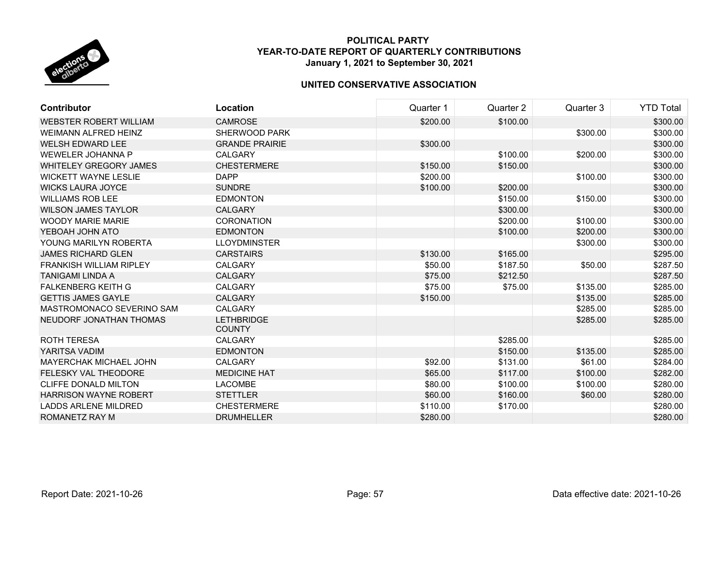

| Contributor                    | Location                           | Quarter 1 | Quarter 2 | Quarter 3 | <b>YTD Total</b> |
|--------------------------------|------------------------------------|-----------|-----------|-----------|------------------|
| WEBSTER ROBERT WILLIAM         | <b>CAMROSE</b>                     | \$200.00  | \$100.00  |           | \$300.00         |
| <b>WEIMANN ALFRED HEINZ</b>    | SHERWOOD PARK                      |           |           | \$300.00  | \$300.00         |
| <b>WELSH EDWARD LEE</b>        | <b>GRANDE PRAIRIE</b>              | \$300.00  |           |           | \$300.00         |
| WEWELER JOHANNA P              | <b>CALGARY</b>                     |           | \$100.00  | \$200.00  | \$300.00         |
| <b>WHITELEY GREGORY JAMES</b>  | <b>CHESTERMERE</b>                 | \$150.00  | \$150.00  |           | \$300.00         |
| <b>WICKETT WAYNE LESLIE</b>    | <b>DAPP</b>                        | \$200.00  |           | \$100.00  | \$300.00         |
| <b>WICKS LAURA JOYCE</b>       | <b>SUNDRE</b>                      | \$100.00  | \$200.00  |           | \$300.00         |
| <b>WILLIAMS ROB LEE</b>        | <b>EDMONTON</b>                    |           | \$150.00  | \$150.00  | \$300.00         |
| <b>WILSON JAMES TAYLOR</b>     | <b>CALGARY</b>                     |           | \$300.00  |           | \$300.00         |
| <b>WOODY MARIE MARIE</b>       | <b>CORONATION</b>                  |           | \$200.00  | \$100.00  | \$300.00         |
| YEBOAH JOHN ATO                | <b>EDMONTON</b>                    |           | \$100.00  | \$200.00  | \$300.00         |
| YOUNG MARILYN ROBERTA          | <b>LLOYDMINSTER</b>                |           |           | \$300.00  | \$300.00         |
| <b>JAMES RICHARD GLEN</b>      | <b>CARSTAIRS</b>                   | \$130.00  | \$165.00  |           | \$295.00         |
| <b>FRANKISH WILLIAM RIPLEY</b> | <b>CALGARY</b>                     | \$50.00   | \$187.50  | \$50.00   | \$287.50         |
| <b>TANIGAMI LINDA A</b>        | <b>CALGARY</b>                     | \$75.00   | \$212.50  |           | \$287.50         |
| <b>FALKENBERG KEITH G</b>      | <b>CALGARY</b>                     | \$75.00   | \$75.00   | \$135.00  | \$285.00         |
| <b>GETTIS JAMES GAYLE</b>      | <b>CALGARY</b>                     | \$150.00  |           | \$135.00  | \$285.00         |
| MASTROMONACO SEVERINO SAM      | <b>CALGARY</b>                     |           |           | \$285.00  | \$285.00         |
| NEUDORF JONATHAN THOMAS        | <b>LETHBRIDGE</b><br><b>COUNTY</b> |           |           | \$285.00  | \$285.00         |
| <b>ROTH TERESA</b>             | <b>CALGARY</b>                     |           | \$285.00  |           | \$285.00         |
| YARITSA VADIM                  | <b>EDMONTON</b>                    |           | \$150.00  | \$135.00  | \$285.00         |
| <b>MAYERCHAK MICHAEL JOHN</b>  | <b>CALGARY</b>                     | \$92.00   | \$131.00  | \$61.00   | \$284.00         |
| <b>FELESKY VAL THEODORE</b>    | <b>MEDICINE HAT</b>                | \$65.00   | \$117.00  | \$100.00  | \$282.00         |
| <b>CLIFFE DONALD MILTON</b>    | <b>LACOMBE</b>                     | \$80.00   | \$100.00  | \$100.00  | \$280.00         |
| <b>HARRISON WAYNE ROBERT</b>   | <b>STETTLER</b>                    | \$60.00   | \$160.00  | \$60.00   | \$280.00         |
| <b>LADDS ARLENE MILDRED</b>    | <b>CHESTERMERE</b>                 | \$110.00  | \$170.00  |           | \$280.00         |
| ROMANETZ RAY M                 | <b>DRUMHELLER</b>                  | \$280.00  |           |           | \$280.00         |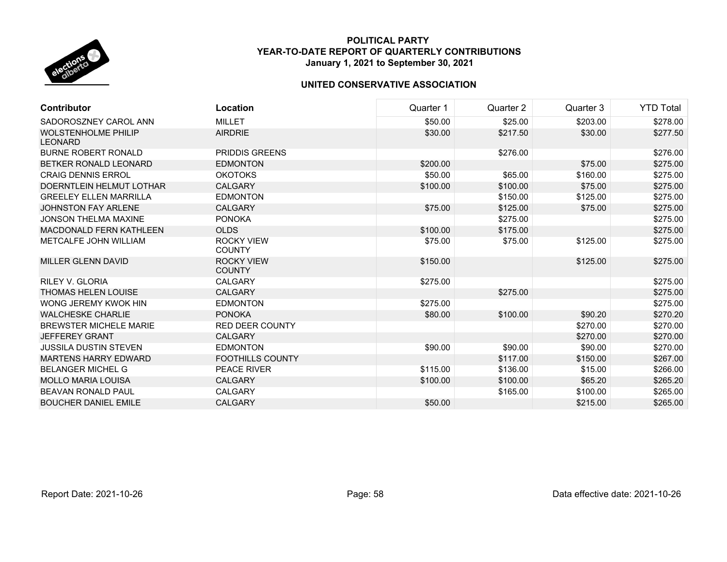

| <b>Contributor</b>                           | Location                           | Quarter 1 | Quarter 2 | Quarter 3 | <b>YTD Total</b> |
|----------------------------------------------|------------------------------------|-----------|-----------|-----------|------------------|
| SADOROSZNEY CAROL ANN                        | <b>MILLET</b>                      | \$50.00   | \$25.00   | \$203.00  | \$278.00         |
| <b>WOLSTENHOLME PHILIP</b><br><b>LEONARD</b> | <b>AIRDRIE</b>                     | \$30.00   | \$217.50  | \$30.00   | \$277.50         |
| <b>BURNE ROBERT RONALD</b>                   | <b>PRIDDIS GREENS</b>              |           | \$276.00  |           | \$276.00         |
| BETKER RONALD LEONARD                        | <b>EDMONTON</b>                    | \$200.00  |           | \$75.00   | \$275.00         |
| <b>CRAIG DENNIS ERROL</b>                    | <b>OKOTOKS</b>                     | \$50.00   | \$65.00   | \$160.00  | \$275.00         |
| DOERNTLEIN HELMUT LOTHAR                     | <b>CALGARY</b>                     | \$100.00  | \$100.00  | \$75.00   | \$275.00         |
| <b>GREELEY ELLEN MARRILLA</b>                | <b>EDMONTON</b>                    |           | \$150.00  | \$125.00  | \$275.00         |
| <b>JOHNSTON FAY ARLENE</b>                   | <b>CALGARY</b>                     | \$75.00   | \$125.00  | \$75.00   | \$275.00         |
| <b>JONSON THELMA MAXINE</b>                  | <b>PONOKA</b>                      |           | \$275.00  |           | \$275.00         |
| <b>MACDONALD FERN KATHLEEN</b>               | <b>OLDS</b>                        | \$100.00  | \$175.00  |           | \$275.00         |
| <b>METCALFE JOHN WILLIAM</b>                 | <b>ROCKY VIEW</b><br><b>COUNTY</b> | \$75.00   | \$75.00   | \$125.00  | \$275.00         |
| <b>MILLER GLENN DAVID</b>                    | <b>ROCKY VIEW</b><br><b>COUNTY</b> | \$150.00  |           | \$125.00  | \$275.00         |
| <b>RILEY V. GLORIA</b>                       | <b>CALGARY</b>                     | \$275.00  |           |           | \$275.00         |
| <b>THOMAS HELEN LOUISE</b>                   | <b>CALGARY</b>                     |           | \$275.00  |           | \$275.00         |
| WONG JEREMY KWOK HIN                         | <b>EDMONTON</b>                    | \$275.00  |           |           | \$275.00         |
| <b>WALCHESKE CHARLIE</b>                     | <b>PONOKA</b>                      | \$80.00   | \$100.00  | \$90.20   | \$270.20         |
| <b>BREWSTER MICHELE MARIE</b>                | <b>RED DEER COUNTY</b>             |           |           | \$270.00  | \$270.00         |
| <b>JEFFEREY GRANT</b>                        | <b>CALGARY</b>                     |           |           | \$270.00  | \$270.00         |
| <b>JUSSILA DUSTIN STEVEN</b>                 | <b>EDMONTON</b>                    | \$90.00   | \$90.00   | \$90.00   | \$270.00         |
| <b>MARTENS HARRY EDWARD</b>                  | <b>FOOTHILLS COUNTY</b>            |           | \$117.00  | \$150.00  | \$267.00         |
| <b>BELANGER MICHEL G</b>                     | <b>PEACE RIVER</b>                 | \$115.00  | \$136.00  | \$15.00   | \$266.00         |
| <b>MOLLO MARIA LOUISA</b>                    | <b>CALGARY</b>                     | \$100.00  | \$100.00  | \$65.20   | \$265.20         |
| <b>BEAVAN RONALD PAUL</b>                    | <b>CALGARY</b>                     |           | \$165.00  | \$100.00  | \$265.00         |
| <b>BOUCHER DANIEL EMILE</b>                  | <b>CALGARY</b>                     | \$50.00   |           | \$215.00  | \$265.00         |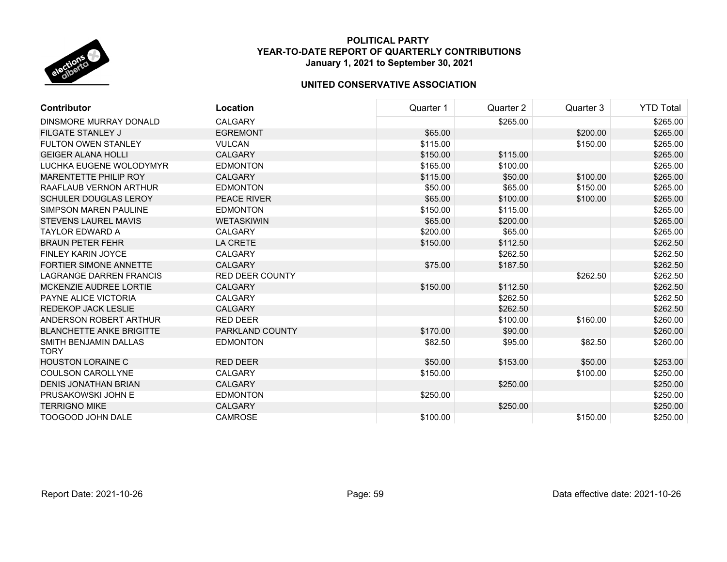

| <b>Contributor</b>                   | Location               | Quarter 1 | Quarter 2 | Quarter 3 | <b>YTD Total</b> |
|--------------------------------------|------------------------|-----------|-----------|-----------|------------------|
| DINSMORE MURRAY DONALD               | <b>CALGARY</b>         |           | \$265.00  |           | \$265.00         |
| <b>FILGATE STANLEY J</b>             | <b>EGREMONT</b>        | \$65.00   |           | \$200.00  | \$265.00         |
| <b>FULTON OWEN STANLEY</b>           | <b>VULCAN</b>          | \$115.00  |           | \$150.00  | \$265.00         |
| <b>GEIGER ALANA HOLLI</b>            | <b>CALGARY</b>         | \$150.00  | \$115.00  |           | \$265.00         |
| LUCHKA EUGENE WOLODYMYR              | <b>EDMONTON</b>        | \$165.00  | \$100.00  |           | \$265.00         |
| <b>MARENTETTE PHILIP ROY</b>         | <b>CALGARY</b>         | \$115.00  | \$50.00   | \$100.00  | \$265.00         |
| RAAFLAUB VERNON ARTHUR               | <b>EDMONTON</b>        | \$50.00   | \$65.00   | \$150.00  | \$265.00         |
| <b>SCHULER DOUGLAS LEROY</b>         | <b>PEACE RIVER</b>     | \$65.00   | \$100.00  | \$100.00  | \$265.00         |
| <b>SIMPSON MAREN PAULINE</b>         | <b>EDMONTON</b>        | \$150.00  | \$115.00  |           | \$265.00         |
| <b>STEVENS LAUREL MAVIS</b>          | <b>WETASKIWIN</b>      | \$65.00   | \$200.00  |           | \$265.00         |
| <b>TAYLOR EDWARD A</b>               | <b>CALGARY</b>         | \$200.00  | \$65.00   |           | \$265.00         |
| <b>BRAUN PETER FEHR</b>              | <b>LA CRETE</b>        | \$150.00  | \$112.50  |           | \$262.50         |
| <b>FINLEY KARIN JOYCE</b>            | <b>CALGARY</b>         |           | \$262.50  |           | \$262.50         |
| <b>FORTIER SIMONE ANNETTE</b>        | <b>CALGARY</b>         | \$75.00   | \$187.50  |           | \$262.50         |
| <b>LAGRANGE DARREN FRANCIS</b>       | <b>RED DEER COUNTY</b> |           |           | \$262.50  | \$262.50         |
| MCKENZIE AUDREE LORTIE               | <b>CALGARY</b>         | \$150.00  | \$112.50  |           | \$262.50         |
| PAYNE ALICE VICTORIA                 | <b>CALGARY</b>         |           | \$262.50  |           | \$262.50         |
| <b>REDEKOP JACK LESLIE</b>           | <b>CALGARY</b>         |           | \$262.50  |           | \$262.50         |
| ANDERSON ROBERT ARTHUR               | <b>RED DEER</b>        |           | \$100.00  | \$160.00  | \$260.00         |
| <b>BLANCHETTE ANKE BRIGITTE</b>      | PARKLAND COUNTY        | \$170.00  | \$90.00   |           | \$260.00         |
| SMITH BENJAMIN DALLAS<br><b>TORY</b> | <b>EDMONTON</b>        | \$82.50   | \$95.00   | \$82.50   | \$260.00         |
| <b>HOUSTON LORAINE C</b>             | <b>RED DEER</b>        | \$50.00   | \$153.00  | \$50.00   | \$253.00         |
| <b>COULSON CAROLLYNE</b>             | <b>CALGARY</b>         | \$150.00  |           | \$100.00  | \$250.00         |
| <b>DENIS JONATHAN BRIAN</b>          | <b>CALGARY</b>         |           | \$250.00  |           | \$250.00         |
| PRUSAKOWSKI JOHN E                   | <b>EDMONTON</b>        | \$250.00  |           |           | \$250.00         |
| <b>TERRIGNO MIKE</b>                 | <b>CALGARY</b>         |           | \$250.00  |           | \$250.00         |
| <b>TOOGOOD JOHN DALE</b>             | <b>CAMROSE</b>         | \$100.00  |           | \$150.00  | \$250.00         |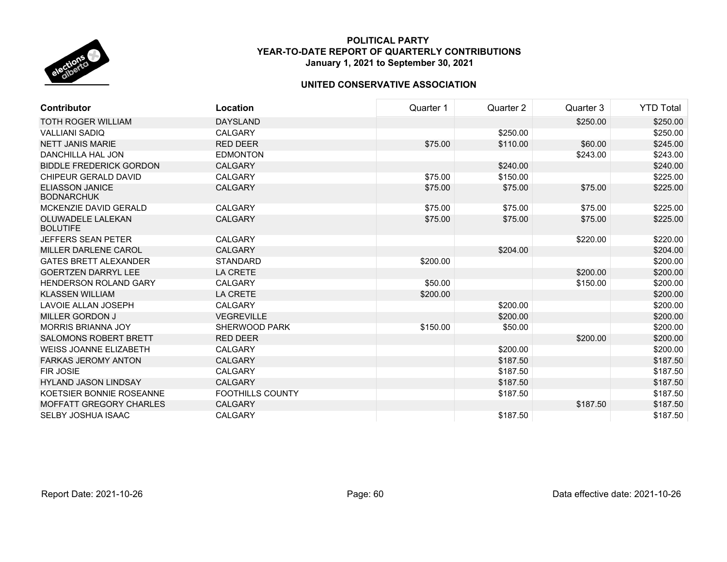

| <b>Contributor</b>                          | Location                | Quarter 1 | Quarter 2 | Quarter 3 | <b>YTD Total</b> |
|---------------------------------------------|-------------------------|-----------|-----------|-----------|------------------|
| <b>TOTH ROGER WILLIAM</b>                   | <b>DAYSLAND</b>         |           |           | \$250.00  | \$250.00         |
| <b>VALLIANI SADIQ</b>                       | <b>CALGARY</b>          |           | \$250.00  |           | \$250.00         |
| <b>NETT JANIS MARIE</b>                     | <b>RED DEER</b>         | \$75.00   | \$110.00  | \$60.00   | \$245.00         |
| DANCHILLA HAL JON                           | <b>EDMONTON</b>         |           |           | \$243.00  | \$243.00         |
| <b>BIDDLE FREDERICK GORDON</b>              | <b>CALGARY</b>          |           | \$240.00  |           | \$240.00         |
| CHIPEUR GERALD DAVID                        | <b>CALGARY</b>          | \$75.00   | \$150.00  |           | \$225.00         |
| <b>ELIASSON JANICE</b><br><b>BODNARCHUK</b> | <b>CALGARY</b>          | \$75.00   | \$75.00   | \$75.00   | \$225.00         |
| MCKENZIE DAVID GERALD                       | <b>CALGARY</b>          | \$75.00   | \$75.00   | \$75.00   | \$225.00         |
| OLUWADELE LALEKAN<br><b>BOLUTIFE</b>        | <b>CALGARY</b>          | \$75.00   | \$75.00   | \$75.00   | \$225.00         |
| <b>JEFFERS SEAN PETER</b>                   | <b>CALGARY</b>          |           |           | \$220.00  | \$220.00         |
| MILLER DARLENE CAROL                        | <b>CALGARY</b>          |           | \$204.00  |           | \$204.00         |
| <b>GATES BRETT ALEXANDER</b>                | <b>STANDARD</b>         | \$200.00  |           |           | \$200.00         |
| <b>GOERTZEN DARRYL LEE</b>                  | <b>LA CRETE</b>         |           |           | \$200.00  | \$200.00         |
| <b>HENDERSON ROLAND GARY</b>                | <b>CALGARY</b>          | \$50.00   |           | \$150.00  | \$200.00         |
| <b>KLASSEN WILLIAM</b>                      | <b>LA CRETE</b>         | \$200.00  |           |           | \$200.00         |
| <b>LAVOIE ALLAN JOSEPH</b>                  | <b>CALGARY</b>          |           | \$200.00  |           | \$200.00         |
| <b>MILLER GORDON J</b>                      | <b>VEGREVILLE</b>       |           | \$200.00  |           | \$200.00         |
| <b>MORRIS BRIANNA JOY</b>                   | <b>SHERWOOD PARK</b>    | \$150.00  | \$50.00   |           | \$200.00         |
| <b>SALOMONS ROBERT BRETT</b>                | <b>RED DEER</b>         |           |           | \$200.00  | \$200.00         |
| <b>WEISS JOANNE ELIZABETH</b>               | <b>CALGARY</b>          |           | \$200.00  |           | \$200.00         |
| <b>FARKAS JEROMY ANTON</b>                  | <b>CALGARY</b>          |           | \$187.50  |           | \$187.50         |
| <b>FIR JOSIE</b>                            | <b>CALGARY</b>          |           | \$187.50  |           | \$187.50         |
| <b>HYLAND JASON LINDSAY</b>                 | <b>CALGARY</b>          |           | \$187.50  |           | \$187.50         |
| KOETSIER BONNIE ROSEANNE                    | <b>FOOTHILLS COUNTY</b> |           | \$187.50  |           | \$187.50         |
| <b>MOFFATT GREGORY CHARLES</b>              | <b>CALGARY</b>          |           |           | \$187.50  | \$187.50         |
| SELBY JOSHUA ISAAC                          | <b>CALGARY</b>          |           | \$187.50  |           | \$187.50         |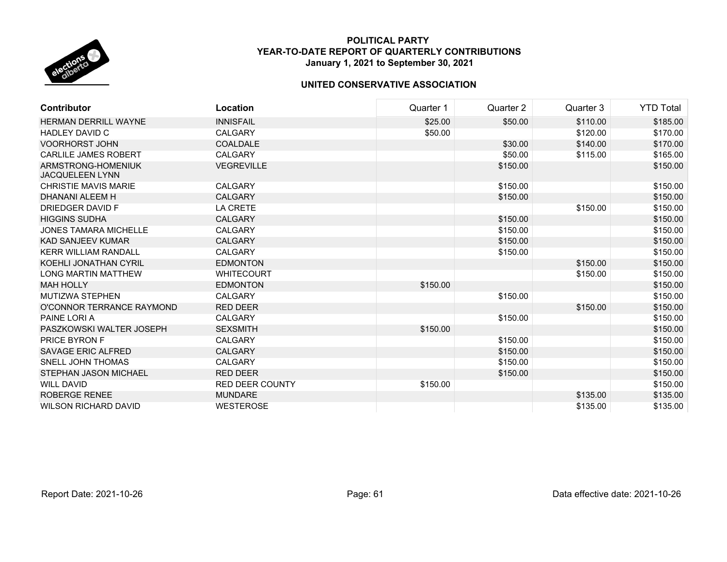

| <b>Contributor</b>                           | Location               | Quarter 1 | Quarter 2 | Quarter 3 | <b>YTD Total</b> |
|----------------------------------------------|------------------------|-----------|-----------|-----------|------------------|
| <b>HERMAN DERRILL WAYNE</b>                  | <b>INNISFAIL</b>       | \$25.00   | \$50.00   | \$110.00  | \$185.00         |
| <b>HADLEY DAVID C</b>                        | <b>CALGARY</b>         | \$50.00   |           | \$120.00  | \$170.00         |
| <b>VOORHORST JOHN</b>                        | <b>COALDALE</b>        |           | \$30.00   | \$140.00  | \$170.00         |
| <b>CARLILE JAMES ROBERT</b>                  | <b>CALGARY</b>         |           | \$50.00   | \$115.00  | \$165.00         |
| ARMSTRONG-HOMENIUK<br><b>JACQUELEEN LYNN</b> | <b>VEGREVILLE</b>      |           | \$150.00  |           | \$150.00         |
| <b>CHRISTIE MAVIS MARIE</b>                  | CALGARY                |           | \$150.00  |           | \$150.00         |
| DHANANI ALEEM H                              | <b>CALGARY</b>         |           | \$150.00  |           | \$150.00         |
| <b>DRIEDGER DAVID F</b>                      | <b>LA CRETE</b>        |           |           | \$150.00  | \$150.00         |
| <b>HIGGINS SUDHA</b>                         | <b>CALGARY</b>         |           | \$150.00  |           | \$150.00         |
| <b>JONES TAMARA MICHELLE</b>                 | <b>CALGARY</b>         |           | \$150.00  |           | \$150.00         |
| KAD SANJEEV KUMAR                            | <b>CALGARY</b>         |           | \$150.00  |           | \$150.00         |
| <b>KERR WILLIAM RANDALL</b>                  | <b>CALGARY</b>         |           | \$150.00  |           | \$150.00         |
| KOEHLI JONATHAN CYRIL                        | <b>EDMONTON</b>        |           |           | \$150.00  | \$150.00         |
| <b>LONG MARTIN MATTHEW</b>                   | <b>WHITECOURT</b>      |           |           | \$150.00  | \$150.00         |
| <b>MAH HOLLY</b>                             | <b>EDMONTON</b>        | \$150.00  |           |           | \$150.00         |
| <b>MUTIZWA STEPHEN</b>                       | <b>CALGARY</b>         |           | \$150.00  |           | \$150.00         |
| O'CONNOR TERRANCE RAYMOND                    | <b>RED DEER</b>        |           |           | \$150.00  | \$150.00         |
| PAINE LORI A                                 | <b>CALGARY</b>         |           | \$150.00  |           | \$150.00         |
| PASZKOWSKI WALTER JOSEPH                     | <b>SEXSMITH</b>        | \$150.00  |           |           | \$150.00         |
| <b>PRICE BYRON F</b>                         | CALGARY                |           | \$150.00  |           | \$150.00         |
| <b>SAVAGE ERIC ALFRED</b>                    | <b>CALGARY</b>         |           | \$150.00  |           | \$150.00         |
| <b>SNELL JOHN THOMAS</b>                     | <b>CALGARY</b>         |           | \$150.00  |           | \$150.00         |
| STEPHAN JASON MICHAEL                        | <b>RED DEER</b>        |           | \$150.00  |           | \$150.00         |
| <b>WILL DAVID</b>                            | <b>RED DEER COUNTY</b> | \$150.00  |           |           | \$150.00         |
| <b>ROBERGE RENEE</b>                         | <b>MUNDARE</b>         |           |           | \$135.00  | \$135.00         |
| <b>WILSON RICHARD DAVID</b>                  | <b>WESTEROSE</b>       |           |           | \$135.00  | \$135.00         |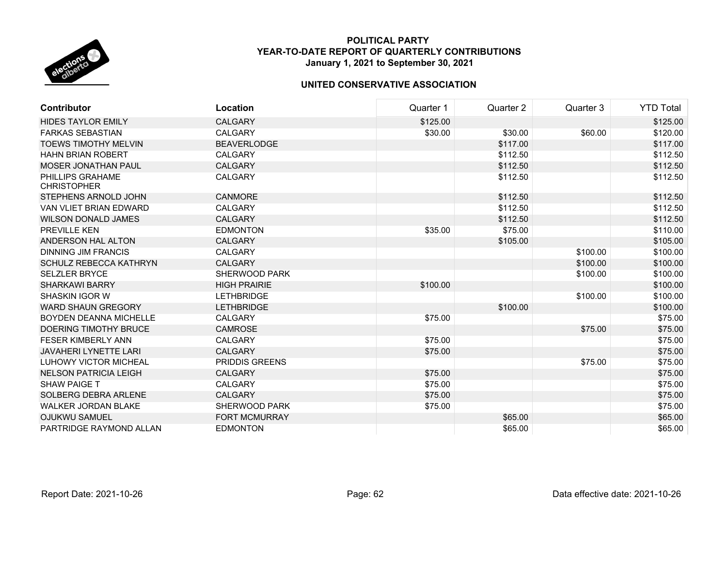

| <b>Contributor</b>                     | Location              | Quarter 1 | Quarter 2 | Quarter 3 | <b>YTD Total</b> |
|----------------------------------------|-----------------------|-----------|-----------|-----------|------------------|
| <b>HIDES TAYLOR EMILY</b>              | CALGARY               | \$125.00  |           |           | \$125.00         |
| <b>FARKAS SEBASTIAN</b>                | CALGARY               | \$30.00   | \$30.00   | \$60.00   | \$120.00         |
| <b>TOEWS TIMOTHY MELVIN</b>            | <b>BEAVERLODGE</b>    |           | \$117.00  |           | \$117.00         |
| <b>HAHN BRIAN ROBERT</b>               | <b>CALGARY</b>        |           | \$112.50  |           | \$112.50         |
| <b>MOSER JONATHAN PAUL</b>             | <b>CALGARY</b>        |           | \$112.50  |           | \$112.50         |
| PHILLIPS GRAHAME<br><b>CHRISTOPHER</b> | <b>CALGARY</b>        |           | \$112.50  |           | \$112.50         |
| STEPHENS ARNOLD JOHN                   | <b>CANMORE</b>        |           | \$112.50  |           | \$112.50         |
| VAN VLIET BRIAN EDWARD                 | <b>CALGARY</b>        |           | \$112.50  |           | \$112.50         |
| <b>WILSON DONALD JAMES</b>             | <b>CALGARY</b>        |           | \$112.50  |           | \$112.50         |
| <b>PREVILLE KEN</b>                    | <b>EDMONTON</b>       | \$35.00   | \$75.00   |           | \$110.00         |
| ANDERSON HAL ALTON                     | <b>CALGARY</b>        |           | \$105.00  |           | \$105.00         |
| <b>DINNING JIM FRANCIS</b>             | <b>CALGARY</b>        |           |           | \$100.00  | \$100.00         |
| <b>SCHULZ REBECCA KATHRYN</b>          | <b>CALGARY</b>        |           |           | \$100.00  | \$100.00         |
| <b>SELZLER BRYCE</b>                   | <b>SHERWOOD PARK</b>  |           |           | \$100.00  | \$100.00         |
| <b>SHARKAWI BARRY</b>                  | <b>HIGH PRAIRIE</b>   | \$100.00  |           |           | \$100.00         |
| <b>SHASKIN IGOR W</b>                  | <b>LETHBRIDGE</b>     |           |           | \$100.00  | \$100.00         |
| <b>WARD SHAUN GREGORY</b>              | <b>LETHBRIDGE</b>     |           | \$100.00  |           | \$100.00         |
| <b>BOYDEN DEANNA MICHELLE</b>          | <b>CALGARY</b>        | \$75.00   |           |           | \$75.00          |
| DOERING TIMOTHY BRUCE                  | <b>CAMROSE</b>        |           |           | \$75.00   | \$75.00          |
| <b>FESER KIMBERLY ANN</b>              | CALGARY               | \$75.00   |           |           | \$75.00          |
| <b>JAVAHERI LYNETTE LARI</b>           | <b>CALGARY</b>        | \$75.00   |           |           | \$75.00          |
| <b>LUHOWY VICTOR MICHEAL</b>           | <b>PRIDDIS GREENS</b> |           |           | \$75.00   | \$75.00          |
| <b>NELSON PATRICIA LEIGH</b>           | <b>CALGARY</b>        | \$75.00   |           |           | \$75.00          |
| <b>SHAW PAIGE T</b>                    | CALGARY               | \$75.00   |           |           | \$75.00          |
| SOLBERG DEBRA ARLENE                   | <b>CALGARY</b>        | \$75.00   |           |           | \$75.00          |
| <b>WALKER JORDAN BLAKE</b>             | SHERWOOD PARK         | \$75.00   |           |           | \$75.00          |
| <b>OJUKWU SAMUEL</b>                   | <b>FORT MCMURRAY</b>  |           | \$65.00   |           | \$65.00          |
| PARTRIDGE RAYMOND ALLAN                | <b>EDMONTON</b>       |           | \$65.00   |           | \$65.00          |